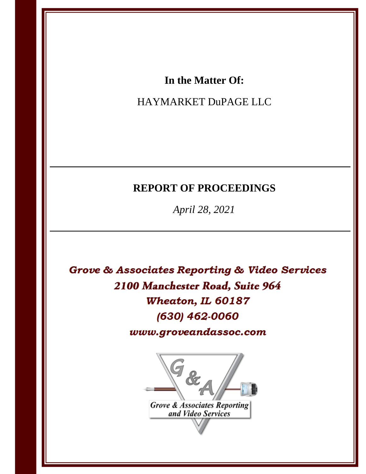# In the Matter Of:

# HAYMARKET DuPAGE LLC

# **REPORT OF PROCEEDINGS**

April 28, 2021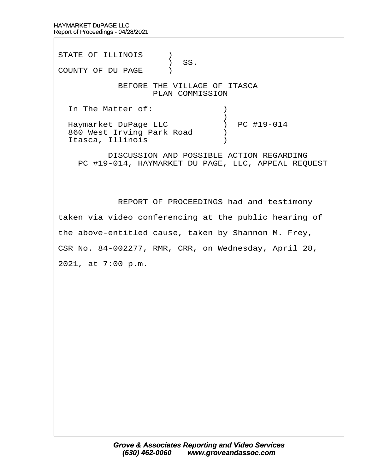STATE OF ILLINOIS )  $\big)$  SS. COUNTY OF DU PAGE ) BEFORE THE VILLAGE OF ITASCA PLAN COMMISSION In The Matter of:  $\qquad \qquad$  )  $\hspace{0.5cm} \longrightarrow$ Haymarket DuPage LLC ) PC #19-014 860 West Irving Park Road (b) Itasca, Illinois<sup>(1)</sup> DISCUSSION AND POSSIBLE ACTION REGARDING PC #19-014, HAYMARKET DU PAGE, LLC, APPEAL REQUEST REPORT OF PROCEEDINGS had and testimony

taken via video conferencing at the public hearing of

the above-entitled cause, taken by Shannon M. Frey,

CSR No. 84-002277, RMR, CRR, on Wednesday, April 28,

2021, at 7:00 p.m.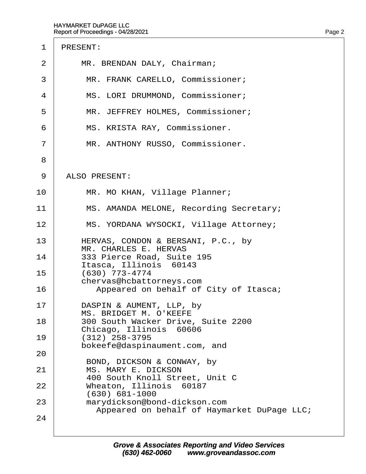| $\mathbf 1$    | PRESENT:                                                                                  |
|----------------|-------------------------------------------------------------------------------------------|
| 2              | MR. BRENDAN DALY, Chairman;                                                               |
| 3              | MR. FRANK CARELLO, Commissioner;                                                          |
| 4              | MS. LORI DRUMMOND, Commissioner;                                                          |
| 5              | MR. JEFFREY HOLMES, Commissioner;                                                         |
| 6              | MS. KRISTA RAY, Commissioner.                                                             |
| $\overline{7}$ | MR. ANTHONY RUSSO, Commissioner.                                                          |
| 8              |                                                                                           |
| 9              | ALSO PRESENT:                                                                             |
| 10             | MR. MO KHAN, Village Planner;                                                             |
| 11             | MS. AMANDA MELONE, Recording Secretary;                                                   |
| 12             | MS. YORDANA WYSOCKI, Village Attorney;                                                    |
| 13<br>14       | HERVAS, CONDON & BERSANI, P.C., by<br>MR. CHARLES E. HERVAS<br>333 Pierce Road, Suite 195 |
| 15             | Itasca, Illinois 60143<br>(630) 773-4774                                                  |
| 16             | chervas@hcbattorneys.com<br>Appeared on behalf of City of Itasca;                         |
| 17             | DASPIN & AUMENT, LLP, by<br><b>MS. BRIDGET M. O'KEEFE</b>                                 |
| 18             | 300 South Wacker Drive, Suite 2200<br>Chicago, Illinois 60606                             |
| 19             | $(312)$ 258-3795<br>bokeefe@daspinaument.com, and                                         |
| 20             |                                                                                           |
| 21             | BOND, DICKSON & CONWAY, by<br><b>MS. MARY E. DICKSON</b>                                  |
| 22             | 400 South Knoll Street, Unit C<br>Wheaton, Illinois 60187                                 |
| 23             | (630) 681-1000<br>marydickson@bond-dickson.com                                            |
| 24             | Appeared on behalf of Haymarket DuPage LLC;                                               |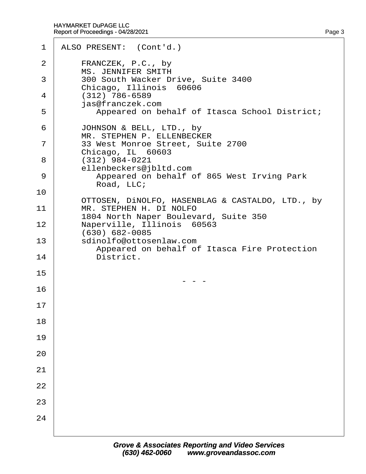| $\mathbf 1$ | ALSO PRESENT: (Cont'd.)                                                 |
|-------------|-------------------------------------------------------------------------|
| 2           | FRANCZEK, P.C., by<br><b>MS. JENNIFER SMITH</b>                         |
| 3           | 300 South Wacker Drive, Suite 3400<br>Chicago, Illinois 60606           |
| 4           | (312) 786-6589<br>jas@franczek.com                                      |
| 5           | Appeared on behalf of Itasca School District;                           |
| 6           | JOHNSON & BELL, LTD., by<br>MR. STEPHEN P. ELLENBECKER                  |
| 7           | 33 West Monroe Street, Suite 2700<br>Chicago, IL 60603                  |
| 8           | (312) 984-0221<br>ellenbeckers@jbltd.com                                |
| 9           | Appeared on behalf of 865 West Irving Park<br>Road, LLC;                |
| 10          | OTTOSEN, DINOLFO, HASENBLAG & CASTALDO, LTD., by                        |
| 11          | MR. STEPHEN H. DI NOLFO<br>1804 North Naper Boulevard, Suite 350        |
| 12          | Naperville, Illinois 60563<br>(630) 682-0085                            |
| 13          | sdinolfo@ottosenlaw.com<br>Appeared on behalf of Itasca Fire Protection |
| 14          | District.                                                               |
| 15          |                                                                         |
| 16          |                                                                         |
| 17          |                                                                         |
| 18          |                                                                         |
| 19          |                                                                         |
| 20          |                                                                         |
| 21          |                                                                         |
| 22          |                                                                         |
| 23          |                                                                         |
| 24          |                                                                         |
|             |                                                                         |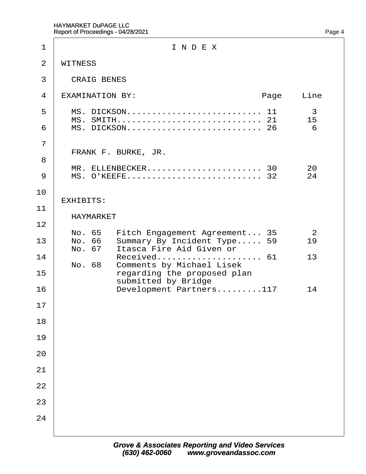| 1                   | INDEX                                                                                                                    |
|---------------------|--------------------------------------------------------------------------------------------------------------------------|
| 2                   | <b>WITNESS</b>                                                                                                           |
| 3                   | <b>CRAIG BENES</b>                                                                                                       |
| 4                   | <b>EXAMINATION BY:</b><br>Page<br>Line                                                                                   |
| 5<br>6              | MS. DICKSON 11<br>3<br>15<br>6                                                                                           |
| $\overline{7}$<br>8 | FRANK F. BURKE, JR.                                                                                                      |
| 9                   | MR. ELLENBECKER 30<br>20<br>MS. O'KEEFE 32<br>24                                                                         |
| 10<br>11            | <b>EXHIBITS:</b><br>HAYMARKET                                                                                            |
| 12<br>13            | No. 65 Fitch Engagement Agreement 35<br>2<br>No. 66 Summary By Incident Type 59<br>19<br>No. 67 Itasca Fire Aid Given or |
| 14<br>15            | Received 61<br>13<br>No. 68 Comments by Michael Lisek<br>regarding the proposed plan<br>submitted by Bridge              |
| 16                  | Development Partners117<br>14                                                                                            |
| 17<br>18            |                                                                                                                          |
| 19                  |                                                                                                                          |
| 20                  |                                                                                                                          |
| 21                  |                                                                                                                          |
| 22                  |                                                                                                                          |
| 23                  |                                                                                                                          |
| 24                  |                                                                                                                          |
|                     |                                                                                                                          |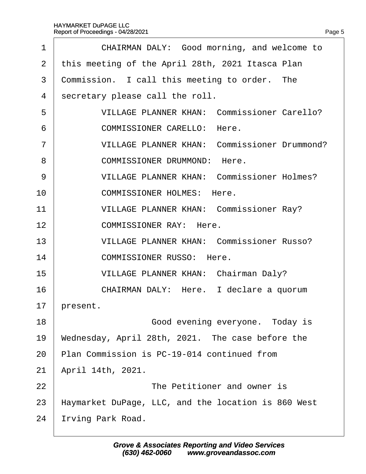| CHAIRMAN DALY: Good morning, and welcome to         |
|-----------------------------------------------------|
| this meeting of the April 28th, 2021 Itasca Plan    |
| Commission. I call this meeting to order. The       |
| secretary please call the roll.                     |
| <b>VILLAGE PLANNER KHAN: Commissioner Carello?</b>  |
| <b>COMMISSIONER CARELLO: Here.</b>                  |
| <b>VILLAGE PLANNER KHAN: Commissioner Drummond?</b> |
| <b>COMMISSIONER DRUMMOND: Here.</b>                 |
| <b>VILLAGE PLANNER KHAN: Commissioner Holmes?</b>   |
| <b>COMMISSIONER HOLMES: Here.</b>                   |
| <b>VILLAGE PLANNER KHAN: Commissioner Ray?</b>      |
| <b>COMMISSIONER RAY: Here.</b>                      |
| <b>VILLAGE PLANNER KHAN: Commissioner Russo?</b>    |
| <b>COMMISSIONER RUSSO: Here.</b>                    |
| <b>VILLAGE PLANNER KHAN: Chairman Daly?</b>         |
| CHAIRMAN DALY: Here. I declare a quorum             |
| present.                                            |
| Good evening everyone. Today is                     |
| Wednesday, April 28th, 2021. The case before the    |
| Plan Commission is PC-19-014 continued from         |
| April 14th, 2021.                                   |
| The Petitioner and owner is                         |
| Haymarket DuPage, LLC, and the location is 860 West |
| rving Park Road.                                    |
|                                                     |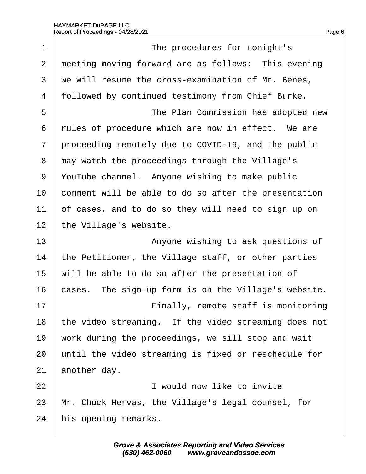| 1              | The procedures for tonight's                         |
|----------------|------------------------------------------------------|
| $\overline{2}$ | meeting moving forward are as follows: This evening  |
| 3              | we will resume the cross-examination of Mr. Benes,   |
| $\overline{4}$ | followed by continued testimony from Chief Burke.    |
| 5              | The Plan Commission has adopted new                  |
| 6              | rules of procedure which are now in effect. We are   |
| 7              | proceeding remotely due to COVID-19, and the public  |
| 8              | may watch the proceedings through the Village's      |
| 9              | YouTube channel. Anyone wishing to make public       |
| 10             | comment will be able to do so after the presentation |
| 11             | of cases, and to do so they will need to sign up on  |
| 12             | the Village's website.                               |
| 13             | Anyone wishing to ask questions of                   |
| 14             | the Petitioner, the Village staff, or other parties  |
| 15             | will be able to do so after the presentation of      |
| 16             | cases. The sign-up form is on the Village's website. |
| 17             | Finally, remote staff is monitoring                  |
| 18             | the video streaming. If the video streaming does not |
| 19             | work during the proceedings, we sill stop and wait   |
| 20             | until the video streaming is fixed or reschedule for |
| 21             | another day.                                         |
| 22             | I would now like to invite                           |
| 23             | Mr. Chuck Hervas, the Village's legal counsel, for   |
| 24             | his opening remarks.                                 |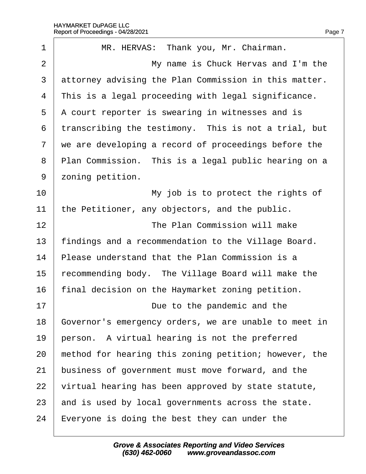| 1              | MR. HERVAS: Thank you, Mr. Chairman.                  |
|----------------|-------------------------------------------------------|
| $\overline{2}$ | My name is Chuck Hervas and I'm the                   |
| 3              | attorney advising the Plan Commission in this matter. |
| 4              | This is a legal proceeding with legal significance.   |
| 5              | A court reporter is swearing in witnesses and is      |
| 6              | transcribing the testimony. This is not a trial, but  |
| 7              | we are developing a record of proceedings before the  |
| 8              | Plan Commission. This is a legal public hearing on a  |
| 9              | zoning petition.                                      |
| 10             | My job is to protect the rights of                    |
| 11             | the Petitioner, any objectors, and the public.        |
| 12             | The Plan Commission will make                         |
| 13             | findings and a recommendation to the Village Board.   |
| 14             | Please understand that the Plan Commission is a       |
| 15             | recommending body. The Village Board will make the    |
| 16             | final decision on the Haymarket zoning petition.      |
| 17             | Due to the pandemic and the                           |
| 18             | Governor's emergency orders, we are unable to meet in |
| 19             | person. A virtual hearing is not the preferred        |
| 20             | method for hearing this zoning petition; however, the |
| 21             | business of government must move forward, and the     |
| 22             | virtual hearing has been approved by state statute,   |
| 23             | and is used by local governments across the state.    |
| 24             | Everyone is doing the best they can under the         |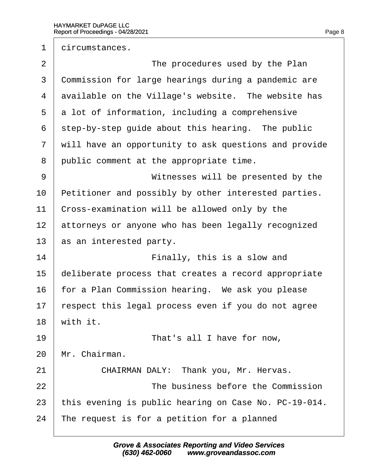1 dircumstances. 2 **The procedures used by the Plan** 3 Commission for large hearings during a pandemic are 4 dvailable on the Village's website. The website has 5 a lot of information, including a comprehensive 6 step-by-step quide about this hearing. The public 7 will have an opportunity to ask questions and provide 8 public comment at the appropriate time. 9 | Witnesses will be presented by the 10 Petitioner and possibly by other interested parties. 11 Cross-examination will be allowed only by the 12 attorneys or anyone who has been legally recognized 13 as an interested party.  $14$   $\parallel$  **Finally, this is a slow and** 15 deliberate process that creates a record appropriate 16 for a Plan Commission hearing. We ask you please 17 respect this legal process even if you do not agree 18 with it. 19· · · · · · · · · · ·That's all I have for now, 20 Mr. Chairman. 21 | CHAIRMAN DALY: Thank you, Mr. Hervas. 22 **I** The business before the Commission 23 this evening is public hearing on Case No. PC-19-014.

24 The request is for a petition for a planned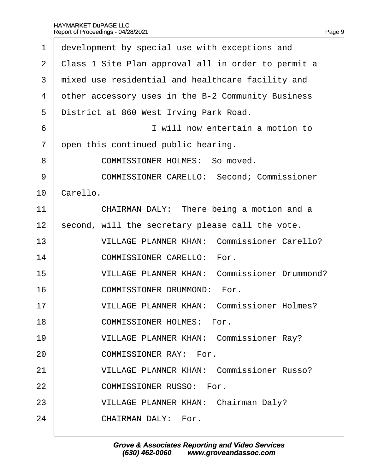| 1              | development by special use with exceptions and      |
|----------------|-----------------------------------------------------|
| 2              | Class 1 Site Plan approval all in order to permit a |
| 3              | mixed use residential and healthcare facility and   |
| 4              | other accessory uses in the B-2 Community Business  |
| 5              | District at 860 West Irving Park Road.              |
| 6              | I will now entertain a motion to                    |
| $\overline{7}$ | open this continued public hearing.                 |
| 8              | <b>COMMISSIONER HOLMES: So moved.</b>               |
| 9              | <b>COMMISSIONER CARELLO: Second; Commissioner</b>   |
| 10             | Carello.                                            |
| 11             | CHAIRMAN DALY: There being a motion and a           |
| 12             | second, will the secretary please call the vote.    |
| 13             | <b>VILLAGE PLANNER KHAN: Commissioner Carello?</b>  |
| 14             | <b>COMMISSIONER CARELLO: For.</b>                   |
| 15             | <b>VILLAGE PLANNER KHAN: Commissioner Drummond?</b> |
| 16             | <b>COMMISSIONER DRUMMOND: For.</b>                  |
| 17             | <b>VILLAGE PLANNER KHAN: Commissioner Holmes?</b>   |
| 18             | <b>COMMISSIONER HOLMES: For.</b>                    |
| 19             | <b>VILLAGE PLANNER KHAN: Commissioner Ray?</b>      |
| 20             | <b>COMMISSIONER RAY: For.</b>                       |
| 21             | <b>VILLAGE PLANNER KHAN: Commissioner Russo?</b>    |
| 22             | <b>COMMISSIONER RUSSO: For.</b>                     |
| 23             | <b>VILLAGE PLANNER KHAN: Chairman Daly?</b>         |
| 24             | <b>CHAIRMAN DALY: For.</b>                          |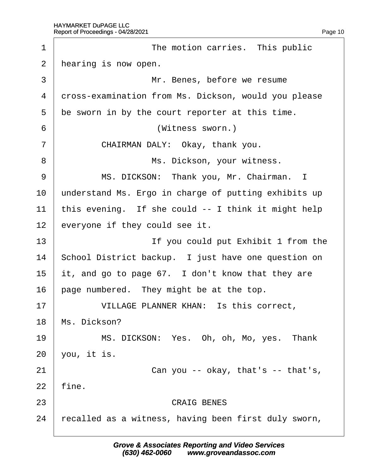| 1              | The motion carries. This public                      |
|----------------|------------------------------------------------------|
| 2              | hearing is now open.                                 |
| 3              | Mr. Benes, before we resume                          |
| 4              | dross-examination from Ms. Dickson, would you please |
| 5              | be sworn in by the court reporter at this time.      |
| 6              | (Witness sworn.)                                     |
| $\overline{7}$ | CHAIRMAN DALY: Okay, thank you.                      |
| 8              | Ms. Dickson, your witness.                           |
| 9              | MS. DICKSON: Thank you, Mr. Chairman. I              |
| 10             | understand Ms. Ergo in charge of putting exhibits up |
| 11             | this evening. If she could -- I think it might help  |
| 12             | everyone if they could see it.                       |
| 13             | If you could put Exhibit 1 from the                  |
| 14             | School District backup. I just have one question on  |
| 15             | it, and go to page 67. I don't know that they are    |
| 16             | page numbered. They might be at the top.             |
| 17             | VILLAGE PLANNER KHAN: Is this correct,               |
| 18             | Ms. Dickson?                                         |
| 19             | MS. DICKSON: Yes. Oh, oh, Mo, yes. Thank             |
| 20             | you, it is.                                          |
| 21             | Can you -- okay, that's -- that's,                   |
| 22             | fine.                                                |
| 23             | <b>CRAIG BENES</b>                                   |
| 24             | recalled as a witness, having been first duly sworn, |
|                |                                                      |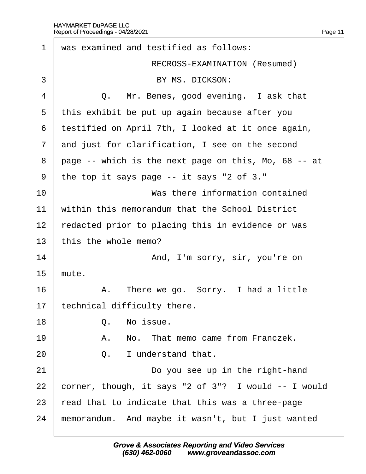·1· ·was examined and testified as follows: RECROSS-EXAMINATION (Resumed) 3 **BY MS. DICKSON:**  $4 \mid Q$ . Mr. Benes, good evening. I ask that 5 this exhibit be put up again because after you ·6· ·testified on April 7th, I looked at it once again, 7 and just for clarification, I see on the second 8 page -- which is the next page on this, Mo, 68 -- at ·9· ·the top it says page -- it says "2 of 3." 10 **I** Was there information contained 11 within this memorandum that the School District 12 redacted prior to placing this in evidence or was 13 this the whole memo? 14 **And, I'm sorry, sir, you're on**  $15$  mute.  $16$  | A. There we go. Sorry. I had a little 17 technical difficulty there. 18· · · · · ·Q.· ·No issue. 19 **A.** No. That memo came from Franczek.  $20 \quad | \quad Q. \quad |$  understand that. 21 **Do you see up in the right-hand** 22  $\,$  corner, though, it says "2 of 3"? I would  $-$  I would 23  $\frac{1}{2}$  read that to indicate that this was a three-page 24 memorandum. And maybe it wasn't, but I just wanted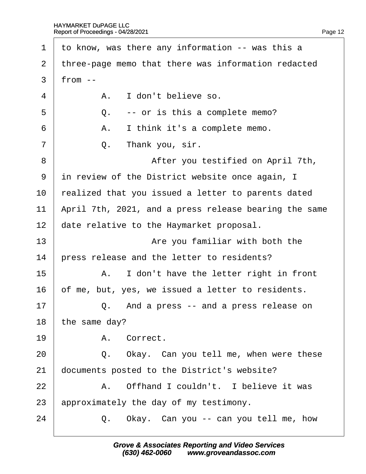| 1              | to know, was there any information -- was this a      |
|----------------|-------------------------------------------------------|
| $\overline{2}$ | three-page memo that there was information redacted   |
| 3              | from $-$                                              |
| 4              | A. I don't believe so.                                |
| 5              | Q. -- or is this a complete memo?                     |
| 6              | I think it's a complete memo.<br>Α.                   |
| $\overline{7}$ | Q. Thank you, sir.                                    |
| 8              | After you testified on April 7th,                     |
| 9              | in review of the District website once again, I       |
| 10             | realized that you issued a letter to parents dated    |
| 11             | April 7th, 2021, and a press release bearing the same |
| 12             | date relative to the Haymarket proposal.              |
| 13             | Are you familiar with both the                        |
| 14             | press release and the letter to residents?            |
| 15             | A. I don't have the letter right in front             |
| 16             | of me, but, yes, we issued a letter to residents.     |
| 17             | Q. And a press -- and a press release on              |
| 18             | the same day?                                         |
| 19             | A. Correct.                                           |
| 20             | Q. Okay. Can you tell me, when were these             |
| 21             | documents posted to the District's website?           |
| 22             | A. Offhand I couldn't. I believe it was               |
| 23             | approximately the day of my testimony.                |
| 24             | Okay. Can you -- can you tell me, how<br>Q.           |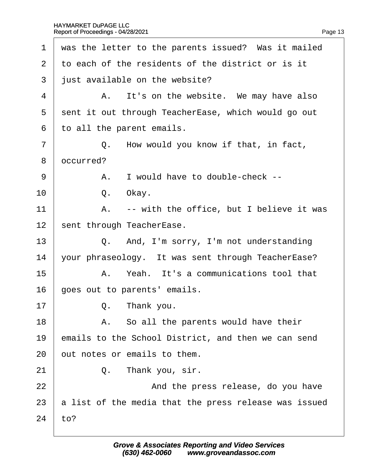| $\mathbf 1$    | was the letter to the parents issued? Was it mailed   |
|----------------|-------------------------------------------------------|
| $\overline{2}$ | to each of the residents of the district or is it     |
| 3              | just available on the website?                        |
| 4              | A. It's on the website. We may have also              |
| 5              | sent it out through TeacherEase, which would go out   |
| 6              | to all the parent emails.                             |
| $\overline{7}$ | Q. How would you know if that, in fact,               |
| 8              | dccurred?                                             |
| 9              | A. I would have to double-check --                    |
| 10             | Q. Okay.                                              |
| 11             | A. -- with the office, but I believe it was           |
| 12             | sent through TeacherEase.                             |
| 13             | Q. And, I'm sorry, I'm not understanding              |
| 14             | your phraseology. It was sent through TeacherEase?    |
| 15             | A. Yeah. It's a communications tool that              |
| 16             | goes out to parents' emails.                          |
| 17             | Q. Thank you.                                         |
| 18             | A. So all the parents would have their                |
| 19             | emails to the School District, and then we can send   |
| 20             | but notes or emails to them.                          |
| 21             | Thank you, sir.<br>Q.                                 |
| 22             | And the press release, do you have                    |
| 23             | a list of the media that the press release was issued |
| 24             | to?                                                   |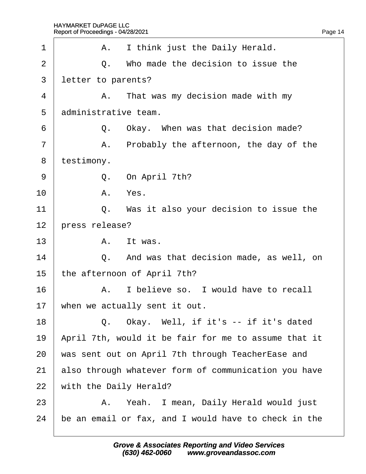| 1              | A. I think just the Daily Herald.                    |
|----------------|------------------------------------------------------|
| $\overline{2}$ | Q. Who made the decision to issue the                |
| 3              | letter to parents?                                   |
| 4              | A. That was my decision made with my                 |
| 5              | administrative team.                                 |
| 6              | Q. Okay. When was that decision made?                |
| $\overline{7}$ | A. Probably the afternoon, the day of the            |
| 8              | testimony.                                           |
| 9              | Q. On April 7th?                                     |
| 10             | A. Yes.                                              |
| 11             | Q. Was it also your decision to issue the            |
| 12             | press release?                                       |
| 13             | A. It was.                                           |
| 14             | Q. And was that decision made, as well, on           |
| 15             | the afternoon of April 7th?                          |
| 16             | A. I believe so. I would have to recall              |
| 17             | when we actually sent it out.                        |
| 18             | Q. Okay. Well, if it's -- if it's dated              |
| 19             | April 7th, would it be fair for me to assume that it |
| 20             | was sent out on April 7th through TeacherEase and    |
| 21             | also through whatever form of communication you have |
| 22             | with the Daily Herald?                               |
| 23             | A. Yeah. I mean, Daily Herald would just             |
| 24             | be an email or fax, and I would have to check in the |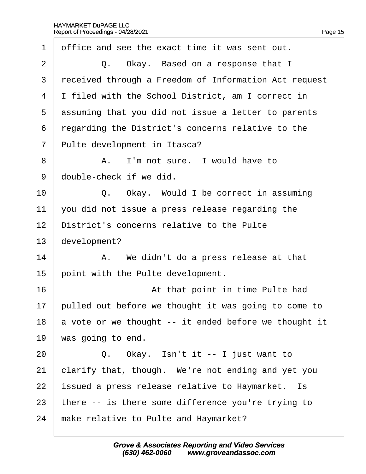| 1                 | office and see the exact time it was sent out.        |
|-------------------|-------------------------------------------------------|
| 2                 | Q. Okay. Based on a response that I                   |
| 3                 | received through a Freedom of Information Act request |
| 4                 | I filed with the School District, am I correct in     |
| 5                 | assuming that you did not issue a letter to parents   |
| 6                 | regarding the District's concerns relative to the     |
| $\overline{7}$    | Pulte development in Itasca?                          |
| 8                 | A. I'm not sure. I would have to                      |
| 9                 | double-check if we did.                               |
| 10                | Q. Okay. Would I be correct in assuming               |
| 11                | you did not issue a press release regarding the       |
| $12 \overline{ }$ | District's concerns relative to the Pulte             |
| 13                | development?                                          |
| 14                | A. We didn't do a press release at that               |
| 15                | point with the Pulte development.                     |
| 16                | At that point in time Pulte had                       |
| 17                | pulled out before we thought it was going to come to  |
| 18                | a vote or we thought -- it ended before we thought it |
| 19                | was going to end.                                     |
| 20                | Q. Okay. Isn't it -- I just want to                   |
| 21                | clarify that, though. We're not ending and yet you    |
| 22                | ssued a press release relative to Haymarket. Is       |
| 23                | there -- is there some difference you're trying to    |
| 24                | make relative to Pulte and Haymarket?                 |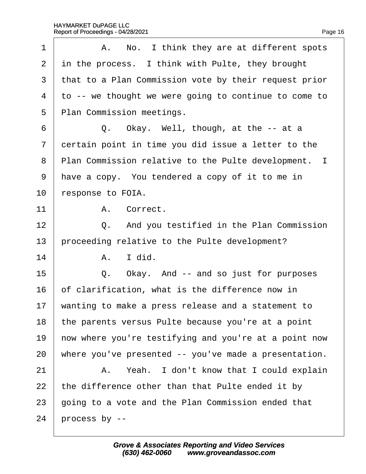| 1              | A. No. I think they are at different spots            |
|----------------|-------------------------------------------------------|
| 2              | in the process. I think with Pulte, they brought      |
| 3              | that to a Plan Commission vote by their request prior |
| $\overline{4}$ | to -- we thought we were going to continue to come to |
| 5              | Plan Commission meetings.                             |
| 6              | Q. Okay. Well, though, at the -- at a                 |
| $\overline{7}$ | dertain point in time you did issue a letter to the   |
| 8              | Plan Commission relative to the Pulte development. I  |
| 9              | have a copy. You tendered a copy of it to me in       |
| 10             | response to FOIA.                                     |
| 11             | A. Correct.                                           |
| 12             | Q. And you testified in the Plan Commission           |
| 13             | proceeding relative to the Pulte development?         |
| 14             | I did.<br>А.                                          |
| 15             | Okay. And -- and so just for purposes<br>Q.           |
| 16             | of clarification, what is the difference now in       |
| 17             | wanting to make a press release and a statement to    |
| 18             | the parents versus Pulte because you're at a point    |
| 19             | how where you're testifying and you're at a point now |
| 20             | where you've presented -- you've made a presentation. |
| 21             | A. Yeah. I don't know that I could explain            |
| 22             | the difference other than that Pulte ended it by      |
| 23             | going to a vote and the Plan Commission ended that    |
| 24             | process by --                                         |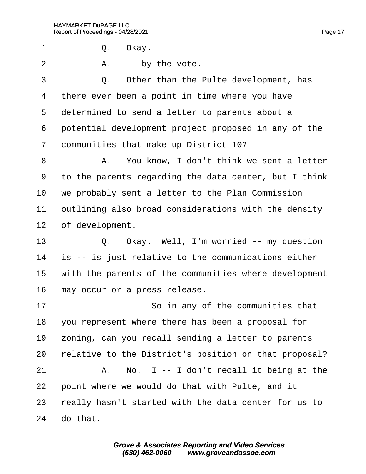1 | Q. Okay.

 $2 \mid$  A. -- by the vote.

3 | Q. Other than the Pulte development, has 4 there ever been a point in time where you have 5 determined to send a letter to parents about a 6 potential development project proposed in any of the 7 dommunities that make up District 10? 8 | A. You know, I don't think we sent a letter ·9· ·to the parents regarding the data center, but I think 10 we probably sent a letter to the Plan Commission 11 butlining also broad considerations with the density 12 bf development. 13 | Q. Okay. Well, I'm worried -- my question 14 is -- is just relative to the communications either 15 with the parents of the communities where development 16 may occur or a press release. 17 **So in any of the communities that** 18  $\sqrt{v}$  vou represent where there has been a proposal for 19 zoning, can you recall sending a letter to parents 20 relative to the District's position on that proposal?  $21$  | A. No. I -- I don't recall it being at the 22 point where we would do that with Pulte, and it 23 really hasn't started with the data center for us to  $24$  do that.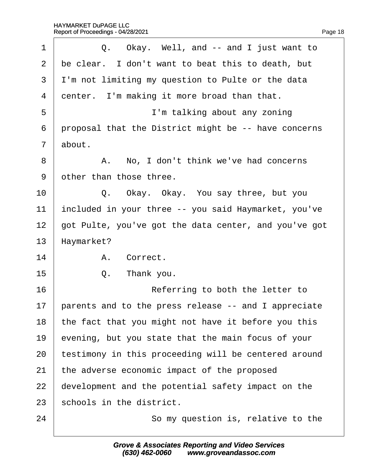| 1              | Q. Okay. Well, and -- and I just want to              |
|----------------|-------------------------------------------------------|
| 2              | be clear. I don't want to beat this to death, but     |
| 3              | I'm not limiting my question to Pulte or the data     |
| 4              | denter. I'm making it more broad than that.           |
| 5              | I'm talking about any zoning                          |
| 6              | proposal that the District might be -- have concerns  |
| $\overline{7}$ | about.                                                |
| 8              | A. No, I don't think we've had concerns               |
| 9              | other than those three.                               |
| 10             | Q. Okay. Okay. You say three, but you                 |
| 11             | included in your three -- you said Haymarket, you've  |
| 12             | got Pulte, you've got the data center, and you've got |
| 13             | Haymarket?                                            |
| 14             | A. Correct.                                           |
| 15             | Thank you.<br>Q.                                      |
| 16             | Referring to both the letter to                       |
| 17             | parents and to the press release -- and I appreciate  |
| 18             | the fact that you might not have it before you this   |
| 19             | evening, but you state that the main focus of your    |
| 20             | testimony in this proceeding will be centered around  |
| 21             | the adverse economic impact of the proposed           |
| 22             | development and the potential safety impact on the    |
| 23             | schools in the district.                              |
| 24             | So my question is, relative to the                    |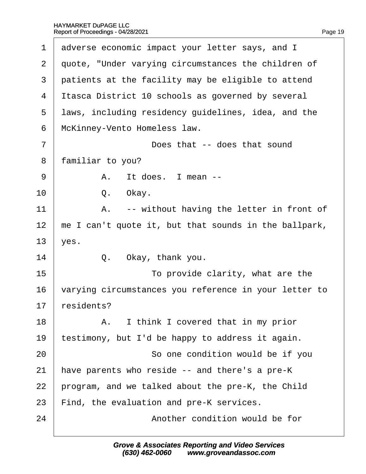| 1              | adverse economic impact your letter says, and I       |
|----------------|-------------------------------------------------------|
| $\overline{2}$ | quote, "Under varying circumstances the children of   |
| 3              | patients at the facility may be eligible to attend    |
| 4              | Itasca District 10 schools as governed by several     |
| 5              | laws, including residency guidelines, idea, and the   |
| 6              | McKinney-Vento Homeless law.                          |
| $\overline{7}$ | Does that -- does that sound                          |
| 8              | familiar to you?                                      |
| 9              | A. It does. I mean --                                 |
| 10             | Q.<br>Okay.                                           |
| 11             | A. -- without having the letter in front of           |
| 12             | me I can't quote it, but that sounds in the ballpark, |
| 13             | yes.                                                  |
| 14             | Okay, thank you.<br>Q.                                |
| 15             | To provide clarity, what are the                      |
| 16             | varying circumstances you reference in your letter to |
| 17             | residents?                                            |
| 18             | A. I think I covered that in my prior                 |
| 19             | testimony, but I'd be happy to address it again.      |
| 20             | So one condition would be if you                      |
| 21             | have parents who reside -- and there's a pre-K        |
| 22             | program, and we talked about the pre-K, the Child     |
| 23             | Find, the evaluation and pre-K services.              |
| 24             | Another condition would be for                        |
|                |                                                       |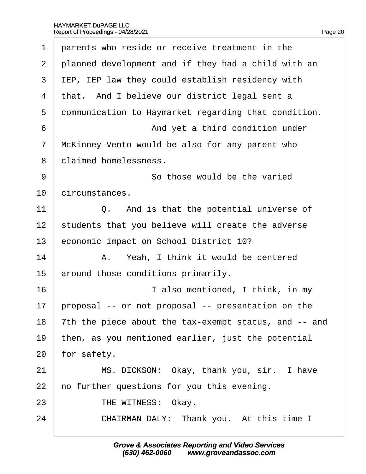|  | Page 20 |
|--|---------|

| 1              | parents who reside or receive treatment in the        |
|----------------|-------------------------------------------------------|
| 2              | planned development and if they had a child with an   |
| 3              | IEP, IEP law they could establish residency with      |
| 4              | that. And I believe our district legal sent a         |
| 5              | dommunication to Haymarket regarding that condition.  |
| 6              | And yet a third condition under                       |
| $\overline{7}$ | McKinney-Vento would be also for any parent who       |
| 8              | dlaimed homelessness.                                 |
| 9              | So those would be the varied                          |
| 10             | circumstances.                                        |
| 11             | Q. And is that the potential universe of              |
| 12             | students that you believe will create the adverse     |
| 13             | economic impact on School District 10?                |
| 14             | A. Yeah, I think it would be centered                 |
| 15             | around those conditions primarily.                    |
| 16             | I also mentioned, I think, in my                      |
| 17             | proposal -- or not proposal -- presentation on the    |
| 18             | 7th the piece about the tax-exempt status, and -- and |
| 19             | then, as you mentioned earlier, just the potential    |
| 20             | for safety.                                           |
| 21             | MS. DICKSON: Okay, thank you, sir. I have             |
| 22             | ho further questions for you this evening.            |
| 23             | THE WITNESS: Okay.                                    |
| 24             | CHAIRMAN DALY: Thank you. At this time I              |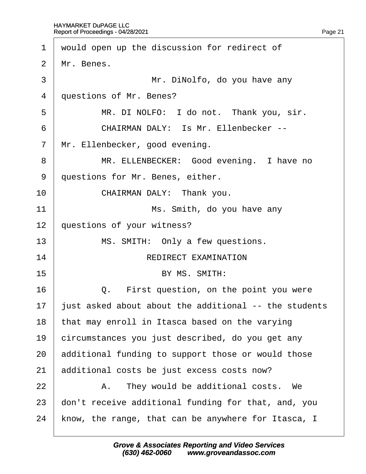| 1              | would open up the discussion for redirect of          |
|----------------|-------------------------------------------------------|
| 2              | Mr. Benes.                                            |
| 3              | Mr. DiNolfo, do you have any                          |
| 4              | questions of Mr. Benes?                               |
| 5              | MR. DI NOLFO: I do not. Thank you, sir.               |
| 6              | <b>CHAIRMAN DALY: Is Mr. Ellenbecker --</b>           |
| $\overline{7}$ | Mr. Ellenbecker, good evening.                        |
| 8              | MR. ELLENBECKER: Good evening. I have no              |
| 9              | questions for Mr. Benes, either.                      |
| 10             | CHAIRMAN DALY: Thank you.                             |
| 11             | Ms. Smith, do you have any                            |
| 12             | questions of your witness?                            |
| 13             | MS. SMITH: Only a few questions.                      |
| 14             | <b>REDIRECT EXAMINATION</b>                           |
| 15             | BY MS. SMITH:                                         |
| 16             | Q. First question, on the point you were              |
| 17             | just asked about about the additional -- the students |
| 18             | that may enroll in Itasca based on the varying        |
| 19             | circumstances you just described, do you get any      |
| 20             | additional funding to support those or would those    |
| 21             | additional costs be just excess costs now?            |
| 22             | A. They would be additional costs. We                 |
| 23             | don't receive additional funding for that, and, you   |
| 24             | know, the range, that can be anywhere for Itasca, I   |
|                |                                                       |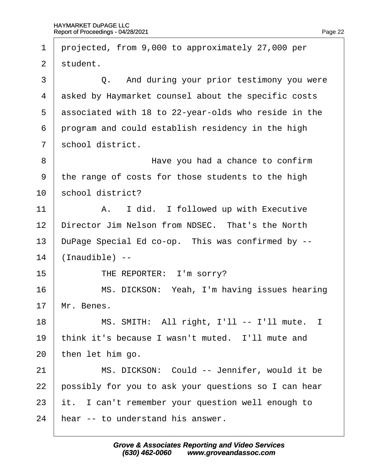1 projected, from 9,000 to approximately 27,000 per 2 student. 3 **Q.** And during your prior testimony you were 4 asked by Haymarket counsel about the specific costs 5 dssociated with 18 to 22-year-olds who reside in the 6 program and could establish residency in the high 7 school district. 8 **B Have you had a chance to confirm** ·9· ·the range of costs for those students to the high 10 school district?  $11$  | A. I did. I followed up with Executive 12 Director Jim Nelson from NDSEC. That's the North 13 DuPage Special Ed co-op. This was confirmed by -- $14$  (Inaudible) --15 **THE REPORTER: I'm sorry?** 16 **MS. DICKSON: Yeah, I'm having issues hearing** 17 Mr. Benes.  $18$   $\parallel$  MS. SMITH: All right, I'll -- I'll mute. I 19 think it's because I wasn't muted. I'll mute and 20 then let him go. 21 | MS. DICKSON: Could -- Jennifer, would it be 22 bossibly for you to ask your questions so I can hear 23 it. I can't remember your question well enough to 24 hear -- to understand his answer.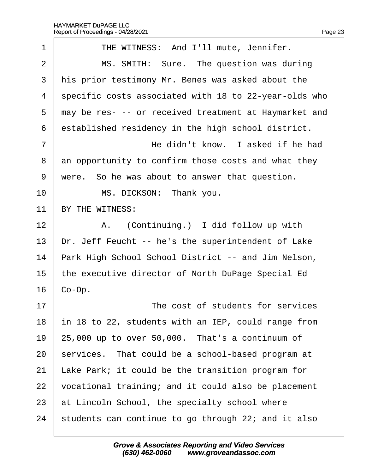| $\mathbf 1$    | THE WITNESS: And I'll mute, Jennifer.                 |
|----------------|-------------------------------------------------------|
| $\overline{2}$ | MS. SMITH: Sure. The question was during              |
| 3              | his prior testimony Mr. Benes was asked about the     |
| 4              | specific costs associated with 18 to 22-year-olds who |
| 5              | may be res- -- or received treatment at Haymarket and |
| 6              | established residency in the high school district.    |
| 7              | He didn't know. I asked if he had                     |
| 8              | an opportunity to confirm those costs and what they   |
| 9              | were. So he was about to answer that question.        |
| 10             | MS. DICKSON: Thank you.                               |
| 11             | BY THE WITNESS:                                       |
| 12             | A. (Continuing.) I did follow up with                 |
| 13             | Dr. Jeff Feucht -- he's the superintendent of Lake    |
| 14             | Park High School School District -- and Jim Nelson,   |
| 15             | the executive director of North DuPage Special Ed     |
| 16             | Co-Op.                                                |
| 17             | The cost of students for services                     |
| 18             | in 18 to 22, students with an IEP, could range from   |
| 19             | 25,000 up to over 50,000. That's a continuum of       |
| 20             | services. That could be a school-based program at     |
| 21             | Lake Park; it could be the transition program for     |
| 22             | vocational training; and it could also be placement   |
| 23             | at Lincoln School, the specialty school where         |
| 24             | students can continue to go through 22; and it also   |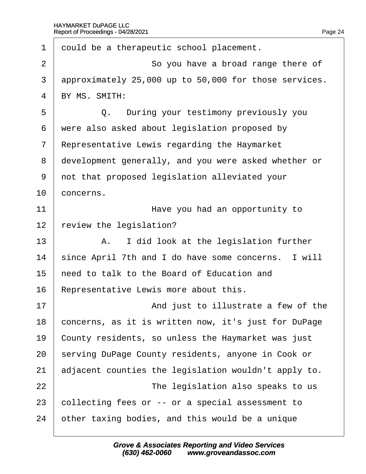| 1              | dould be a therapeutic school placement.              |
|----------------|-------------------------------------------------------|
| $\overline{2}$ | So you have a broad range there of                    |
| 3              | approximately 25,000 up to 50,000 for those services. |
| 4              | BY MS. SMITH:                                         |
| 5              | Q. During your testimony previously you               |
| 6              | were also asked about legislation proposed by         |
| $\overline{7}$ | Representative Lewis regarding the Haymarket          |
| 8              | development generally, and you were asked whether or  |
| 9              | not that proposed legislation alleviated your         |
| 10             | concerns.                                             |
| 11             | Have you had an opportunity to                        |
| 12             | eview the legislation?                                |
| 13             | A. I did look at the legislation further              |
| 14             | since April 7th and I do have some concerns. I will   |
| 15             | heed to talk to the Board of Education and            |
| 16             | Representative Lewis more about this.                 |
| 17             | And just to illustrate a few of the                   |
| 18             | concerns, as it is written now, it's just for DuPage  |
| 19             | County residents, so unless the Haymarket was just    |
| 20             | serving DuPage County residents, anyone in Cook or    |
| 21             | adjacent counties the legislation wouldn't apply to.  |
| 22             | The legislation also speaks to us                     |
| 23             | collecting fees or -- or a special assessment to      |
| 24             | other taxing bodies, and this would be a unique       |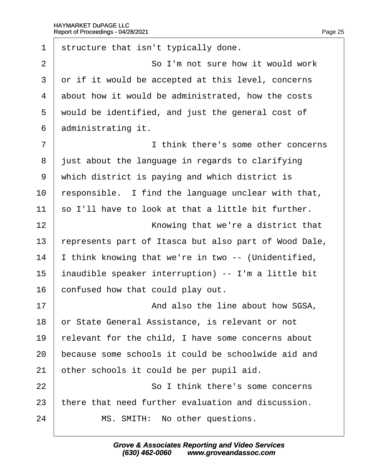| 1              | structure that isn't typically done.                 |
|----------------|------------------------------------------------------|
| $\overline{2}$ | So I'm not sure how it would work                    |
| 3              | or if it would be accepted at this level, concerns   |
| 4              | about how it would be administrated, how the costs   |
| 5              | would be identified, and just the general cost of    |
| 6              | administrating it.                                   |
| $\overline{7}$ | I think there's some other concerns                  |
| 8              | just about the language in regards to clarifying     |
| 9              | which district is paying and which district is       |
| 10             | responsible. I find the language unclear with that,  |
| 11             | so I'll have to look at that a little bit further.   |
| 12             | Knowing that we're a district that                   |
| 13             | epresents part of Itasca but also part of Wood Dale, |
| 14             | think knowing that we're in two -- (Unidentified,    |
| 15             | inaudible speaker interruption) -- I'm a little bit  |
| 16             | confused how that could play out.                    |
| 17             | And also the line about how SGSA,                    |
| 18             | or State General Assistance, is relevant or not      |
| 19             | elevant for the child, I have some concerns about    |
| 20             | because some schools it could be schoolwide aid and  |
| 21             | other schools it could be per pupil aid.             |
| 22             | So I think there's some concerns                     |
| 23             | there that need further evaluation and discussion.   |
| 24             | MS. SMITH: No other questions.                       |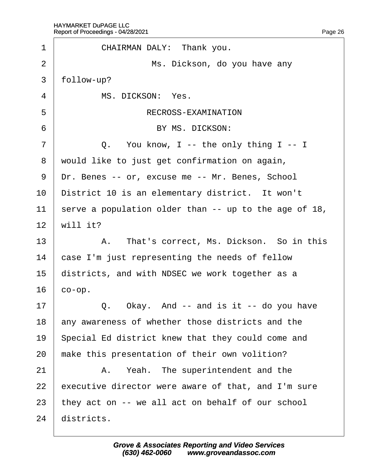| 1              | CHAIRMAN DALY: Thank you.                             |
|----------------|-------------------------------------------------------|
| $\overline{2}$ | Ms. Dickson, do you have any                          |
| 3              | follow-up?                                            |
| 4              | MS. DICKSON: Yes.                                     |
| 5              | RECROSS-EXAMINATION                                   |
| 6              | BY MS. DICKSON:                                       |
| $\overline{7}$ | Q. You know, I -- the only thing I -- I               |
| 8              | would like to just get confirmation on again,         |
| 9              | Dr. Benes -- or, excuse me -- Mr. Benes, School       |
| 10             | District 10 is an elementary district. It won't       |
| 11             | serve a population older than -- up to the age of 18, |
| 12             | will it?                                              |
| 13             | A. That's correct, Ms. Dickson. So in this            |
| 14             | case I'm just representing the needs of fellow        |
| 15             | districts, and with NDSEC we work together as a       |
| 16             | co-op.                                                |
| 17             | Okay. And -- and is it -- do you have<br>Q.           |
| 18             | any awareness of whether those districts and the      |
| 19             | Special Ed district knew that they could come and     |
| 20             | make this presentation of their own volition?         |
| 21             | A. Yeah. The superintendent and the                   |
| 22             | executive director were aware of that, and I'm sure   |
| 23             | they act on -- we all act on behalf of our school     |
| 24             | districts.                                            |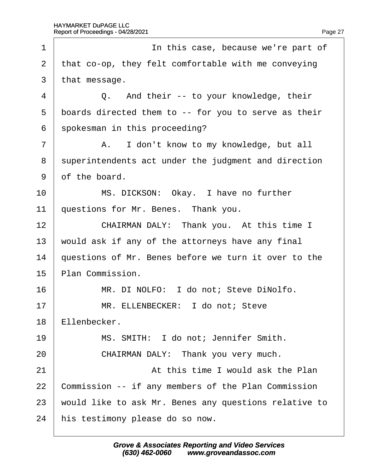| 1              | In this case, because we're part of                   |
|----------------|-------------------------------------------------------|
| $\overline{2}$ | that co-op, they felt comfortable with me conveying   |
| 3              | that message.                                         |
| 4              | Q. And their -- to your knowledge, their              |
| 5              | boards directed them to -- for you to serve as their  |
| 6              | spokesman in this proceeding?                         |
| $\overline{7}$ | A. I don't know to my knowledge, but all              |
| 8              | superintendents act under the judgment and direction  |
| 9              | of the board.                                         |
| 10             | MS. DICKSON: Okay. I have no further                  |
| 11             | questions for Mr. Benes. Thank you.                   |
| 12             | CHAIRMAN DALY: Thank you. At this time I              |
| 13             | would ask if any of the attorneys have any final      |
| 14             | questions of Mr. Benes before we turn it over to the  |
| 15             | Plan Commission.                                      |
| 16             | MR. DI NOLFO: I do not; Steve DiNolfo.                |
| 17             | MR. ELLENBECKER: I do not; Steve                      |
| 18             | Ellenbecker.                                          |
| 19             | MS. SMITH: I do not; Jennifer Smith.                  |
| 20             | CHAIRMAN DALY: Thank you very much.                   |
| 21             | At this time I would ask the Plan                     |
| 22             | Commission -- if any members of the Plan Commission   |
| 23             | would like to ask Mr. Benes any questions relative to |
| 24             | his testimony please do so now.                       |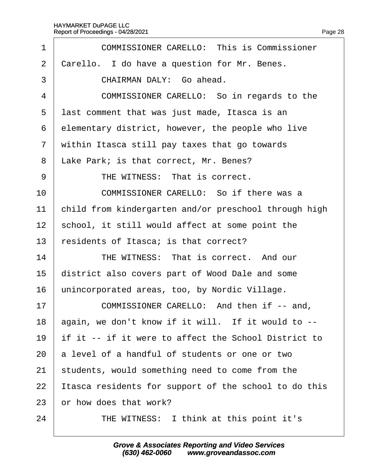| 1              | <b>COMMISSIONER CARELLO: This is Commissioner</b>     |
|----------------|-------------------------------------------------------|
| $\overline{2}$ | Carello. I do have a question for Mr. Benes.          |
| 3              | CHAIRMAN DALY: Go ahead.                              |
| 4              | COMMISSIONER CARELLO: So in regards to the            |
| 5              | last comment that was just made, Itasca is an         |
| 6              | elementary district, however, the people who live     |
| $\overline{7}$ | within Itasca still pay taxes that go towards         |
| 8              | Lake Park; is that correct, Mr. Benes?                |
| 9              | THE WITNESS: That is correct.                         |
| 10             | COMMISSIONER CARELLO: So if there was a               |
| 11             | child from kindergarten and/or preschool through high |
| 12             | school, it still would affect at some point the       |
| 13             | esidents of Itasca; is that correct?                  |
| 14             | THE WITNESS: That is correct. And our                 |
| 15             | district also covers part of Wood Dale and some       |
| 16             | unincorporated areas, too, by Nordic Village.         |
| 17             | COMMISSIONER CARELLO: And then if -- and,             |
| 18             | again, we don't know if it will. If it would to --    |
| 19             | If it -- if it were to affect the School District to  |
| 20             | a level of a handful of students or one or two        |
| 21             | students, would something need to come from the       |
| 22             | tasca residents for support of the school to do this  |
| 23             | or how does that work?                                |
| 24             | THE WITNESS: I think at this point it's               |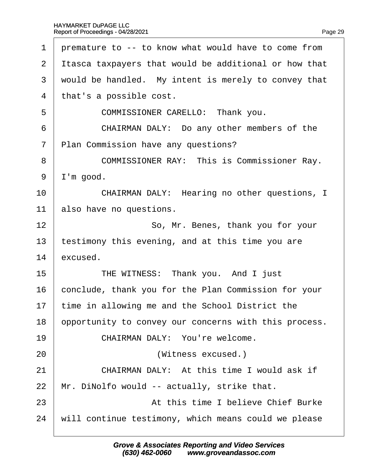| 1              | premature to -- to know what would have to come from   |
|----------------|--------------------------------------------------------|
| 2              | It as a taxpayers that would be additional or how that |
| 3              | would be handled. My intent is merely to convey that   |
| 4              | that's a possible cost.                                |
| 5              | COMMISSIONER CARELLO: Thank you.                       |
| 6              | CHAIRMAN DALY: Do any other members of the             |
| $\overline{7}$ | Plan Commission have any questions?                    |
| 8              | <b>COMMISSIONER RAY: This is Commissioner Ray.</b>     |
| 9              | I'm good.                                              |
| 10             | CHAIRMAN DALY: Hearing no other questions, I           |
| 11             | also have no questions.                                |
| 12             | So, Mr. Benes, thank you for your                      |
| 13             | testimony this evening, and at this time you are       |
| 14             | excused.                                               |
| 15             | THE WITNESS: Thank you. And I just                     |
| 16             | conclude, thank you for the Plan Commission for your   |
| 17             | time in allowing me and the School District the        |
| 18             | opportunity to convey our concerns with this process.  |
| 19             | CHAIRMAN DALY: You're welcome.                         |
| 20             | (Witness excused.)                                     |
| 21             | CHAIRMAN DALY: At this time I would ask if             |
| 22             | Mr. DiNolfo would -- actually, strike that.            |
| 23             | At this time I believe Chief Burke                     |
| 24             | will continue testimony, which means could we please   |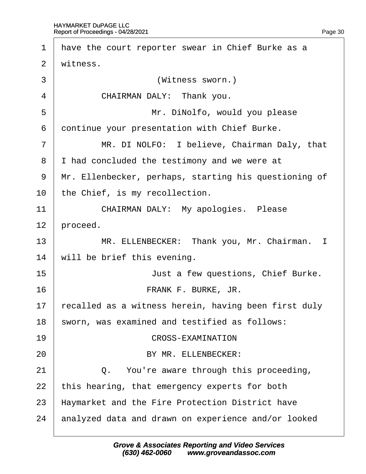| 1               | have the court reporter swear in Chief Burke as a     |
|-----------------|-------------------------------------------------------|
| 2               | witness.                                              |
| 3               | (Witness sworn.)                                      |
| 4               | CHAIRMAN DALY: Thank you.                             |
| 5               | Mr. DiNolfo, would you please                         |
| 6               | dontinue your presentation with Chief Burke.          |
| 7               | MR. DI NOLFO: I believe, Chairman Daly, that          |
| 8               | I had concluded the testimony and we were at          |
| 9               | Mr. Ellenbecker, perhaps, starting his questioning of |
| 10 <sup>°</sup> | the Chief, is my recollection.                        |
| 11              | <b>CHAIRMAN DALY: My apologies. Please</b>            |
| 12              | proceed.                                              |
| 13              | MR. ELLENBECKER: Thank you, Mr. Chairman. I           |
| 14              | will be brief this evening.                           |
| 15              | Just a few questions, Chief Burke.                    |
| 16              | FRANK F. BURKE, JR.                                   |
| 17              | recalled as a witness herein, having been first duly  |
| 18              | sworn, was examined and testified as follows:         |
| 19              | <b>CROSS-EXAMINATION</b>                              |
| 20              | BY MR. ELLENBECKER:                                   |
| 21              | Q. You're aware through this proceeding,              |
| 22              | this hearing, that emergency experts for both         |
| 23              | Haymarket and the Fire Protection District have       |
| 24              | analyzed data and drawn on experience and/or looked   |
|                 |                                                       |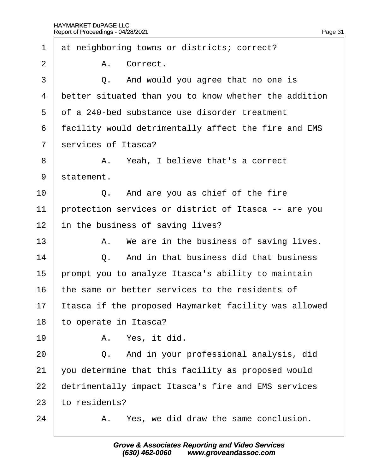| 1              |               | at neighboring towns or districts; correct?           |
|----------------|---------------|-------------------------------------------------------|
| $\overline{2}$ |               | A. Correct.                                           |
| 3              |               | Q. And would you agree that no one is                 |
| 4              |               | better situated than you to know whether the addition |
| 5              |               | of a 240-bed substance use disorder treatment         |
| 6              |               | facility would detrimentally affect the fire and EMS  |
| $\overline{7}$ |               | services of Itasca?                                   |
| 8              |               | A. Yeah, I believe that's a correct                   |
| 9              | statement.    |                                                       |
| 10             |               | Q. And are you as chief of the fire                   |
| 11             |               | protection services or district of Itasca -- are you  |
| 12             |               | in the business of saving lives?                      |
| 13             |               | A. We are in the business of saving lives.            |
| 14             |               | Q. And in that business did that business             |
| 15             |               | prompt you to analyze Itasca's ability to maintain    |
| 16             |               | the same or better services to the residents of       |
| 17             |               | tasca if the proposed Haymarket facility was allowed  |
| 18             |               | to operate in Itasca?                                 |
| 19             |               | A. Yes, it did.                                       |
| 20             |               | Q. And in your professional analysis, did             |
| 21             |               | you determine that this facility as proposed would    |
| 22             |               | detrimentally impact Itasca's fire and EMS services   |
| 23             | to residents? |                                                       |
| 24             |               | A. Yes, we did draw the same conclusion.              |
|                |               |                                                       |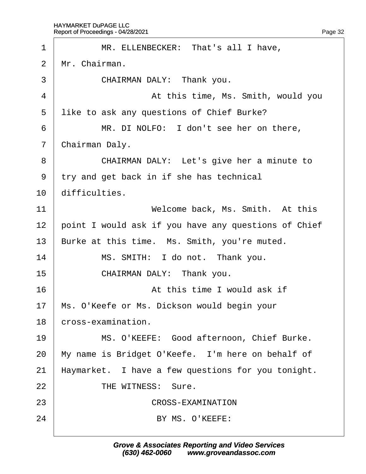| 1              | MR. ELLENBECKER: That's all I have,                  |
|----------------|------------------------------------------------------|
| 2              | Mr. Chairman.                                        |
| 3              | CHAIRMAN DALY: Thank you.                            |
| 4              | At this time, Ms. Smith, would you                   |
| 5              | like to ask any questions of Chief Burke?            |
| 6              | MR. DI NOLFO: I don't see her on there,              |
| $\overline{7}$ | Chairman Daly.                                       |
| 8              | CHAIRMAN DALY: Let's give her a minute to            |
| 9              | try and get back in if she has technical             |
| 10             | difficulties.                                        |
| 11             | Welcome back, Ms. Smith. At this                     |
| 12             | point I would ask if you have any questions of Chief |
| 13             | Burke at this time. Ms. Smith, you're muted.         |
| 14             | MS. SMITH: I do not. Thank you.                      |
| 15             | CHAIRMAN DALY: Thank you.                            |
| 16             | At this time I would ask if                          |
| 17             | Ms. O'Keefe or Ms. Dickson would begin your          |
| 18             | cross-examination.                                   |
| 19             | MS. O'KEEFE: Good afternoon, Chief Burke.            |
| 20             | My name is Bridget O'Keefe. I'm here on behalf of    |
| 21             | Haymarket. I have a few questions for you tonight.   |
| 22             | THE WITNESS: Sure.                                   |
| 23             | <b>CROSS-EXAMINATION</b>                             |
| 24             | BY MS. O'KEEFE:                                      |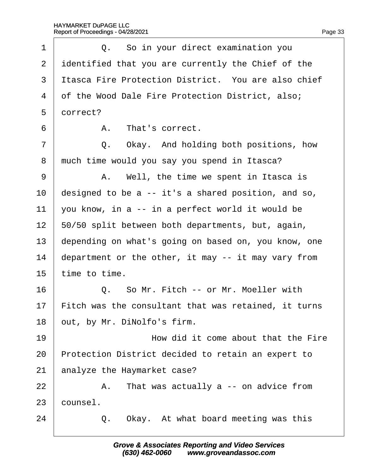| 1              | Q. So in your direct examination you                 |
|----------------|------------------------------------------------------|
| $\overline{2}$ | identified that you are currently the Chief of the   |
| 3              | Itasca Fire Protection District. You are also chief  |
| 4              | of the Wood Dale Fire Protection District, also;     |
| 5              | dorrect?                                             |
| 6              | A. That's correct.                                   |
| $\overline{7}$ | Q. Okay. And holding both positions, how             |
| 8              | much time would you say you spend in Itasca?         |
| 9              | A. Well, the time we spent in Itasca is              |
| 10             | designed to be a -- it's a shared position, and so,  |
| 11             | you know, in a -- in a perfect world it would be     |
| 12             | 50/50 split between both departments, but, again,    |
| 13             | depending on what's going on based on, you know, one |
| 14             | department or the other, it may -- it may vary from  |
| 15             | time to time.                                        |
| 16             | Q. So Mr. Fitch -- or Mr. Moeller with               |
| 17             | Fitch was the consultant that was retained, it turns |
| 18             | out, by Mr. DiNolfo's firm.                          |
| 19             | How did it come about that the Fire                  |
| 20             | Protection District decided to retain an expert to   |
| 21             | analyze the Haymarket case?                          |
| 22             | A. That was actually a -- on advice from             |
| 23             | counsel.                                             |
| 24             | Okay. At what board meeting was this<br>Q.           |
|                |                                                      |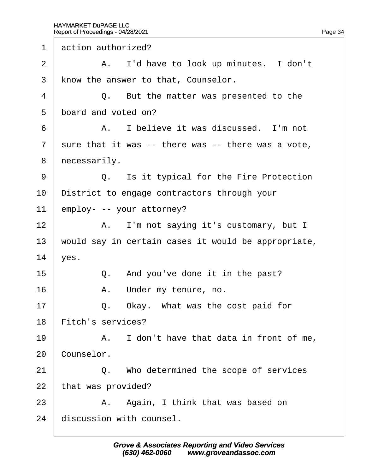1 action authorized?

| 2              | A. I'd have to look up minutes. I don't             |
|----------------|-----------------------------------------------------|
| 3              | know the answer to that, Counselor.                 |
| 4              | Q. But the matter was presented to the              |
| 5              | board and voted on?                                 |
| 6              | A. I believe it was discussed. I'm not              |
| $\overline{7}$ | sure that it was -- there was -- there was a vote,  |
| 8              | necessarily.                                        |
| 9              | Q. Is it typical for the Fire Protection            |
| 10             | District to engage contractors through your         |
| 11             | employ- -- your attorney?                           |
| 12             | A. I'm not saying it's customary, but I             |
| 13             | would say in certain cases it would be appropriate, |
| 14             | ves.                                                |
| 15             | Q. And you've done it in the past?                  |
| 16             | A. Under my tenure, no.                             |
| 17             | Q.<br>Okay. What was the cost paid for              |
| 18             | <b>Fitch's services?</b>                            |
| 19             | A. I don't have that data in front of me,           |
| 20             | Counselor.                                          |
| 21             | Q. Who determined the scope of services             |
| 22             | that was provided?                                  |
| 23             | A. Again, I think that was based on                 |
| 24             | discussion with counsel.                            |
|                |                                                     |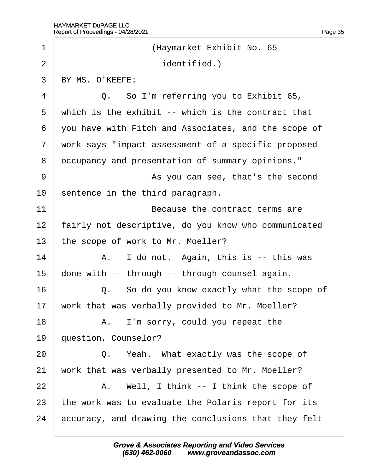| 1              | (Haymarket Exhibit No. 65                            |
|----------------|------------------------------------------------------|
| $\overline{2}$ | identified.)                                         |
| 3              | BY MS. O'KEEFE:                                      |
| 4              | Q. So I'm referring you to Exhibit 65,               |
| 5              | which is the exhibit -- which is the contract that   |
| 6              | you have with Fitch and Associates, and the scope of |
| $\overline{7}$ | work says "impact assessment of a specific proposed  |
| 8              | dccupancy and presentation of summary opinions."     |
| 9              | As you can see, that's the second                    |
| 10             | sentence in the third paragraph.                     |
| 11             | Because the contract terms are                       |
| 12             | airly not descriptive, do you know who communicated  |
| 13             | the scope of work to Mr. Moeller?                    |
| 14             | A. I do not. Again, this is -- this was              |
| 15             | done with -- through -- through counsel again.       |
| 16             | Q. So do you know exactly what the scope of          |
| 17             | work that was verbally provided to Mr. Moeller?      |
| 18             | A. I'm sorry, could you repeat the                   |
| 19             | question, Counselor?                                 |
| 20             | Q. Yeah. What exactly was the scope of               |
| 21             | work that was verbally presented to Mr. Moeller?     |
| 22             | A. Well, I think -- I think the scope of             |
| 23             | the work was to evaluate the Polaris report for its  |
| 24             | accuracy, and drawing the conclusions that they felt |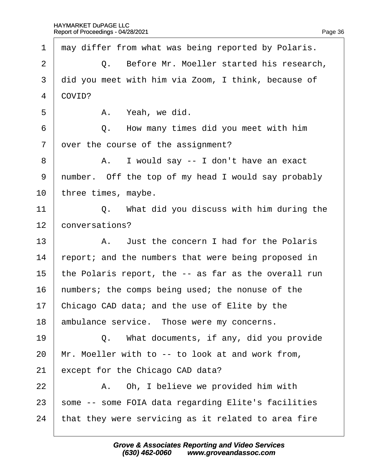|                |          | 1 may differ from what was being reported by Polaris. |
|----------------|----------|-------------------------------------------------------|
| 2 <sup>1</sup> |          | Q. Before Mr. Moeller started his research,           |
|                |          | 3 did you meet with him via Zoom, I think, because of |
|                | 4 COVID? |                                                       |
| 5              |          | A. Yeah, we did.                                      |
| 6 <sup>1</sup> |          | Q. How many times did you meet with him               |
|                |          | 7 over the course of the assignment?                  |
| 8              |          | A. I would say -- I don't have an exact               |
|                |          | 9 number. Off the top of my head I would say probably |
|                |          | 10 three times, maybe.                                |
| 11             |          | $\Omega$ What did you discuss with him during the     |

11  $\vert$  Q. What did you discuss with him during the 12 *conversations?* 

13 A. Just the concern I had for the Polaris

14 report; and the numbers that were being proposed in

15 the Polaris report, the -- as far as the overall run

16 humbers; the comps being used; the nonuse of the

17 Chicago CAD data; and the use of Elite by the

18 ambulance service. Those were my concerns.

19  $\parallel$  Q. What documents, if any, did you provide

20 Mr. Moeller with to -- to look at and work from,

21 except for the Chicago CAD data?

 $22$   $\parallel$  A. Oh, I believe we provided him with

23 some -- some FOIA data regarding Elite's facilities

24 that they were servicing as it related to area fire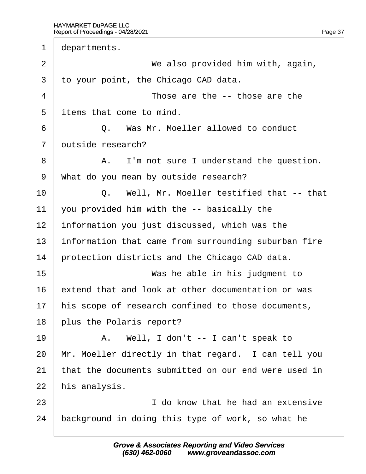1 departments. 2 **We also provided him with, again,** 3 to your point, the Chicago CAD data.  $4 \mid$  Those are the -- those are the 5 items that come to mind. ·6· · · · · ·Q.· ·Was Mr. Moeller allowed to conduct 7 dutside research? 8 | A. I'm not sure I understand the question. 9 What do you mean by outside research? 10 | Q. Well, Mr. Moeller testified that -- that 11 you provided him with the  $-$ - basically the 12 information you just discussed, which was the 13 information that came from surrounding suburban fire 14 protection districts and the Chicago CAD data. 15 **Was he able in his judgment to** 16 extend that and look at other documentation or was 17 his scope of research confined to those documents, 18 blus the Polaris report?  $19$  | A. Well, I don't -- I can't speak to 20 Mr. Moeller directly in that regard. I can tell you 21 that the documents submitted on our end were used in 22 his analysis.  $23$   $\parallel$   $\parallel$  do know that he had an extensive 24 background in doing this type of work, so what he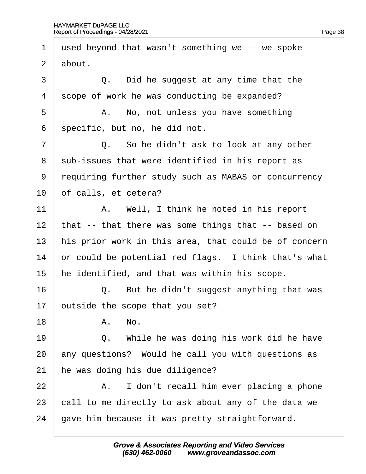| 1              | used beyond that wasn't something we -- we spoke      |
|----------------|-------------------------------------------------------|
| $\overline{2}$ | about.                                                |
| 3              | Q. Did he suggest at any time that the                |
| 4              | scope of work he was conducting be expanded?          |
| 5              | A. No, not unless you have something                  |
| 6              | specific, but no, he did not.                         |
| 7              | Q. So he didn't ask to look at any other              |
| 8              | sub-issues that were identified in his report as      |
| 9              | requiring further study such as MABAS or concurrency  |
| 10             | of calls, et cetera?                                  |
| 11             | A. Well, I think he noted in his report               |
| 12             | that -- that there was some things that -- based on   |
| 13             | his prior work in this area, that could be of concern |
| 14             | or could be potential red flags. I think that's what  |
| 15             | he identified, and that was within his scope.         |
| 16             | Q. But he didn't suggest anything that was            |
| 17             | putside the scope that you set?                       |
| 18             | A. No.                                                |
| 19             | Q. While he was doing his work did he have            |
| 20             | any questions? Would he call you with questions as    |
| 21             | he was doing his due diligence?                       |
| 22             | A. I don't recall him ever placing a phone            |
| 23             | call to me directly to ask about any of the data we   |
| 24             | gave him because it was pretty straightforward.       |
|                |                                                       |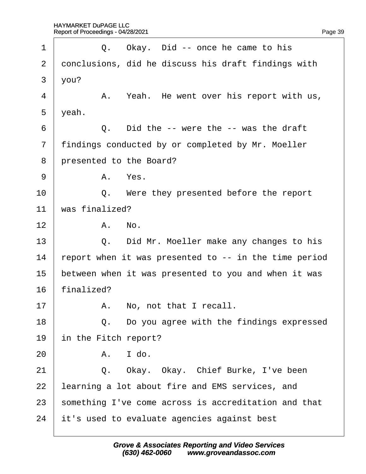| 1              | Q. Okay. Did -- once he came to his                   |
|----------------|-------------------------------------------------------|
| 2              | donclusions, did he discuss his draft findings with   |
| 3              | $\sqrt{ou?}$                                          |
| 4              | A. Yeah. He went over his report with us,             |
| 5              | yeah.                                                 |
| 6              | Q. Did the -- were the -- was the draft               |
| $\overline{7}$ | findings conducted by or completed by Mr. Moeller     |
| 8              | presented to the Board?                               |
| 9              | A. Yes.                                               |
| 10             | Q. Were they presented before the report              |
| 11             | was finalized?                                        |
| 12             | A. No.                                                |
| 13             | Q. Did Mr. Moeller make any changes to his            |
| 14             | report when it was presented to -- in the time period |
| 15             | between when it was presented to you and when it was  |
| 16             | finalized?                                            |
| 17             | A. No, not that I recall.                             |
| 18             | Q. Do you agree with the findings expressed           |
| 19             | in the Fitch report?                                  |
| 20             | I do.<br>А.                                           |
| 21             | Q. Okay. Okay. Chief Burke, I've been                 |
| 22             | learning a lot about fire and EMS services, and       |
| 23             | something I've come across is accreditation and that  |
| 24             | it's used to evaluate agencies against best           |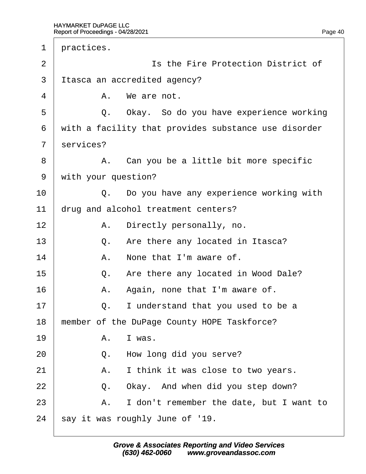| 1              | practices. |                                                      |
|----------------|------------|------------------------------------------------------|
| $\overline{2}$ |            | Is the Fire Protection District of                   |
| 3              |            | Itasca an accredited agency?                         |
| 4              |            | A. We are not.                                       |
| 5              |            | Q. Okay. So do you have experience working           |
| 6              |            | with a facility that provides substance use disorder |
| $\overline{7}$ | services?  |                                                      |
| 8              |            | A. Can you be a little bit more specific             |
| 9              |            | with your question?                                  |
| 10             |            | Q. Do you have any experience working with           |
| 11             |            | drug and alcohol treatment centers?                  |
| 12             | А.         | Directly personally, no.                             |
| 13             |            | Q. Are there any located in Itasca?                  |
| 14             |            | A. None that I'm aware of.                           |
| 15             |            | Q. Are there any located in Wood Dale?               |
| 16             | А.         | Again, none that I'm aware of.                       |
| 17             | Q.         | I understand that you used to be a                   |
| 18             |            | member of the DuPage County HOPE Taskforce?          |
| 19             | А.         | I was.                                               |
| 20             | Q.         | How long did you serve?                              |
| 21             | А.         | I think it was close to two years.                   |
| 22             | Q.         | Okay. And when did you step down?                    |
| 23             | А.         | I don't remember the date, but I want to             |
| 24             |            | say it was roughly June of '19.                      |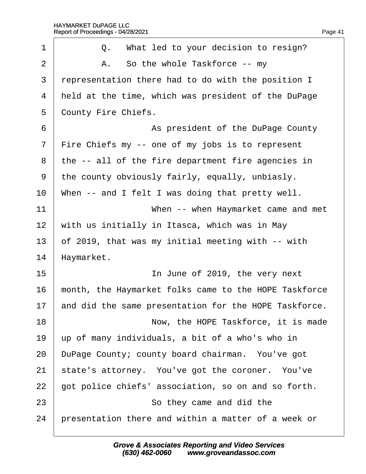| 1              | Q. What led to your decision to resign?               |
|----------------|-------------------------------------------------------|
| $\overline{2}$ | A. So the whole Taskforce -- my                       |
| 3              | representation there had to do with the position I    |
| 4              | held at the time, which was president of the DuPage   |
| 5              | <b>County Fire Chiefs.</b>                            |
| 6              | As president of the DuPage County                     |
| $\overline{7}$ | Fire Chiefs my -- one of my jobs is to represent      |
| 8              | the -- all of the fire department fire agencies in    |
| 9              | the county obviously fairly, equally, unbiasly.       |
| 10             | When -- and I felt I was doing that pretty well.      |
| 11             | When -- when Haymarket came and met                   |
| 12             | with us initially in Itasca, which was in May         |
| 13             | of 2019, that was my initial meeting with -- with     |
| 14             | Haymarket.                                            |
| 15             | In June of 2019, the very next                        |
| 16             | month, the Haymarket folks came to the HOPE Taskforce |
| 17             | and did the same presentation for the HOPE Taskforce. |
| 18             | Now, the HOPE Taskforce, it is made                   |
| 19             | up of many individuals, a bit of a who's who in       |
| 20             | DuPage County; county board chairman. You've got      |
| 21             | state's attorney. You've got the coroner. You've      |
| 22             | got police chiefs' association, so on and so forth.   |
| 23             | So they came and did the                              |
| 24             | presentation there and within a matter of a week or   |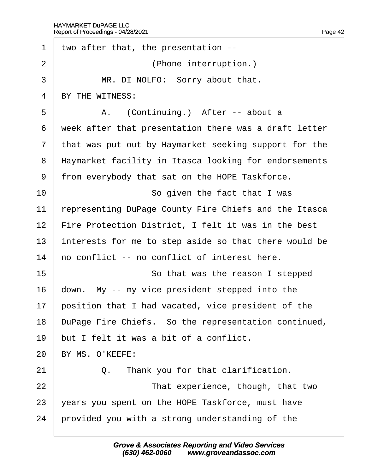| 1              | two after that, the presentation --                   |
|----------------|-------------------------------------------------------|
| $\overline{2}$ | (Phone interruption.)                                 |
| 3              | MR. DI NOLFO: Sorry about that.                       |
| 4              | BY THE WITNESS:                                       |
| 5              | A. (Continuing.) After -- about a                     |
| 6              | week after that presentation there was a draft letter |
| $\overline{7}$ | that was put out by Haymarket seeking support for the |
| 8              | Haymarket facility in Itasca looking for endorsements |
| 9              | from everybody that sat on the HOPE Taskforce.        |
| 10             | So given the fact that I was                          |
| 11             | representing DuPage County Fire Chiefs and the Itasca |
| 12             | Fire Protection District, I felt it was in the best   |
| 13             | interests for me to step aside so that there would be |
| 14             | ho conflict -- no conflict of interest here.          |
| 15             | So that was the reason I stepped                      |
| 16             | down. My -- my vice president stepped into the        |
| 17             | position that I had vacated, vice president of the    |
| 18             | DuPage Fire Chiefs. So the representation continued,  |
| 19             | but I felt it was a bit of a conflict.                |
| 20             | BY MS. O'KEEFE:                                       |
| 21             | Thank you for that clarification.<br>Q.               |
| 22             | That experience, though, that two                     |
| 23             | years you spent on the HOPE Taskforce, must have      |
| 24             | provided you with a strong understanding of the       |
|                |                                                       |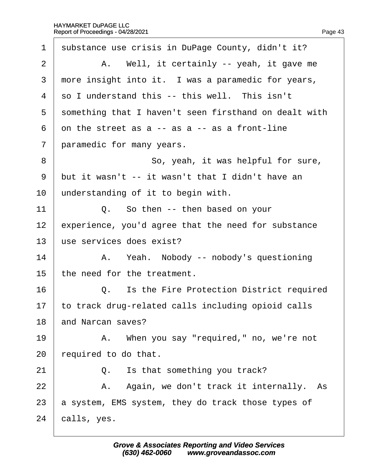| $\mathbf 1$    | substance use crisis in DuPage County, didn't it?     |
|----------------|-------------------------------------------------------|
| 2              | A. Well, it certainly -- yeah, it gave me             |
| 3              | more insight into it. I was a paramedic for years,    |
| 4              | so I understand this -- this well. This isn't         |
| 5              | something that I haven't seen firsthand on dealt with |
| 6              | on the street as $a - as a - as a$ front-line         |
| $\overline{7}$ | paramedic for many years.                             |
| 8              | So, yeah, it was helpful for sure,                    |
| 9              | but it wasn't -- it wasn't that I didn't have an      |
| 10             | understanding of it to begin with.                    |
| 11             | Q. So then -- then based on your                      |
| 12             | experience, you'd agree that the need for substance   |
| 13             | use services does exist?                              |
| 14             | A. Yeah. Nobody -- nobody's questioning               |
| 15             | the need for the treatment.                           |
| 16             | Q. Is the Fire Protection District required           |
| 17             | to track drug-related calls including opioid calls    |
| 18             | and Narcan saves?                                     |
| 19             | A. When you say "required," no, we're not             |
| 20             | equired to do that.                                   |
| 21             | Is that something you track?<br>Q.                    |
| 22             | A. Again, we don't track it internally. As            |
| 23             | a system, EMS system, they do track those types of    |
| 24             | calls, yes.                                           |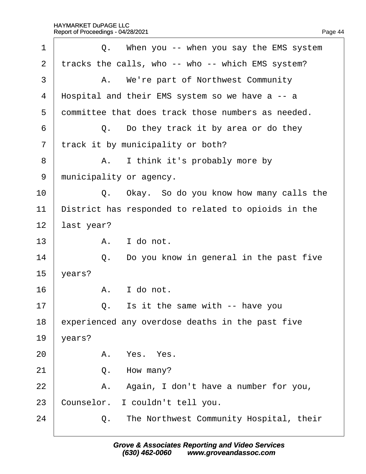| 1              |            | Q. When you -- when you say the EMS system          |
|----------------|------------|-----------------------------------------------------|
| 2              |            | tracks the calls, who -- who -- which EMS system?   |
| 3              |            | A. We're part of Northwest Community                |
| 4              |            | Hospital and their EMS system so we have a -- a     |
| 5              |            | dommittee that does track those numbers as needed.  |
| 6              |            | Q. Do they track it by area or do they              |
| $\overline{7}$ |            | track it by municipality or both?                   |
| 8              |            | A. I think it's probably more by                    |
| 9              |            | municipality or agency.                             |
| 10             |            | Q. Okay. So do you know how many calls the          |
| 11             |            | District has responded to related to opioids in the |
| 12             | last year? |                                                     |
| 13             |            | A. I do not.                                        |
| 14             |            | Q. Do you know in general in the past five          |
| 15             | years?     |                                                     |
| 16             |            | A. I do not.                                        |
| 17             | Q.         | Is it the same with -- have you                     |
| 18             |            | experienced any overdose deaths in the past five    |
| 19             | years?     |                                                     |
| 20             |            | A. Yes. Yes.                                        |
| 21             |            | Q. How many?                                        |
| 22             |            | A. Again, I don't have a number for you,            |
| 23             |            | Counselor. I couldn't tell you.                     |
| 24             |            | Q. The Northwest Community Hospital, their          |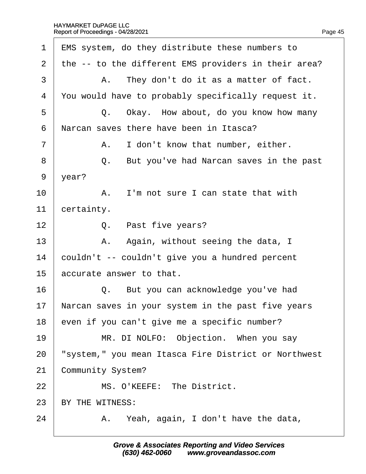| 1              | <b>EMS</b> system, do they distribute these numbers to |
|----------------|--------------------------------------------------------|
| 2              | the -- to the different EMS providers in their area?   |
| 3              | A. They don't do it as a matter of fact.               |
| 4              | You would have to probably specifically request it.    |
| 5              | Q. Okay. How about, do you know how many               |
| 6              | Narcan saves there have been in Itasca?                |
| $\overline{7}$ | I don't know that number, either.<br>А.                |
| 8              | But you've had Narcan saves in the past<br>Q.          |
| 9              | $\gamma$ ear?                                          |
| 10             | A. I'm not sure I can state that with                  |
| 11             | certainty.                                             |
| 12             | Q. Past five years?                                    |
| 13             | A. Again, without seeing the data, I                   |
| 14             | couldn't -- couldn't give you a hundred percent        |
| 15             | accurate answer to that.                               |
| 16             | Q. But you can acknowledge you've had                  |
| 17             | Narcan saves in your system in the past five years     |
| 18             | even if you can't give me a specific number?           |
| 19             | MR. DI NOLFO: Objection. When you say                  |
| 20             | 'system," you mean Itasca Fire District or Northwest   |
| 21             | Community System?                                      |
| 22             | MS. O'KEEFE: The District.                             |
| 23             | BY THE WITNESS:                                        |
| 24             | A. Yeah, again, I don't have the data,                 |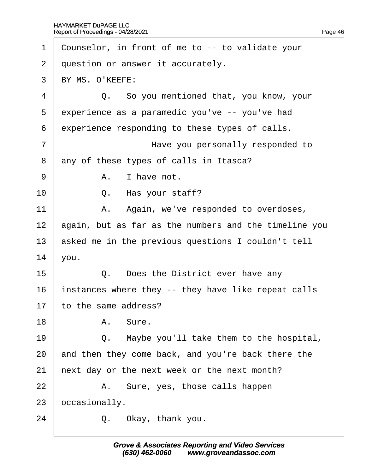| 1              | Counselor, in front of me to -- to validate your      |
|----------------|-------------------------------------------------------|
| $\overline{2}$ | question or answer it accurately.                     |
| 3              | BY MS. O'KEEFE:                                       |
| 4              | Q. So you mentioned that, you know, your              |
| 5              | experience as a paramedic you've -- you've had        |
| 6              | experience responding to these types of calls.        |
| 7              | Have you personally responded to                      |
| 8              | any of these types of calls in Itasca?                |
| 9              | A. I have not.                                        |
| 10             | Q. Has your staff?                                    |
| 11             | A. Again, we've responded to overdoses,               |
| 12             | again, but as far as the numbers and the timeline you |
| 13             | asked me in the previous questions I couldn't tell    |
| 14             | you.                                                  |
| 15             | Q. Does the District ever have any                    |
| 16             | instances where they -- they have like repeat calls   |
| 17             | to the same address?                                  |
| 18             | A. Sure.                                              |
| 19             | Maybe you'll take them to the hospital,<br>Q.         |
| 20             | and then they come back, and you're back there the    |
| 21             | hext day or the next week or the next month?          |
| 22             | A. Sure, yes, those calls happen                      |
| 23             | pccasionally.                                         |
| 24             | Q. Okay, thank you.                                   |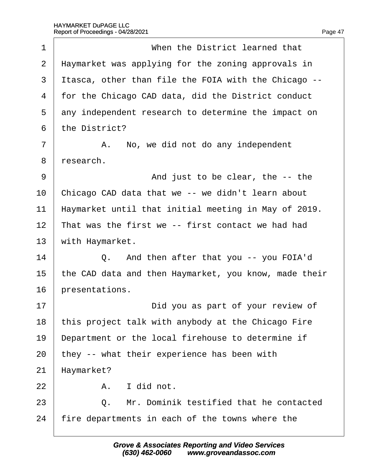| 1              | When the District learned that                        |
|----------------|-------------------------------------------------------|
| 2              | Haymarket was applying for the zoning approvals in    |
| 3              | Itasca, other than file the FOIA with the Chicago --  |
| 4              | for the Chicago CAD data, did the District conduct    |
| 5              | any independent research to determine the impact on   |
| 6              | the District?                                         |
| $\overline{7}$ | A. No, we did not do any independent                  |
| 8              | research.                                             |
| 9              | And just to be clear, the -- the                      |
| 10             | Chicago CAD data that we -- we didn't learn about     |
| 11             | Haymarket until that initial meeting in May of 2019.  |
| 12             | That was the first we -- first contact we had had     |
| 13             | with Haymarket.                                       |
| 14             | Q. And then after that you -- you FOIA'd              |
| 15             | the CAD data and then Haymarket, you know, made their |
| 16             | presentations.                                        |
| 17             | Did you as part of your review of                     |
| 18             | this project talk with anybody at the Chicago Fire    |
| 19             | Department or the local firehouse to determine if     |
| 20             | they -- what their experience has been with           |
| 21             | Haymarket?                                            |
| 22             | A. I did not.                                         |
| 23             | Mr. Dominik testified that he contacted<br>Q.         |
| 24             | fire departments in each of the towns where the       |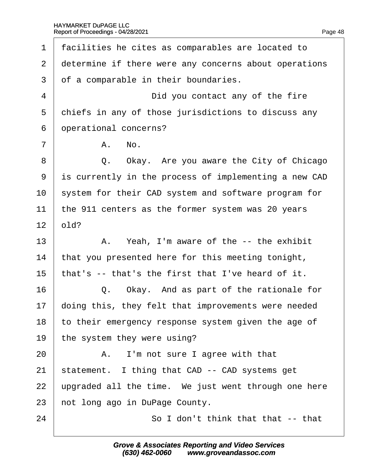1 facilities he cites as comparables are located to 2 determine if there were any concerns about operations 3 of a comparable in their boundaries. 4 **Did you contact any of the fire** 5 chiefs in any of those jurisdictions to discuss any 6 dperational concerns?  $7 \parallel$  A, No. 8 | Q. Okay. Are you aware the City of Chicago ·9· ·is currently in the process of implementing a new CAD 10 system for their CAD system and software program for 11 the 911 centers as the former system was 20 years  $12$  **bld**?  $13$  | A. Yeah, I'm aware of the  $-$  the exhibit 14 that you presented here for this meeting tonight, 15 that's -- that's the first that I've heard of it.  $16$   $\Box$  Q. Okay. And as part of the rationale for 17 doing this, they felt that improvements were needed 18 to their emergency response system given the age of 19 the system they were using?  $20$   $\parallel$  A. I'm not sure I agree with that 21 statement. I thing that CAD -- CAD systems get 22 upgraded all the time. We just went through one here 23 hot long ago in DuPage County. 24 **80 I don't think that that -- that**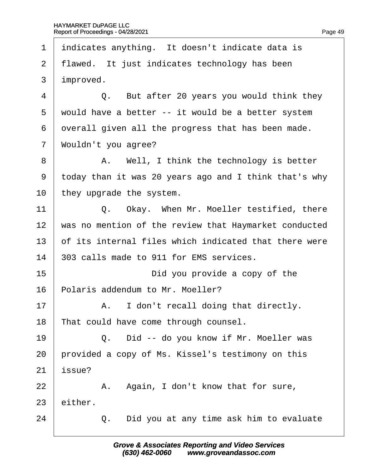1 indicates anything. It doesn't indicate data is 2 flawed. It just indicates technology has been 3 *improved.*  $4 \mid$  Q. But after 20 years you would think they 5 would have a better -- it would be a better system 6 dyerall given all the progress that has been made. 7 Wouldn't you agree? 8 | A. Well, I think the technology is better ·9· ·today than it was 20 years ago and I think that's why 10 they upgrade the system. 11  $\vert$  Q. Okay. When Mr. Moeller testified, there 12 was no mention of the review that Haymarket conducted 13 b f its internal files which indicated that there were 14 803 calls made to 911 for EMS services. 15· · · · · · · · · · ·Did you provide a copy of the 16 Polaris addendum to Mr. Moeller?  $17$   $\parallel$  A. I don't recall doing that directly. 18 That could have come through counsel. 19  $\vert$  Q. Did -- do you know if Mr. Moeller was 20 provided a copy of Ms. Kissel's testimony on this 21 *issue*?  $22$  | A. Again, I don't know that for sure, 23 either.  $24$   $\Box$  Q. Did you at any time ask him to evaluate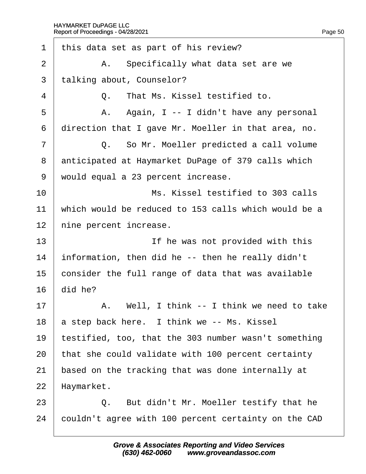| 1              | this data set as part of his review?                 |
|----------------|------------------------------------------------------|
| $\overline{2}$ | A. Specifically what data set are we                 |
| 3              | talking about, Counselor?                            |
| 4              | Q. That Ms. Kissel testified to.                     |
| 5              | A. Again, I -- I didn't have any personal            |
| 6              | direction that I gave Mr. Moeller in that area, no.  |
| 7              | Q. So Mr. Moeller predicted a call volume            |
| 8              | anticipated at Haymarket DuPage of 379 calls which   |
| 9              | would equal a 23 percent increase.                   |
| 10             | Ms. Kissel testified to 303 calls                    |
| 11             | which would be reduced to 153 calls which would be a |
| 12             | hine percent increase.                               |
| 13             | If he was not provided with this                     |
| 14             | information, then did he -- then he really didn't    |
| 15             | consider the full range of data that was available   |
| 16             | did he?                                              |
| 17             | A. Well, I think -- I think we need to take          |
| 18             | a step back here. I think we -- Ms. Kissel           |
| 19             | testified, too, that the 303 number wasn't something |
| 20             | that she could validate with 100 percent certainty   |
| 21             | based on the tracking that was done internally at    |
| 22             | Haymarket.                                           |
| 23             | Q. But didn't Mr. Moeller testify that he            |
| 24             | couldn't agree with 100 percent certainty on the CAD |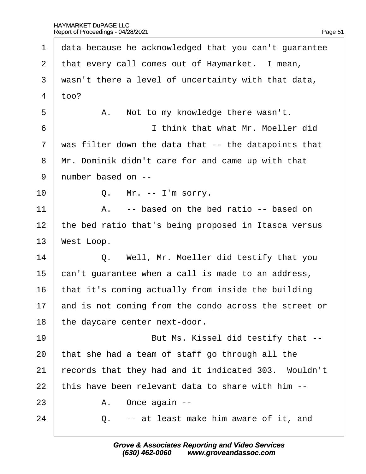| 1              | data because he acknowledged that you can't guarantee |  |  |  |
|----------------|-------------------------------------------------------|--|--|--|
| $\overline{2}$ | that every call comes out of Haymarket. I mean,       |  |  |  |
| 3              | wasn't there a level of uncertainty with that data,   |  |  |  |
| $\overline{4}$ | 100?                                                  |  |  |  |
| 5              | A. Not to my knowledge there wasn't.                  |  |  |  |
| 6              | I think that what Mr. Moeller did                     |  |  |  |
| $\overline{7}$ | was filter down the data that -- the datapoints that  |  |  |  |
| 8              | Mr. Dominik didn't care for and came up with that     |  |  |  |
| 9              | number based on --                                    |  |  |  |
| 10             | Q. Mr. -- I'm sorry.                                  |  |  |  |
| 11             | A. -- based on the bed ratio -- based on              |  |  |  |
| 12             | the bed ratio that's being proposed in Itasca versus  |  |  |  |
| 13             | West Loop.                                            |  |  |  |
| 14             | Q. Well, Mr. Moeller did testify that you             |  |  |  |
| 15             | can't guarantee when a call is made to an address,    |  |  |  |
| 16             | that it's coming actually from inside the building    |  |  |  |
| 17             | and is not coming from the condo across the street or |  |  |  |
| 18             | the daycare center next-door.                         |  |  |  |
| 19             | But Ms. Kissel did testify that --                    |  |  |  |
| 20             | that she had a team of staff go through all the       |  |  |  |
| 21             | records that they had and it indicated 303. Wouldn't  |  |  |  |
| 22             | this have been relevant data to share with him --     |  |  |  |
| 23             | A. Once again --                                      |  |  |  |
| 24             | Q. -- at least make him aware of it, and              |  |  |  |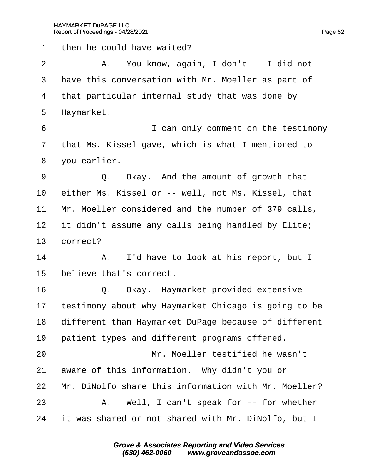1 then he could have waited?  $2 \mid$  A. You know, again, I don't -- I did not 3 Have this conversation with Mr. Moeller as part of 4 that particular internal study that was done by 5 Haymarket. ·6· · · · · · · · · · ·I can only comment on the testimony 7 that Ms. Kissel gave, which is what I mentioned to 8 vou earlier.  $9 \mid$  Q. Okay. And the amount of growth that 10 either Ms. Kissel or -- well, not Ms. Kissel, that 11 Mr. Moeller considered and the number of 379 calls, 12 it didn't assume any calls being handled by Elite; 13 **correct?** 14 | A. I'd have to look at his report, but I 15 believe that's correct. 16 **Q.** Okay. Haymarket provided extensive 17 testimony about why Haymarket Chicago is going to be 18 different than Haymarket DuPage because of different 19 patient types and different programs offered. 20 **I** Mr. Moeller testified he wasn't 21 aware of this information. Why didn't you or 22 Mr. DiNolfo share this information with Mr. Moeller?  $23$  | A. Well, I can't speak for -- for whether 24 it was shared or not shared with Mr. DiNolfo, but I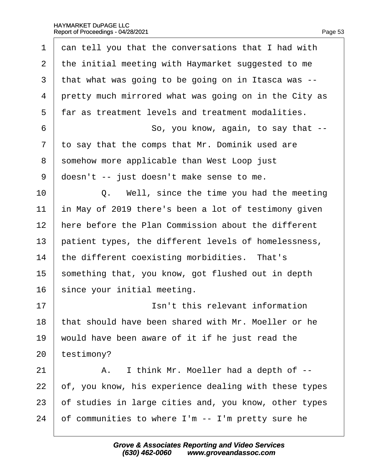| 1              | dan tell you that the conversations that I had with   |
|----------------|-------------------------------------------------------|
| 2              | the initial meeting with Haymarket suggested to me    |
| 3              | that what was going to be going on in Itasca was --   |
| 4              | pretty much mirrored what was going on in the City as |
| 5              | far as treatment levels and treatment modalities.     |
| 6              | So, you know, again, to say that --                   |
| $\overline{7}$ | to say that the comps that Mr. Dominik used are       |
| 8              | somehow more applicable than West Loop just           |
| 9              | doesn't -- just doesn't make sense to me.             |
| 10             | Q. Well, since the time you had the meeting           |
| 11             | in May of 2019 there's been a lot of testimony given  |
| 12             | here before the Plan Commission about the different   |
| 13             | patient types, the different levels of homelessness,  |
| 14             | the different coexisting morbidities. That's          |
| 15             | something that, you know, got flushed out in depth    |
| 16             | since your initial meeting.                           |
| 17             | Isn't this relevant information                       |
| 18             | that should have been shared with Mr. Moeller or he   |
| 19             | would have been aware of it if he just read the       |
| 20             | testimony?                                            |
| 21             | I think Mr. Moeller had a depth of --<br>А.           |
| 22             | of, you know, his experience dealing with these types |
| 23             | of studies in large cities and, you know, other types |
| 24             | of communities to where I'm -- I'm pretty sure he     |
|                |                                                       |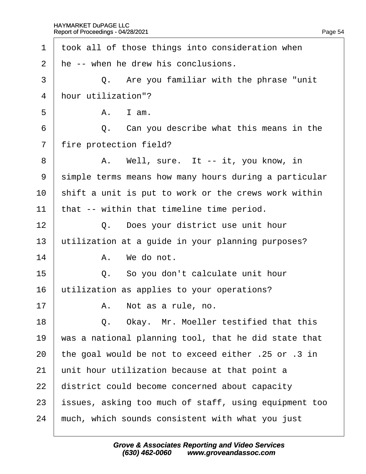| 1              | took all of those things into consideration when      |  |  |
|----------------|-------------------------------------------------------|--|--|
| $\overline{2}$ | He -- when he drew his conclusions.                   |  |  |
| 3              | Q. Are you familiar with the phrase "unit"            |  |  |
| $\overline{4}$ | hour utilization"?                                    |  |  |
| 5              | A. I am.                                              |  |  |
| 6              | Q. Can you describe what this means in the            |  |  |
| $\overline{7}$ | fire protection field?                                |  |  |
| 8              | A. Well, sure. It -- it, you know, in                 |  |  |
| 9              | simple terms means how many hours during a particular |  |  |
| 10             | shift a unit is put to work or the crews work within  |  |  |
| 11             | that -- within that timeline time period.             |  |  |
| 12             | Q. Does your district use unit hour                   |  |  |
| 13             | utilization at a guide in your planning purposes?     |  |  |
| 14             | A. We do not.                                         |  |  |
| 15             | Q. So you don't calculate unit hour                   |  |  |
| 16             | utilization as applies to your operations?            |  |  |
| 17             | A. Not as a rule, no.                                 |  |  |
| 18             | Okay. Mr. Moeller testified that this<br>Q.           |  |  |
| 19             | was a national planning tool, that he did state that  |  |  |
| 20             | the goal would be not to exceed either .25 or .3 in   |  |  |
| 21             | unit hour utilization because at that point a         |  |  |
| 22             | district could become concerned about capacity        |  |  |
| 23             | ssues, asking too much of staff, using equipment too  |  |  |
| 24             | much, which sounds consistent with what you just      |  |  |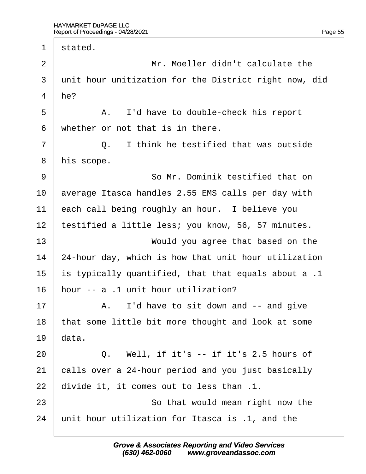1 stated.  $2 \quad | \quad$  Mr. Moeller didn't calculate the 3 unit hour unitization for the District right now, did 4  $he$ ? 5 | A. I'd have to double-check his report 6 whether or not that is in there.  $7 \mid$  Q. I think he testified that was outside 8 his scope. 9 **9** So Mr. Dominik testified that on 10 average Itasca handles 2.55 EMS calls per day with 11 each call being roughly an hour. I believe you 12 testified a little less; you know, 56, 57 minutes. 13 **Would you agree that based on the** 14 24-hour day, which is how that unit hour utilization 15 is typically quantified, that that equals about a .1 16 hour -- a .1 unit hour utilization?  $17$   $\parallel$  A. I'd have to sit down and -- and give 18 that some little bit more thought and look at some 19 $\theta$  data.  $20$   $\Box$  Q. Well, if it's -- if it's 2.5 hours of 21 calls over a 24-hour period and you just basically 22 divide it, it comes out to less than .1. 23 **So that would mean right now the** 24 unit hour utilization for Itasca is .1, and the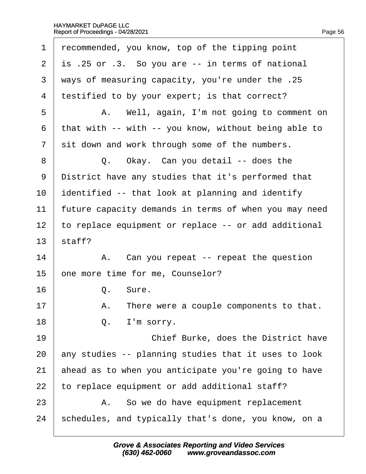| 1              | recommended, you know, top of the tipping point       |
|----------------|-------------------------------------------------------|
| $\overline{2}$ | is .25 or .3. So you are -- in terms of national      |
| 3              | ways of measuring capacity, you're under the .25      |
| $\overline{4}$ | testified to by your expert; is that correct?         |
| 5              | A. Well, again, I'm not going to comment on           |
| 6              | that with -- with -- you know, without being able to  |
| 7              | sit down and work through some of the numbers.        |
| 8              | Q. Okay. Can you detail -- does the                   |
| 9              | District have any studies that it's performed that    |
| 10             | dentified -- that look at planning and identify       |
| 11             | future capacity demands in terms of when you may need |
| 12             | to replace equipment or replace -- or add additional  |
| 13             | staff?                                                |
| 14             | A. Can you repeat -- repeat the question              |
| 15             | one more time for me, Counselor?                      |
| 16             | Q. Sure.                                              |
| 17             | A. There were a couple components to that.            |
| 18             | I'm sorry.<br>Q.                                      |
| 19             | Chief Burke, does the District have                   |
| 20             | any studies -- planning studies that it uses to look  |
| 21             | ahead as to when you anticipate you're going to have  |
| 22             | to replace equipment or add additional staff?         |
| 23             | A. So we do have equipment replacement                |
| 24             | schedules, and typically that's done, you know, on a  |
|                |                                                       |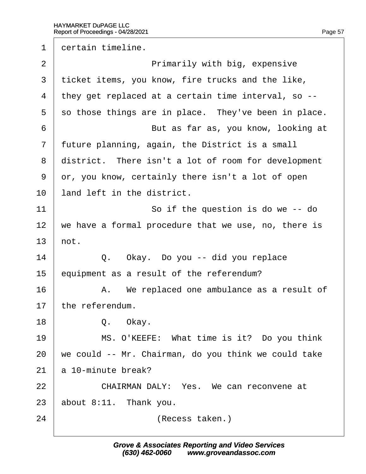1 dertain timeline.

| $\overline{2}$ | Primarily with big, expensive                        |  |  |  |  |
|----------------|------------------------------------------------------|--|--|--|--|
| 3              | ticket items, you know, fire trucks and the like,    |  |  |  |  |
| 4              | they get replaced at a certain time interval, so --  |  |  |  |  |
| 5              | so those things are in place. They've been in place. |  |  |  |  |
| 6              | But as far as, you know, looking at                  |  |  |  |  |
| 7              | future planning, again, the District is a small      |  |  |  |  |
| 8              | district. There isn't a lot of room for development  |  |  |  |  |
| 9              | dr, you know, certainly there isn't a lot of open    |  |  |  |  |
| 10             | land left in the district.                           |  |  |  |  |
| 11             | So if the question is do we -- do                    |  |  |  |  |
| 12             | we have a formal procedure that we use, no, there is |  |  |  |  |
| 13             | hot.                                                 |  |  |  |  |
| 14             | Q. Okay. Do you -- did you replace                   |  |  |  |  |
| 15             | equipment as a result of the referendum?             |  |  |  |  |
| 16             | A. We replaced one ambulance as a result of          |  |  |  |  |
| 17             | the referendum.                                      |  |  |  |  |
| 18             | Q. Okay.                                             |  |  |  |  |
| 19             | MS. O'KEEFE: What time is it? Do you think           |  |  |  |  |
| 20             | we could -- Mr. Chairman, do you think we could take |  |  |  |  |
| 21             | a 10-minute break?                                   |  |  |  |  |
| 22             | CHAIRMAN DALY: Yes. We can reconvene at              |  |  |  |  |
| 23             | about 8:11. Thank you.                               |  |  |  |  |
| 24             | (Recess taken.)                                      |  |  |  |  |
|                |                                                      |  |  |  |  |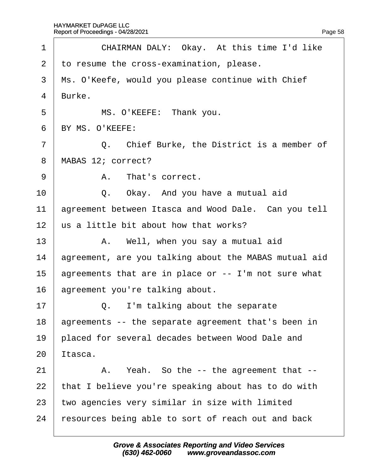| 1              | CHAIRMAN DALY: Okay. At this time I'd like            |
|----------------|-------------------------------------------------------|
| $\overline{2}$ | to resume the cross-examination, please.              |
| 3              | Ms. O'Keefe, would you please continue with Chief     |
| $\overline{4}$ | Burke.                                                |
| 5              | MS. O'KEEFE: Thank you.                               |
| 6              | BY MS. O'KEEFE:                                       |
| $\overline{7}$ | Q. Chief Burke, the District is a member of           |
| 8              | MABAS 12; correct?                                    |
| 9              | A. That's correct.                                    |
| 10             | Q. Okay. And you have a mutual aid                    |
| 11             | agreement between Itasca and Wood Dale. Can you tell  |
| 12             | us a little bit about how that works?                 |
| 13             | A. Well, when you say a mutual aid                    |
| 14             | agreement, are you talking about the MABAS mutual aid |
| 15             | agreements that are in place or -- I'm not sure what  |
| 16             | agreement you're talking about.                       |
| 17             | Q. I'm talking about the separate                     |
| 18             | agreements -- the separate agreement that's been in   |
| 19             | placed for several decades between Wood Dale and      |
| 20             | ltasca.                                               |
| 21             | A. Yeah. So the -- the agreement that --              |
| 22             | that I believe you're speaking about has to do with   |
| 23             | two agencies very similar in size with limited        |
| 24             | resources being able to sort of reach out and back    |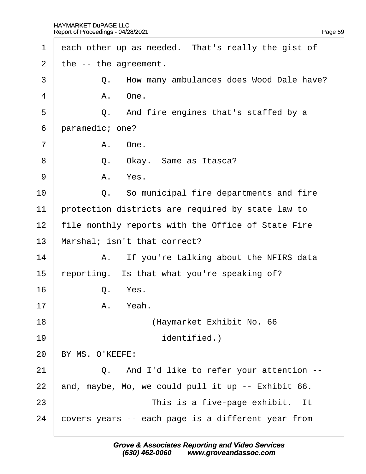| 1              | each other up as needed. That's really the gist of |
|----------------|----------------------------------------------------|
| $\overline{2}$ | the -- the agreement.                              |
| 3              | Q. How many ambulances does Wood Dale have?        |
| 4              | A. One.                                            |
| 5              | Q. And fire engines that's staffed by a            |
| 6              | paramedic; one?                                    |
| $\overline{7}$ | A. One.                                            |
| 8              | Q. Okay. Same as Itasca?                           |
| 9              | A. Yes.                                            |
| 10             | Q. So municipal fire departments and fire          |
| 11             | protection districts are required by state law to  |
| 12             | file monthly reports with the Office of State Fire |
| 13             | Marshal; isn't that correct?                       |
| 14             | A. If you're talking about the NFIRS data          |
| 15             | reporting. Is that what you're speaking of?        |
| 16             | Q. Yes.                                            |
| 17             | A. Yeah.                                           |
| 18             | (Haymarket Exhibit No. 66                          |
| 19             | identified.)                                       |
| 20             | BY MS. O'KEEFE:                                    |
| 21             | Q. And I'd like to refer your attention --         |
| 22             | and, maybe, Mo, we could pull it up -- Exhibit 66. |
| 23             | This is a five-page exhibit. It                    |
| 24             | covers years -- each page is a different year from |
|                |                                                    |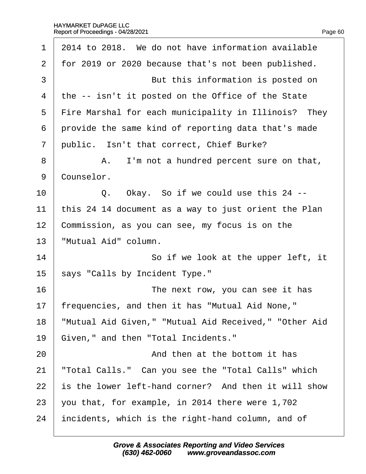| 1              | 2014 to 2018. We do not have information available    |
|----------------|-------------------------------------------------------|
| 2              | for 2019 or 2020 because that's not been published.   |
| 3              | But this information is posted on                     |
| 4              | the -- isn't it posted on the Office of the State     |
| 5              | Fire Marshal for each municipality in Illinois? They  |
| 6              | provide the same kind of reporting data that's made   |
| $\overline{7}$ | public. Isn't that correct, Chief Burke?              |
| 8              | A. I'm not a hundred percent sure on that,            |
| 9              | Counselor.                                            |
| 10             | Q. Okay. So if we could use this 24 --                |
| 11             | this 24 14 document as a way to just orient the Plan  |
| 12             | Commission, as you can see, my focus is on the        |
| 13             | 'Mutual Aid" column.                                  |
| 14             | So if we look at the upper left, it                   |
| 15             | says "Calls by Incident Type."                        |
| 16             | The next row, you can see it has                      |
| 17             | frequencies, and then it has "Mutual Aid None,"       |
| 18             | 'Mutual Aid Given," "Mutual Aid Received," "Other Aid |
| 19             | Given," and then "Total Incidents."                   |
| 20             | And then at the bottom it has                         |
| 21             | 'Total Calls." Can you see the "Total Calls" which    |
| 22             | is the lower left-hand corner? And then it will show  |
| 23             | you that, for example, in 2014 there were 1,702       |
| 24             | incidents, which is the right-hand column, and of     |
|                |                                                       |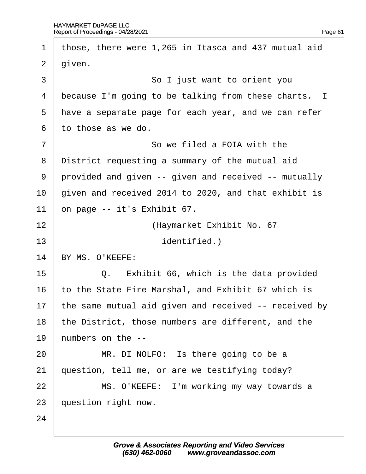| $\mathbf 1$    | those, there were 1,265 in Itasca and 437 mutual aid  |
|----------------|-------------------------------------------------------|
| $\overline{2}$ | given.                                                |
| 3              | So I just want to orient you                          |
| 4              | because I'm going to be talking from these charts. I  |
| 5              | have a separate page for each year, and we can refer  |
| 6              | to those as we do.                                    |
| 7              | So we filed a FOIA with the                           |
| 8              | District requesting a summary of the mutual aid       |
| 9              | provided and given -- given and received -- mutually  |
| 10             | given and received 2014 to 2020, and that exhibit is  |
| 11             | on page -- it's Exhibit 67.                           |
| 12             | (Haymarket Exhibit No. 67                             |
| 13             | <i>identified.)</i>                                   |
| 14             | BY MS. O'KEEFE:                                       |
| 15             | Q. Exhibit 66, which is the data provided             |
| 16             | to the State Fire Marshal, and Exhibit 67 which is    |
| 17             | the same mutual aid given and received -- received by |
| 18             | the District, those numbers are different, and the    |
| 19             | humbers on the --                                     |
| 20             | MR. DI NOLFO: Is there going to be a                  |
| 21             | question, tell me, or are we testifying today?        |
| 22             | MS. O'KEEFE: I'm working my way towards a             |
| 23             | question right now.                                   |
| 24             |                                                       |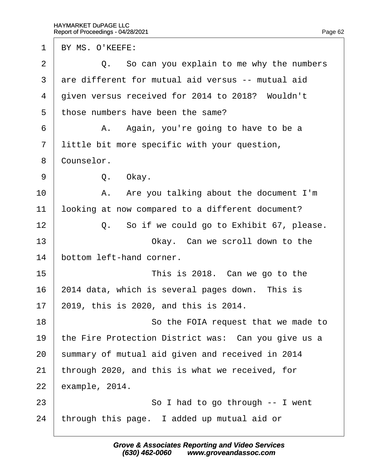| $\mathbf 1$    | BY MS. O'KEEFE:                                     |
|----------------|-----------------------------------------------------|
| $\overline{2}$ | Q. So can you explain to me why the numbers         |
| 3              | are different for mutual aid versus -- mutual aid   |
| 4              | given versus received for 2014 to 2018? Wouldn't    |
| 5              | those numbers have been the same?                   |
| 6              | A. Again, you're going to have to be a              |
| $\overline{7}$ | little bit more specific with your question,        |
| 8              | Counselor.                                          |
| 9              | Q. Okay.                                            |
| 10             | A. Are you talking about the document I'm           |
| 11             | ooking at now compared to a different document?     |
| 12             | Q. So if we could go to Exhibit 67, please.         |
| 13             | Okay. Can we scroll down to the                     |
| 14             | bottom left-hand corner.                            |
| 15             | This is 2018. Can we go to the                      |
| 16             | 2014 data, which is several pages down. This is     |
| 17             | 2019, this is 2020, and this is 2014.               |
| 18             | So the FOIA request that we made to                 |
| 19             | the Fire Protection District was: Can you give us a |
| 20             | summary of mutual aid given and received in 2014    |
| 21             | through 2020, and this is what we received, for     |
| 22             | example, 2014.                                      |
| 23             | So I had to go through -- I went                    |
| 24             | through this page. I added up mutual aid or         |
|                |                                                     |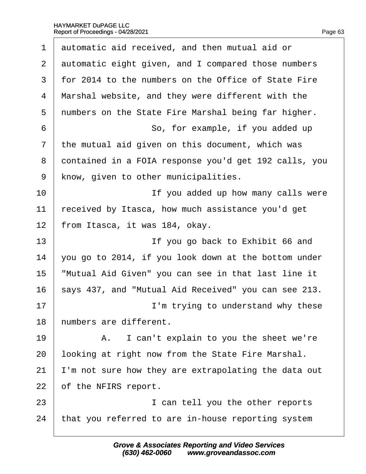|  |  | Page 63 |
|--|--|---------|
|  |  |         |

| $\mathbf 1$    | automatic aid received, and then mutual aid or        |
|----------------|-------------------------------------------------------|
| $\overline{2}$ | automatic eight given, and I compared those numbers   |
| 3              | for 2014 to the numbers on the Office of State Fire   |
| 4              | Marshal website, and they were different with the     |
| 5              | numbers on the State Fire Marshal being far higher.   |
| 6              | So, for example, if you added up                      |
| $\overline{7}$ | the mutual aid given on this document, which was      |
| 8              | dontained in a FOIA response you'd get 192 calls, you |
| 9              | know, given to other municipalities.                  |
| 10             | If you added up how many calls were                   |
| 11             | eceived by Itasca, how much assistance you'd get      |
| 12             | from Itasca, it was 184, okay.                        |
| 13             | If you go back to Exhibit 66 and                      |
| 14             | you go to 2014, if you look down at the bottom under  |
| 15             | 'Mutual Aid Given" you can see in that last line it   |
| 16             | says 437, and "Mutual Aid Received" you can see 213.  |
| 17             | I'm trying to understand why these                    |
| 18             | humbers are different.                                |
| 19             | I can't explain to you the sheet we're<br>A.          |
| 20             | looking at right now from the State Fire Marshal.     |
| 21             | 'm not sure how they are extrapolating the data out   |
| 22             | of the NFIRS report.                                  |
| 23             | I can tell you the other reports                      |
| 24             | that you referred to are in-house reporting system    |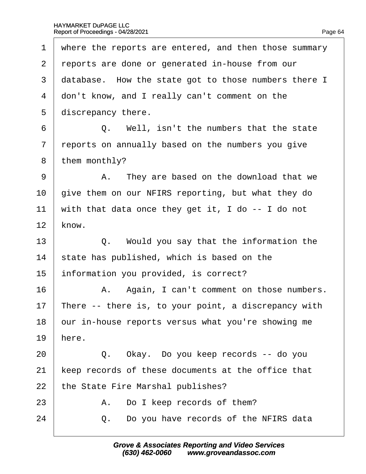| 1              | where the reports are entered, and then those summary |
|----------------|-------------------------------------------------------|
| 2              | reports are done or generated in-house from our       |
| 3              | database. How the state got to those numbers there I  |
| 4              | don't know, and I really can't comment on the         |
| 5              | discrepancy there.                                    |
| 6              | Q. Well, isn't the numbers that the state             |
| $\overline{7}$ | reports on annually based on the numbers you give     |
| 8              | them monthly?                                         |
| 9              | A. They are based on the download that we             |
| 10             | give them on our NFIRS reporting, but what they do    |
| 11             | with that data once they get it, I do -- I do not     |
| 12             | know.                                                 |
| 13             | Q. Would you say that the information the             |
| 14             | state has published, which is based on the            |
| 15             | information you provided, is correct?                 |
| 16             | A. Again, I can't comment on those numbers.           |
| 17             | There -- there is, to your point, a discrepancy with  |
| 18             | our in-house reports versus what you're showing me    |
| 19             | here.                                                 |
| 20             | Q. Okay. Do you keep records -- do you                |
| 21             | keep records of these documents at the office that    |
| 22             | the State Fire Marshal publishes?                     |
| 23             | Do I keep records of them?<br>А.                      |
| 24             | Do you have records of the NFIRS data<br>Q.           |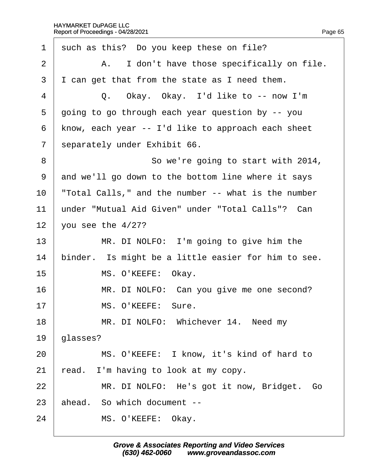| 1                        | such as this? Do you keep these on file?            |
|--------------------------|-----------------------------------------------------|
| $\overline{2}$           | A. I don't have those specifically on file.         |
| 3                        | I can get that from the state as I need them.       |
| 4                        | Q. Okay. Okay. I'd like to -- now I'm               |
| 5                        | going to go through each year question by -- you    |
| 6                        | know, each year -- I'd like to approach each sheet  |
| $\overline{\phantom{a}}$ | separately under Exhibit 66.                        |
| 8                        | So we're going to start with 2014,                  |
| 9                        | and we'll go down to the bottom line where it says  |
| 10                       | Total Calls," and the number -- what is the number  |
| 11                       | under "Mutual Aid Given" under "Total Calls"? Can   |
| 12                       | you see the $4/27$ ?                                |
| 13                       | MR. DI NOLFO: I'm going to give him the             |
| 14                       | binder. Is might be a little easier for him to see. |
| 15                       | MS. O'KEEFE: Okay.                                  |
| 16                       | MR. DI NOLFO: Can you give me one second?           |
| 17                       | MS. O'KEEFE: Sure.                                  |
| 18                       | MR. DI NOLFO: Whichever 14. Need my                 |
| 19                       | glasses?                                            |
| 20                       | MS. O'KEEFE: I know, it's kind of hard to           |
| 21                       | read. I'm having to look at my copy.                |
| 22                       | MR. DI NOLFO: He's got it now, Bridget. Go          |
| 23                       | ahead. So which document --                         |
| 24                       | MS. O'KEEFE: Okay.                                  |
|                          |                                                     |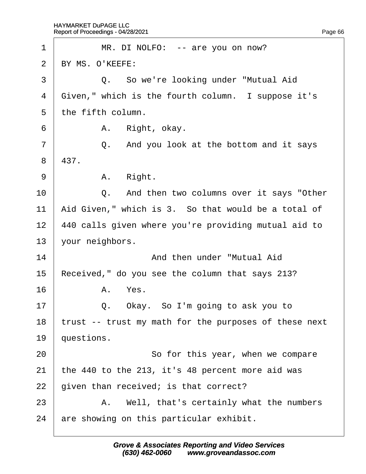| 1                 | MR. DI NOLFO: -- are you on now?                      |
|-------------------|-------------------------------------------------------|
| 2                 | BY MS. O'KEEFE:                                       |
| 3                 | Q. So we're looking under "Mutual Aid                 |
| 4                 | Given," which is the fourth column. I suppose it's    |
| 5                 | the fifth column.                                     |
| 6                 | A. Right, okay.                                       |
| $\overline{7}$    | Q. And you look at the bottom and it says             |
| 8                 | 437.                                                  |
| 9                 | A. Right.                                             |
| 10                | Q. And then two columns over it says "Other           |
| 11                | Aid Given," which is 3. So that would be a total of   |
| $12 \overline{ }$ | 440 calls given where you're providing mutual aid to  |
| 13                | your neighbors.                                       |
| 14                | And then under "Mutual Aid                            |
| 15                | Received," do you see the column that says 213?       |
| 16                | A. Yes.                                               |
| 17                | Q. Okay. So I'm going to ask you to                   |
| 18                | trust -- trust my math for the purposes of these next |
| 19                | questions.                                            |
| 20                | So for this year, when we compare                     |
| 21                | the 440 to the 213, it's 48 percent more aid was      |
| 22                | given than received; is that correct?                 |
| 23                | A. Well, that's certainly what the numbers            |
| 24                | are showing on this particular exhibit.               |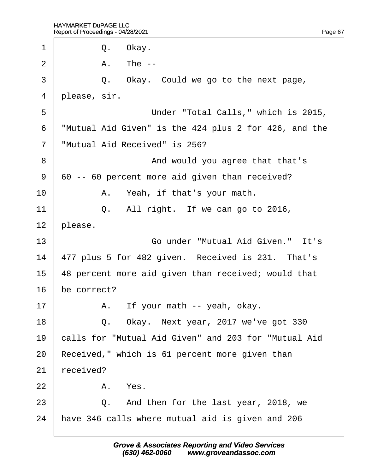| 1              | Q. Okay.                                              |
|----------------|-------------------------------------------------------|
| 2              | A. The --                                             |
| 3              | Q. Okay. Could we go to the next page,                |
| 4              | please, sir.                                          |
| 5              | Under "Total Calls," which is 2015,                   |
| 6              | "Mutual Aid Given" is the 424 plus 2 for 426, and the |
| $\overline{7}$ | "Mutual Aid Received" is 256?                         |
| 8              | And would you agree that that's                       |
| 9              | 60 -- 60 percent more aid given than received?        |
| 10             | A. Yeah, if that's your math.                         |
| 11             | Q. All right. If we can go to 2016,                   |
| 12             | please.                                               |
| 13             | Go under "Mutual Aid Given." It's                     |
| 14             | 477 plus 5 for 482 given. Received is 231. That's     |
| 15             | 48 percent more aid given than received; would that   |
| 16             | be correct?                                           |
| 17             | A. If your math -- yeah, okay.                        |
| 18             | Q. Okay. Next year, 2017 we've got 330                |
| 19             | calls for "Mutual Aid Given" and 203 for "Mutual Aid  |
| 20             | Received," which is 61 percent more given than        |
| 21             | received?                                             |
| 22             | A. Yes.                                               |
| 23             | Q. And then for the last year, 2018, we               |
| 24             | have 346 calls where mutual aid is given and 206      |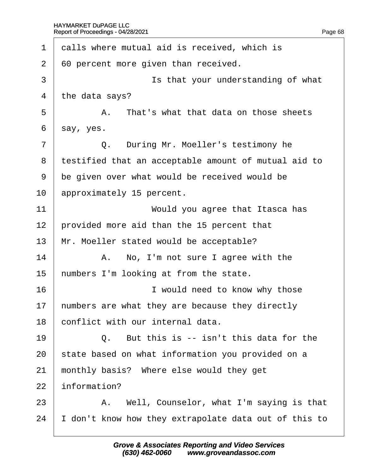| 1  | dalls where mutual aid is received, which is         |
|----|------------------------------------------------------|
| 2  | 60 percent more given than received.                 |
| 3  | Is that your understanding of what                   |
| 4  | the data says?                                       |
| 5  | A. That's what that data on those sheets             |
| 6  | say, yes.                                            |
| 7  | Q. During Mr. Moeller's testimony he                 |
| 8  | testified that an acceptable amount of mutual aid to |
| 9  | be given over what would be received would be        |
| 10 | approximately 15 percent.                            |
| 11 | Would you agree that Itasca has                      |
| 12 | provided more aid than the 15 percent that           |
| 13 | Mr. Moeller stated would be acceptable?              |
| 14 | A. No, I'm not sure I agree with the                 |
| 15 | humbers I'm looking at from the state.               |
| 16 | I would need to know why those                       |
| 17 | numbers are what they are because they directly      |
| 18 | conflict with our internal data.                     |
| 19 | Q. But this is -- isn't this data for the            |
| 20 | state based on what information you provided on a    |
| 21 | monthly basis? Where else would they get             |
| 22 | information?                                         |
| 23 | A. Well, Counselor, what I'm saying is that          |
| 24 | don't know how they extrapolate data out of this to  |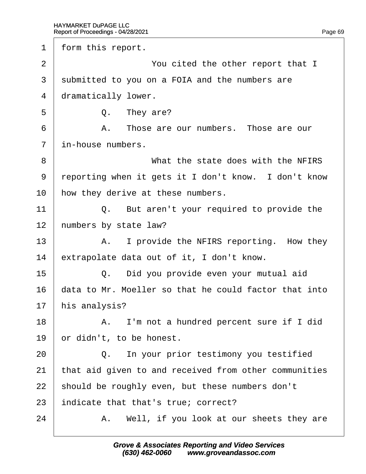1 form this report. 2 You cited the other report that I 3 submitted to you on a FOIA and the numbers are 4 dramatically lower.  $5 \mid$  Q. They are? 6 **A.** Those are our numbers. Those are our 7 in-house numbers. 8 **What the state does with the NFIRS** 9 reporting when it gets it I don't know. I don't know 10 how they derive at these numbers. 11  $\vert$  Q. But aren't your required to provide the 12 humbers by state law?  $13$  | A. I provide the NFIRS reporting. How they 14 extrapolate data out of it, I don't know.  $15$   $\Box$  Q. Did you provide even your mutual aid 16 data to Mr. Moeller so that he could factor that into 17 his analysis? 18 | A. I'm not a hundred percent sure if I did 19 br didn't, to be honest.  $20$   $\Box$  Q. In your prior testimony you testified 21 that aid given to and received from other communities 22 should be roughly even, but these numbers don't 23 indicate that that's true; correct?  $24$  | A. Well, if you look at our sheets they are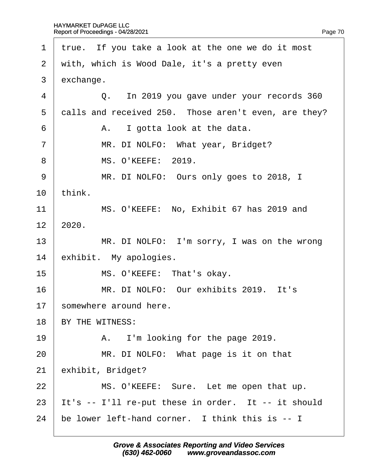|                | 1 true. If you take a look at the one we do it most  |
|----------------|------------------------------------------------------|
| 2              | with, which is Wood Dale, it's a pretty even         |
| 3              | exchange.                                            |
| $\overline{4}$ | Q. In 2019 you gave under your records 360           |
| 5              | dalls and received 250. Those aren't even, are they? |
| 6              | A. I gotta look at the data.                         |
| $\overline{7}$ | MR. DI NOLFO: What year, Bridget?                    |
| 8              | <b>MS. O'KEEFE: 2019.</b>                            |
| 9              | MR. DI NOLFO: Ours only goes to 2018, I              |
| 10             | think.                                               |
| 11             | MS. O'KEEFE: No, Exhibit 67 has 2019 and             |
| 12             | 2020.                                                |
| 13             | MR. DI NOLFO: I'm sorry, I was on the wrong          |
| 14             | exhibit. My apologies.                               |
| 15             | MS. O'KEEFE: That's okay.                            |
| 16             | MR. DI NOLFO: Our exhibits 2019. It's                |
| 17             | somewhere around here.                               |
| 18             | BY THE WITNESS:                                      |
| 19             | A. I'm looking for the page 2019.                    |
| 20             | MR. DI NOLFO: What page is it on that                |
| 21             | exhibit, Bridget?                                    |
| 22             | MS. O'KEEFE: Sure. Let me open that up.              |
| 23             | It's -- I'll re-put these in order. It -- it should  |
| 24             | be lower left-hand corner. I think this is -- I      |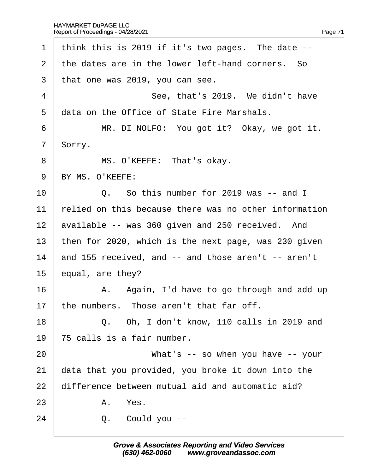1 think this is 2019 if it's two pages. The date  $-$ 2 the dates are in the lower left-hand corners. So 3 that one was 2019, you can see.  $4$   $\parallel$  See, that's 2019. We didn't have 5 data on the Office of State Fire Marshals.  $6$  | MR. DI NOLFO: You got it? Okay, we got it. 7 Sorry. 8 | MS. O'KEEFE: That's okay. 9 BY MS. O'KEEFE:  $10 \quad | \quad Q$ . So this number for 2019 was -- and I 11 relied on this because there was no other information 12 available -- was 360 given and 250 received. And 13 then for 2020, which is the next page, was 230 given 14 and 155 received, and -- and those aren't -- aren't 15  $\,$  equal, are they?  $16$  | A. Again, I'd have to go through and add up 17 the numbers. Those aren't that far off.  $18$   $\Box$  Q. Oh, I don't know, 110 calls in 2019 and 19  $\sqrt{75}$  calls is a fair number. 20 • What's -- so when you have -- your 21 data that you provided, you broke it down into the 22 difference between mutual aid and automatic aid?  $23$  A. Yes.  $24$   $\Box$  Q. Could you --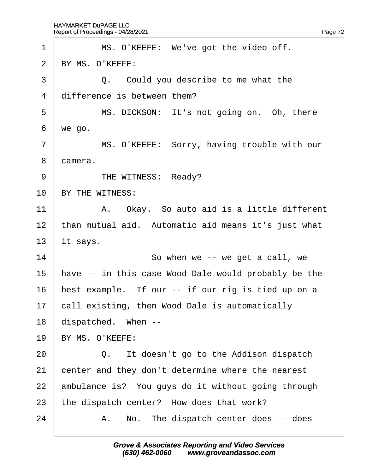| 1              | MS. O'KEEFE: We've got the video off.                |  |  |  |
|----------------|------------------------------------------------------|--|--|--|
| $\overline{2}$ | BY MS. O'KEEFE:                                      |  |  |  |
| 3              | Q. Could you describe to me what the                 |  |  |  |
| 4              | difference is between them?                          |  |  |  |
| 5              | MS. DICKSON: It's not going on. Oh, there            |  |  |  |
| 6              | we go.                                               |  |  |  |
| $\overline{7}$ | MS. O'KEEFE: Sorry, having trouble with our          |  |  |  |
| 8              | damera.                                              |  |  |  |
| 9              | THE WITNESS: Ready?                                  |  |  |  |
| 10             | BY THE WITNESS:                                      |  |  |  |
| 11             | A. Okay. So auto aid is a little different           |  |  |  |
| 12             | than mutual aid. Automatic aid means it's just what  |  |  |  |
| 13             | it says.                                             |  |  |  |
| 14             | So when we -- we get a call, we                      |  |  |  |
| 15             | have -- in this case Wood Dale would probably be the |  |  |  |
| 16             | best example. If our -- if our rig is tied up on a   |  |  |  |
| 17             | call existing, then Wood Dale is automatically       |  |  |  |
| 18             | dispatched. When --                                  |  |  |  |
| 19             | BY MS. O'KEEFE:                                      |  |  |  |
| 20             | It doesn't go to the Addison dispatch<br>Q.          |  |  |  |
| 21             | center and they don't determine where the nearest    |  |  |  |
| 22             | ambulance is? You guys do it without going through   |  |  |  |
| 23             | the dispatch center? How does that work?             |  |  |  |
| 24             | A. No. The dispatch center does -- does              |  |  |  |
|                |                                                      |  |  |  |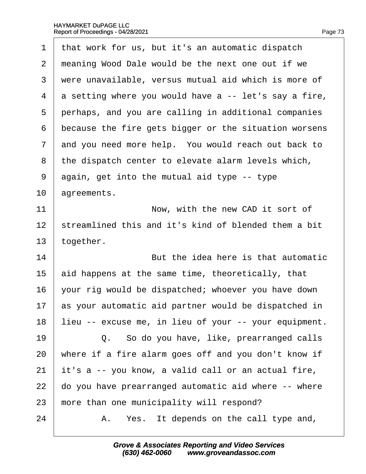| 1              | that work for us, but it's an automatic dispatch      |  |  |  |
|----------------|-------------------------------------------------------|--|--|--|
| $\overline{2}$ | meaning Wood Dale would be the next one out if we     |  |  |  |
| 3              | were unavailable, versus mutual aid which is more of  |  |  |  |
| 4              | a setting where you would have a -- let's say a fire, |  |  |  |
| 5              | perhaps, and you are calling in additional companies  |  |  |  |
| 6              | because the fire gets bigger or the situation worsens |  |  |  |
| $\overline{7}$ | and you need more help. You would reach out back to   |  |  |  |
| 8              | the dispatch center to elevate alarm levels which,    |  |  |  |
| 9              | again, get into the mutual aid type -- type           |  |  |  |
| 10             | agreements.                                           |  |  |  |
| 11             | Now, with the new CAD it sort of                      |  |  |  |
| 12             | streamlined this and it's kind of blended them a bit  |  |  |  |
| 13             | together.                                             |  |  |  |
| 14             | But the idea here is that automatic                   |  |  |  |
| 15             | aid happens at the same time, theoretically, that     |  |  |  |
| 16             | your rig would be dispatched; whoever you have down   |  |  |  |
| 17             | as your automatic aid partner would be dispatched in  |  |  |  |
| 18             | lieu -- excuse me, in lieu of your -- your equipment. |  |  |  |
| 19             | Q. So do you have, like, prearranged calls            |  |  |  |
| 20             | where if a fire alarm goes off and you don't know if  |  |  |  |
| 21             | it's a -- you know, a valid call or an actual fire,   |  |  |  |
| 22             | do you have prearranged automatic aid where -- where  |  |  |  |
| 23             | more than one municipality will respond?              |  |  |  |
| 24             | Yes. It depends on the call type and,<br>А.           |  |  |  |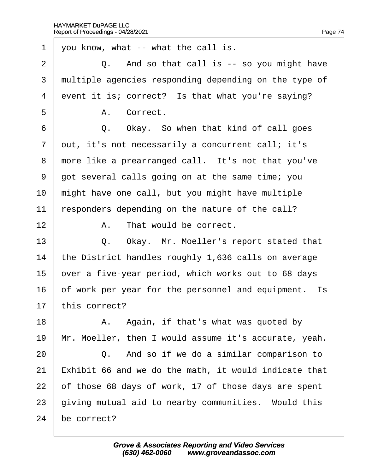1 you know, what -- what the call is.  $2 \mid Q$ . And so that call is  $-$  so you might have 3 multiple agencies responding depending on the type of 4 event it is; correct? Is that what you're saying? 5 | A Correct.  $6$   $\Box$  Q. Okay. So when that kind of call goes 7 dut, it's not necessarily a concurrent call; it's 8 more like a prearranged call. It's not that you've 9 got several calls going on at the same time; you 10 might have one call, but you might have multiple 11 responders depending on the nature of the call? 12 | A. That would be correct. 13 | Q. Okay. Mr. Moeller's report stated that 14 the District handles roughly 1,636 calls on average 15 byer a five-year period, which works out to 68 days 16 b f work per year for the personnel and equipment. Is 17 this correct? 18  $\parallel$  A. Again, if that's what was quoted by 19 Mr. Moeller, then I would assume it's accurate, yeah.  $20$   $\Box$  Q. And so if we do a similar comparison to 21 Exhibit 66 and we do the math, it would indicate that 22 b f those 68 days of work, 17 of those days are spent 23 giving mutual aid to nearby communities. Would this 24 be correct?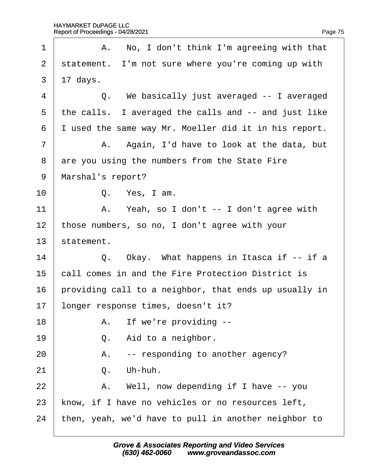$\Gamma$ 

| 1  | A. No, I don't think I'm agreeing with that           |  |  |
|----|-------------------------------------------------------|--|--|
| 2  | statement. I'm not sure where you're coming up with   |  |  |
| 3  | $17$ days.                                            |  |  |
| 4  | Q. We basically just averaged -- I averaged           |  |  |
| 5  | the calls. I averaged the calls and -- and just like  |  |  |
| 6  | I used the same way Mr. Moeller did it in his report. |  |  |
| 7  | A. Again, I'd have to look at the data, but           |  |  |
| 8  | are you using the numbers from the State Fire         |  |  |
| 9  | Marshal's report?                                     |  |  |
| 10 | Q. Yes, I am.                                         |  |  |
| 11 | A. Yeah, so I don't -- I don't agree with             |  |  |
| 12 | those numbers, so no, I don't agree with your         |  |  |
| 13 | statement.                                            |  |  |
| 14 | Q. Okay. What happens in Itasca if -- if a            |  |  |
| 15 | call comes in and the Fire Protection District is     |  |  |
| 16 | providing call to a neighbor, that ends up usually in |  |  |
| 17 | longer response times, doesn't it?                    |  |  |
| 18 | A. If we're providing --                              |  |  |
| 19 | Aid to a neighbor.<br>Q.                              |  |  |
| 20 | -- responding to another agency?<br>А.                |  |  |
| 21 | Uh-huh.<br>Q.                                         |  |  |
| 22 | A. Well, now depending if I have -- you               |  |  |
| 23 | know, if I have no vehicles or no resources left,     |  |  |
| 24 | then, yeah, we'd have to pull in another neighbor to  |  |  |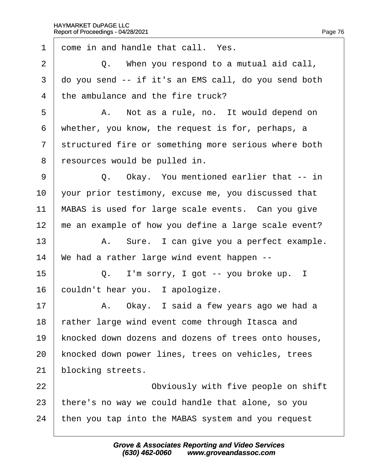$\Gamma$ 

| 1              | dome in and handle that call. Yes.                   |  |  |  |
|----------------|------------------------------------------------------|--|--|--|
| $\overline{2}$ | Q. When you respond to a mutual aid call,            |  |  |  |
| 3              | do you send -- if it's an EMS call, do you send both |  |  |  |
| 4              | the ambulance and the fire truck?                    |  |  |  |
| 5              | A. Not as a rule, no. It would depend on             |  |  |  |
| 6              | whether, you know, the request is for, perhaps, a    |  |  |  |
| $\overline{7}$ | structured fire or something more serious where both |  |  |  |
| 8              | resources would be pulled in.                        |  |  |  |
| 9              | Q. Okay. You mentioned earlier that -- in            |  |  |  |
| 10             | your prior testimony, excuse me, you discussed that  |  |  |  |
| 11             | MABAS is used for large scale events. Can you give   |  |  |  |
| 12             | me an example of how you define a large scale event? |  |  |  |
| 13             | A. Sure. I can give you a perfect example.           |  |  |  |
| 14             | We had a rather large wind event happen --           |  |  |  |
| 15             | Q. I'm sorry, I got -- you broke up. I               |  |  |  |
| 16             | couldn't hear you. I apologize.                      |  |  |  |
| 17             | A. Okay. I said a few years ago we had a             |  |  |  |
| 18             | rather large wind event come through Itasca and      |  |  |  |
| 19             | knocked down dozens and dozens of trees onto houses, |  |  |  |
| 20             | knocked down power lines, trees on vehicles, trees   |  |  |  |
| 21             | blocking streets.                                    |  |  |  |
| 22             | Obviously with five people on shift                  |  |  |  |
| 23             | there's no way we could handle that alone, so you    |  |  |  |
| 24             | then you tap into the MABAS system and you request   |  |  |  |
|                |                                                      |  |  |  |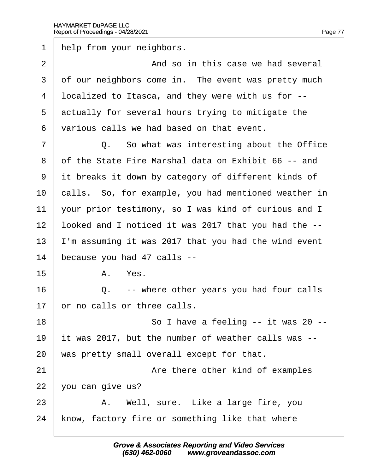1 help from your neighbors. 2  $\parallel$  2 And so in this case we had several 3 df our neighbors come in. The event was pretty much 4 localized to Itasca, and they were with us for --5 dectually for several hours trying to mitigate the ·6· ·various calls we had based on that event.  $7 \mid$  Q. So what was interesting about the Office ·8· ·of the State Fire Marshal data on Exhibit 66 -- and 9 it breaks it down by category of different kinds of 10 calls. So, for example, you had mentioned weather in 11 your prior testimony, so I was kind of curious and I 12 looked and I noticed it was 2017 that you had the --13 I'm assuming it was 2017 that you had the wind event 14 because you had 47 calls -- $15$  A Yes.  $16$   $\Box$  Q. -- where other years you had four calls 17 br no calls or three calls.  $18$   $\parallel$  So I have a feeling -- it was 20 --19 it was 2017, but the number of weather calls was --20 was pretty small overall except for that. 21 **Are there other kind of examples**  $22\;$  you can give us?  $23$  | A. Well, sure. Like a large fire, you 24 know, factory fire or something like that where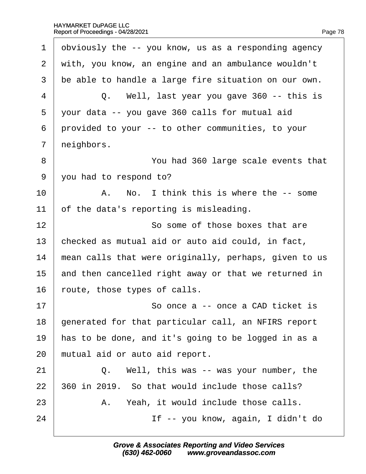$\Gamma$ 

| $\mathbf 1$    | obviously the -- you know, us as a responding agency  |  |  |  |
|----------------|-------------------------------------------------------|--|--|--|
| $\overline{2}$ | with, you know, an engine and an ambulance wouldn't   |  |  |  |
| 3              | be able to handle a large fire situation on our own.  |  |  |  |
| 4              | Q. Well, last year you gave 360 -- this is            |  |  |  |
| 5              | your data -- you gave 360 calls for mutual aid        |  |  |  |
| 6              | provided to your -- to other communities, to your     |  |  |  |
| 7              | neighbors.                                            |  |  |  |
| 8              | You had 360 large scale events that                   |  |  |  |
| 9              | you had to respond to?                                |  |  |  |
| 10             | A. No. I think this is where the -- some              |  |  |  |
| 11             | of the data's reporting is misleading.                |  |  |  |
| 12             | So some of those boxes that are                       |  |  |  |
| 13             | checked as mutual aid or auto aid could, in fact,     |  |  |  |
| 14             | mean calls that were originally, perhaps, given to us |  |  |  |
| 15             | and then cancelled right away or that we returned in  |  |  |  |
| 16             | foute, those types of calls.                          |  |  |  |
| 17             | So once a -- once a CAD ticket is                     |  |  |  |
| 18             | generated for that particular call, an NFIRS report   |  |  |  |
| 19             | has to be done, and it's going to be logged in as a   |  |  |  |
| 20             | mutual aid or auto aid report.                        |  |  |  |
| 21             | Q. Well, this was -- was your number, the             |  |  |  |
| 22             | 360 in 2019. So that would include those calls?       |  |  |  |
| 23             | A. Yeah, it would include those calls.                |  |  |  |
| 24             | If -- you know, again, I didn't do                    |  |  |  |
|                |                                                       |  |  |  |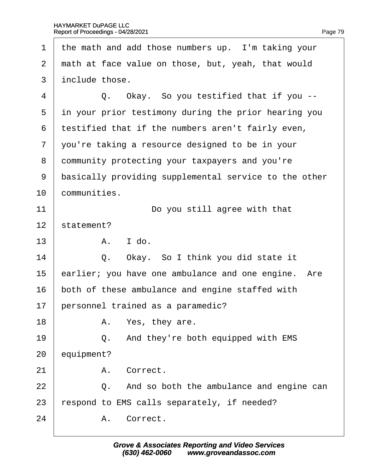| 1              | the math and add those numbers up. I'm taking your    |  |  |
|----------------|-------------------------------------------------------|--|--|
| $\overline{2}$ | math at face value on those, but, yeah, that would    |  |  |
| 3              | include those.                                        |  |  |
| 4              | Q. Okay. So you testified that if you --              |  |  |
| 5              | in your prior testimony during the prior hearing you  |  |  |
| 6              | testified that if the numbers aren't fairly even,     |  |  |
| $\overline{7}$ | you're taking a resource designed to be in your       |  |  |
| 8              | dommunity protecting your taxpayers and you're        |  |  |
| 9              | basically providing supplemental service to the other |  |  |
| 10             | communities.                                          |  |  |
| 11             | Do you still agree with that                          |  |  |
| 12             | statement?                                            |  |  |
| 13             | A. I do.                                              |  |  |
| 14             | Q. Okay. So I think you did state it                  |  |  |
| 15             | earlier; you have one ambulance and one engine. Are   |  |  |
| 16             | both of these ambulance and engine staffed with       |  |  |
| 17             | personnel trained as a paramedic?                     |  |  |
| 18             | A. Yes, they are.                                     |  |  |
| 19             | Q. And they're both equipped with EMS                 |  |  |
| 20             | equipment?                                            |  |  |
| 21             | A. Correct.                                           |  |  |
| 22             | Q. And so both the ambulance and engine can           |  |  |
| 23             | espond to EMS calls separately, if needed?            |  |  |
| 24             | A. Correct.                                           |  |  |
|                |                                                       |  |  |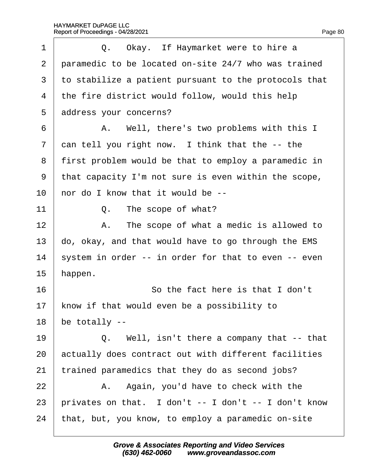| 1              | Q. Okay. If Haymarket were to hire a                  |  |  |  |
|----------------|-------------------------------------------------------|--|--|--|
| 2              | paramedic to be located on-site 24/7 who was trained  |  |  |  |
| 3              | to stabilize a patient pursuant to the protocols that |  |  |  |
| 4              | the fire district would follow, would this help       |  |  |  |
| 5              | address your concerns?                                |  |  |  |
| 6              | A. Well, there's two problems with this I             |  |  |  |
| $\overline{7}$ | dan tell you right now. I think that the -- the       |  |  |  |
| 8              | first problem would be that to employ a paramedic in  |  |  |  |
| 9              | that capacity I'm not sure is even within the scope,  |  |  |  |
| 10             | hor do I know that it would be --                     |  |  |  |
| 11             | Q. The scope of what?                                 |  |  |  |
| 12             | A. The scope of what a medic is allowed to            |  |  |  |
| 13             | do, okay, and that would have to go through the EMS   |  |  |  |
| 14             | system in order -- in order for that to even -- even  |  |  |  |
| 15             | happen.                                               |  |  |  |
| 16             | So the fact here is that I don't                      |  |  |  |
| 17             | know if that would even be a possibility to           |  |  |  |
| 18             | be totally --                                         |  |  |  |
| 19             | Q. Well, isn't there a company that -- that           |  |  |  |
| 20             | actually does contract out with different facilities  |  |  |  |
| 21             | trained paramedics that they do as second jobs?       |  |  |  |
| 22             | A. Again, you'd have to check with the                |  |  |  |
| 23             | privates on that. I don't -- I don't -- I don't know  |  |  |  |
| 24             | that, but, you know, to employ a paramedic on-site    |  |  |  |
|                |                                                       |  |  |  |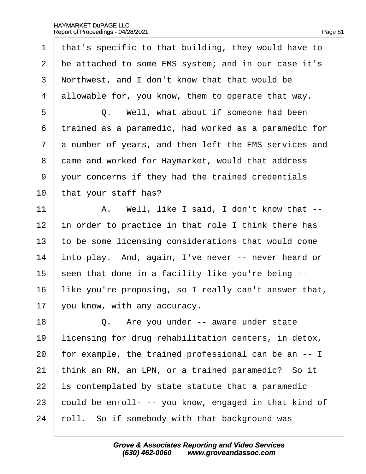| 1              | that's specific to that building, they would have to  |  |  |  |
|----------------|-------------------------------------------------------|--|--|--|
| 2              | be attached to some EMS system; and in our case it's  |  |  |  |
| 3              | Northwest, and I don't know that that would be        |  |  |  |
| 4              | allowable for, you know, them to operate that way.    |  |  |  |
| 5              | Q. Well, what about if someone had been               |  |  |  |
| 6              | trained as a paramedic, had worked as a paramedic for |  |  |  |
| $\overline{7}$ | a number of years, and then left the EMS services and |  |  |  |
| 8              | dame and worked for Haymarket, would that address     |  |  |  |
| 9              | your concerns if they had the trained credentials     |  |  |  |
| 10             | that your staff has?                                  |  |  |  |
| 11             | A. Well, like I said, I don't know that --            |  |  |  |
| 12             | in order to practice in that role I think there has   |  |  |  |
| 13             | to be some licensing considerations that would come   |  |  |  |
| 14             | into play. And, again, I've never -- never heard or   |  |  |  |
| 15             | seen that done in a facility like you're being --     |  |  |  |
| 16             | like you're proposing, so I really can't answer that, |  |  |  |
| 17             | you know, with any accuracy.                          |  |  |  |
| 18             | Q. Are you under -- aware under state                 |  |  |  |
| 19             | licensing for drug rehabilitation centers, in detox,  |  |  |  |
| 20             | for example, the trained professional can be an -- I  |  |  |  |
| 21             | think an RN, an LPN, or a trained paramedic? So it    |  |  |  |
| 22             | is contemplated by state statute that a paramedic     |  |  |  |
| 23             | could be enroll- -- you know, engaged in that kind of |  |  |  |
| 24             | foll. So if somebody with that background was         |  |  |  |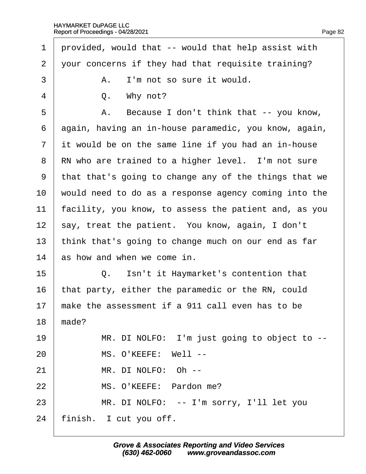| 1              | provided, would that -- would that help assist with   |  |  |  |
|----------------|-------------------------------------------------------|--|--|--|
| $\overline{2}$ | your concerns if they had that requisite training?    |  |  |  |
| 3              | A. I'm not so sure it would.                          |  |  |  |
| 4              | Q. Why not?                                           |  |  |  |
| 5              | A. Because I don't think that -- you know,            |  |  |  |
| 6              | again, having an in-house paramedic, you know, again, |  |  |  |
| $\overline{7}$ | it would be on the same line if you had an in-house   |  |  |  |
| 8              | RN who are trained to a higher level. I'm not sure    |  |  |  |
| 9              | that that's going to change any of the things that we |  |  |  |
| 10             | would need to do as a response agency coming into the |  |  |  |
| 11             | facility, you know, to assess the patient and, as you |  |  |  |
| 12             | say, treat the patient. You know, again, I don't      |  |  |  |
| 13             | think that's going to change much on our end as far   |  |  |  |
| 14             | as how and when we come in.                           |  |  |  |
| 15             | Q. Isn't it Haymarket's contention that               |  |  |  |
| 16             | that party, either the paramedic or the RN, could     |  |  |  |
| 17             | make the assessment if a 911 call even has to be      |  |  |  |
| 18             | made?                                                 |  |  |  |
| 19             | MR. DI NOLFO: I'm just going to object to --          |  |  |  |
| 20             | MS. O'KEEFE: Well --                                  |  |  |  |
| 21             | MR. DI NOLFO: Oh --                                   |  |  |  |
| 22             | MS. O'KEEFE: Pardon me?                               |  |  |  |
| 23             | MR. DI NOLFO: -- I'm sorry, I'll let you              |  |  |  |
| 24             | finish. I cut you off.                                |  |  |  |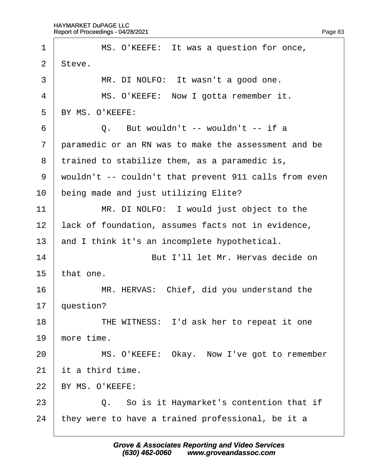| 1              | MS. O'KEEFE: It was a question for once,              |  |  |  |
|----------------|-------------------------------------------------------|--|--|--|
| 2              | Steve.                                                |  |  |  |
| 3              | MR. DI NOLFO: It wasn't a good one.                   |  |  |  |
| $\overline{4}$ | MS. O'KEEFE: Now I gotta remember it.                 |  |  |  |
| 5              | BY MS. O'KEEFE:                                       |  |  |  |
| 6              | Q. But wouldn't -- wouldn't -- if a                   |  |  |  |
| $\overline{7}$ | paramedic or an RN was to make the assessment and be  |  |  |  |
| 8              | trained to stabilize them, as a paramedic is,         |  |  |  |
| 9              | wouldn't -- couldn't that prevent 911 calls from even |  |  |  |
| 10             | being made and just utilizing Elite?                  |  |  |  |
| 11             | MR. DI NOLFO: I would just object to the              |  |  |  |
| 12             | lack of foundation, assumes facts not in evidence,    |  |  |  |
| 13             | and I think it's an incomplete hypothetical.          |  |  |  |
| 14             | But I'll let Mr. Hervas decide on                     |  |  |  |
| 15             | that one.                                             |  |  |  |
| 16             | MR. HERVAS: Chief, did you understand the             |  |  |  |
| 17             | question?                                             |  |  |  |
| 18             | THE WITNESS: I'd ask her to repeat it one             |  |  |  |
| 19             | more time.                                            |  |  |  |
| 20             | MS. O'KEEFE: Okay. Now I've got to remember           |  |  |  |
| 21             | it a third time.                                      |  |  |  |
| 22             | BY MS. O'KEEFE:                                       |  |  |  |
| 23             | Q. So is it Haymarket's contention that if            |  |  |  |
| 24             | they were to have a trained professional, be it a     |  |  |  |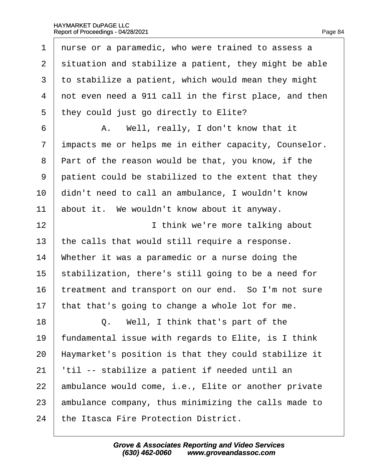1 nurse or a paramedic, who were trained to assess a 2 situation and stabilize a patient, they might be able 3 to stabilize a patient, which would mean they might 4 not even need a 911 call in the first place, and then 5 they could just go directly to Elite? 6 | A. Well, really, I don't know that it 7 impacts me or helps me in either capacity, Counselor. 8 Part of the reason would be that, you know, if the 9 patient could be stabilized to the extent that they 10 didn't need to call an ambulance, I wouldn't know 11 about it. We wouldn't know about it anyway. 12 **I I** think we're more talking about 13 the calls that would still require a response. 14 Whether it was a paramedic or a nurse doing the 15 stabilization, there's still going to be a need for 16 treatment and transport on our end. So I'm not sure 17 that that's going to change a whole lot for me. 18  $\vert$  Q. Well, I think that's part of the 19 fundamental issue with regards to Elite, is I think 20 Haymarket's position is that they could stabilize it 21 |til -- stabilize a patient if needed until an 22 ambulance would come, i.e., Elite or another private 23 ambulance company, thus minimizing the calls made to 24 the Itasca Fire Protection District.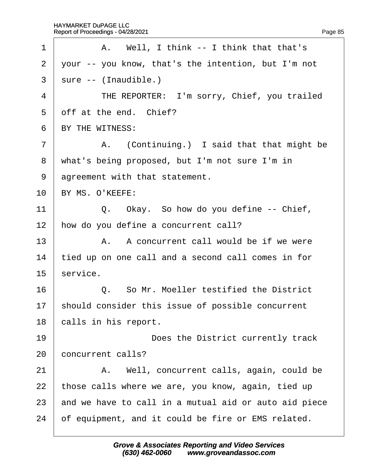| A. Well, I think -- I think that that's               |  |  |
|-------------------------------------------------------|--|--|
| your -- you know, that's the intention, but I'm not   |  |  |
| sure -- (Inaudible.)                                  |  |  |
| THE REPORTER: I'm sorry, Chief, you trailed           |  |  |
| off at the end. Chief?                                |  |  |
| BY THE WITNESS:                                       |  |  |
| A. (Continuing.) I said that that might be            |  |  |
| what's being proposed, but I'm not sure I'm in        |  |  |
| agreement with that statement.                        |  |  |
| BY MS. O'KEEFE:                                       |  |  |
| Q. Okay. So how do you define -- Chief,               |  |  |
| how do you define a concurrent call?                  |  |  |
| A. A concurrent call would be if we were              |  |  |
| tied up on one call and a second call comes in for    |  |  |
| service.                                              |  |  |
| Q. So Mr. Moeller testified the District              |  |  |
| should consider this issue of possible concurrent     |  |  |
| calls in his report.                                  |  |  |
| Does the District currently track                     |  |  |
| concurrent calls?                                     |  |  |
| A. Well, concurrent calls, again, could be            |  |  |
| those calls where we are, you know, again, tied up    |  |  |
| and we have to call in a mutual aid or auto aid piece |  |  |
| of equipment, and it could be fire or EMS related.    |  |  |
|                                                       |  |  |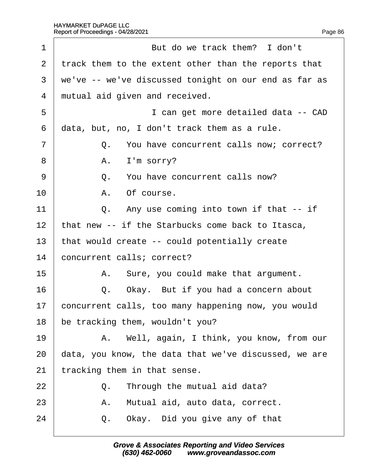| 1              |                                                       | But do we track them? I don't                         |  |  |
|----------------|-------------------------------------------------------|-------------------------------------------------------|--|--|
| 2              | track them to the extent other than the reports that  |                                                       |  |  |
| 3              | we've -- we've discussed tonight on our end as far as |                                                       |  |  |
| 4              | mutual aid given and received.                        |                                                       |  |  |
| 5              |                                                       | I can get more detailed data -- CAD                   |  |  |
| 6              | data, but, no, I don't track them as a rule.          |                                                       |  |  |
| $\overline{7}$ |                                                       | Q. You have concurrent calls now; correct?            |  |  |
| 8              |                                                       | A. I'm sorry?                                         |  |  |
| 9              |                                                       | Q. You have concurrent calls now?                     |  |  |
| 10             |                                                       | A. Of course.                                         |  |  |
| 11             |                                                       | Q. Any use coming into town if that -- if             |  |  |
| 12             |                                                       | that new -- if the Starbucks come back to Itasca,     |  |  |
| 13             | that would create -- could potentially create         |                                                       |  |  |
| 14             | concurrent calls; correct?                            |                                                       |  |  |
| 15             |                                                       | A. Sure, you could make that argument.                |  |  |
| 16             |                                                       | Q. Okay. But if you had a concern about               |  |  |
| 17             | concurrent calls, too many happening now, you would   |                                                       |  |  |
| 18             | be tracking them, wouldn't you?                       |                                                       |  |  |
| 19             |                                                       | A. Well, again, I think, you know, from our           |  |  |
| 20             |                                                       | data, you know, the data that we've discussed, we are |  |  |
| 21             | tracking them in that sense.                          |                                                       |  |  |
| 22             |                                                       | Q. Through the mutual aid data?                       |  |  |
| 23             | А.                                                    | Mutual aid, auto data, correct.                       |  |  |
| 24             | Q.                                                    | Okay. Did you give any of that                        |  |  |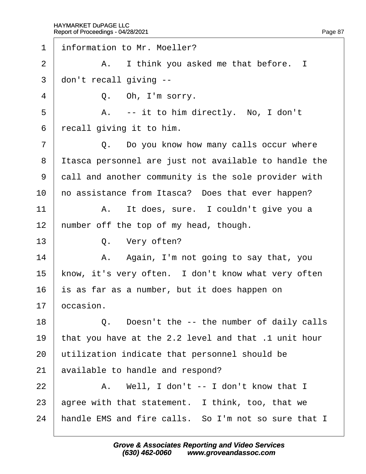$\Gamma$ 

| 1              | information to Mr. Moeller?                           |
|----------------|-------------------------------------------------------|
| $\overline{2}$ | A. I think you asked me that before. I                |
| 3              | don't recall giving --                                |
| 4              | Q. Oh, I'm sorry.                                     |
| 5              | A. -- it to him directly. No, I don't                 |
| 6              | recall giving it to him.                              |
| $\overline{7}$ | Q. Do you know how many calls occur where             |
| 8              | Itasca personnel are just not available to handle the |
| 9              | dall and another community is the sole provider with  |
| 10             | ho assistance from Itasca? Does that ever happen?     |
| 11             | A. It does, sure. I couldn't give you a               |
| 12             | humber off the top of my head, though.                |
| 13             | Q. Very often?                                        |
| 14             | A. Again, I'm not going to say that, you              |
| 15             | know, it's very often. I don't know what very often   |
| 16             | is as far as a number, but it does happen on          |
| 17             | occasion.                                             |
| 18             | Q. Doesn't the -- the number of daily calls           |
| 19             | that you have at the 2.2 level and that .1 unit hour  |
| 20             | utilization indicate that personnel should be         |
| 21             | available to handle and respond?                      |
| 22             | A. Well, I don't -- I don't know that I               |
| 23             | agree with that statement. I think, too, that we      |
| 24             | handle EMS and fire calls. So I'm not so sure that I  |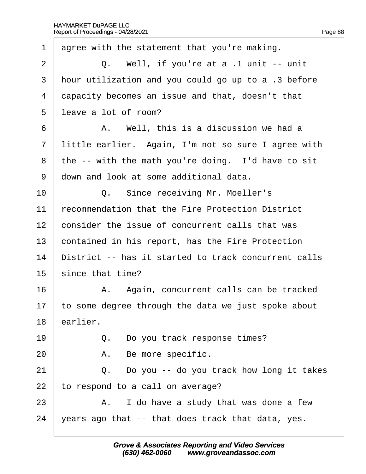| 1              | agree with the statement that you're making.         |
|----------------|------------------------------------------------------|
| $\overline{2}$ | Q. Well, if you're at a .1 unit -- unit              |
| 3              | hour utilization and you could go up to a .3 before  |
| 4              | dapacity becomes an issue and that, doesn't that     |
| 5              | leave a lot of room?                                 |
| 6              | A. Well, this is a discussion we had a               |
| $\overline{7}$ | little earlier. Again, I'm not so sure I agree with  |
| 8              | the -- with the math you're doing. I'd have to sit   |
| 9              | down and look at some additional data.               |
| 10             | Q. Since receiving Mr. Moeller's                     |
| 11             | recommendation that the Fire Protection District     |
| 12             | consider the issue of concurrent calls that was      |
| 13             | contained in his report, has the Fire Protection     |
| 14             | District -- has it started to track concurrent calls |
| 15             | since that time?                                     |
| 16             | A. Again, concurrent calls can be tracked            |
| 17             | to some degree through the data we just spoke about  |
| 18             | earlier.                                             |
| 19             | Q. Do you track response times?                      |
| 20             | A. Be more specific.                                 |
| 21             | Q. Do you -- do you track how long it takes          |
| 22             | to respond to a call on average?                     |
| 23             | A. I do have a study that was done a few             |
| 24             | years ago that -- that does track that data, yes.    |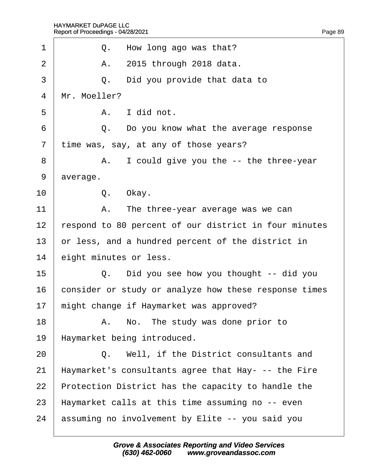| Q. How long ago was that?                                   |  |
|-------------------------------------------------------------|--|
| A. 2015 through 2018 data.                                  |  |
| Did you provide that data to<br>Q.                          |  |
| Mr. Moeller?                                                |  |
| A. I did not.                                               |  |
| Q. Do you know what the average response                    |  |
| time was, say, at any of those years?                       |  |
| A. I could give you the -- the three-year                   |  |
| average.                                                    |  |
| Q. Okay.                                                    |  |
| A. The three-year average was we can                        |  |
| 12<br>respond to 80 percent of our district in four minutes |  |
| or less, and a hundred percent of the district in           |  |
| eight minutes or less.                                      |  |
| Q. Did you see how you thought -- did you                   |  |
| consider or study or analyze how these response times       |  |
| might change if Haymarket was approved?<br>17               |  |
| A. No. The study was done prior to                          |  |
| Haymarket being introduced.                                 |  |
| Q. Well, if the District consultants and                    |  |
| Haymarket's consultants agree that Hay- -- the Fire         |  |
| Protection District has the capacity to handle the          |  |
| Haymarket calls at this time assuming no -- even            |  |
| assuming no involvement by Elite -- you said you            |  |
|                                                             |  |
|                                                             |  |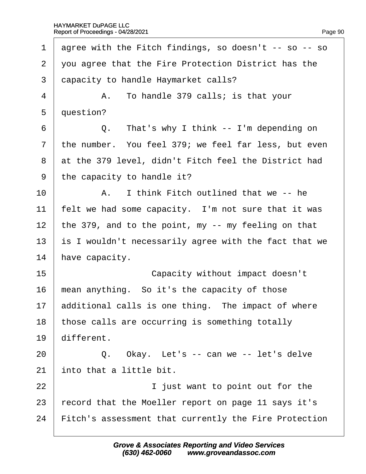1 agree with the Fitch findings, so doesn't -- so -- so 2 vou agree that the Fire Protection District has the 3 dapacity to handle Haymarket calls?  $4$  | A. To handle 379 calls; is that your 5 duestion?  $6 \mid Q$ . That's why I think -- I'm depending on 7 the number. You feel 379; we feel far less, but even 8 at the 379 level, didn't Fitch feel the District had 9 the capacity to handle it?  $10$   $\parallel$  A. I think Fitch outlined that we -- he 11 felt we had some capacity. I'm not sure that it was 12 the 379, and to the point, my  $-$  my feeling on that 13 is I wouldn't necessarily agree with the fact that we 14 have capacity. 15 **Capacity without impact doesn't** 16 mean anything. So it's the capacity of those 17 **additional calls is one thing.** The impact of where 18 those calls are occurring is something totally 19 different.  $20$   $\Box$  Q. Okay. Let's -- can we -- let's delve 21 into that a little bit. 22 **I** iust want to point out for the 23 record that the Moeller report on page 11 says it's 24 Fitch's assessment that currently the Fire Protection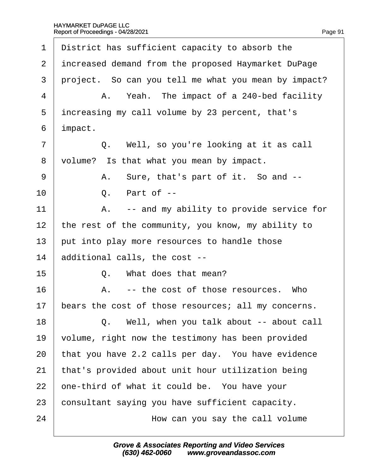| 1              | District has sufficient capacity to absorb the       |
|----------------|------------------------------------------------------|
| 2              | increased demand from the proposed Haymarket DuPage  |
| 3              | project. So can you tell me what you mean by impact? |
| 4              | A. Yeah. The impact of a 240-bed facility            |
| 5              | increasing my call volume by 23 percent, that's      |
| 6              | impact.                                              |
| $\overline{7}$ | Q. Well, so you're looking at it as call             |
| 8              | volume? Is that what you mean by impact.             |
| 9              | A. Sure, that's part of it. So and --                |
| 10             | Q. Part of --                                        |
| 11             | A. -- and my ability to provide service for          |
| 12             | the rest of the community, you know, my ability to   |
| 13             | put into play more resources to handle those         |
| 14             | additional calls, the cost --                        |
| 15             | Q. What does that mean?                              |
| 16             | A. -- the cost of those resources. Who               |
| 17             | bears the cost of those resources; all my concerns.  |
| 18             | Q. Well, when you talk about -- about call           |
| 19             | volume, right now the testimony has been provided    |
| 20             | that you have 2.2 calls per day. You have evidence   |
| 21             | that's provided about unit hour utilization being    |
| 22             | one-third of what it could be. You have your         |
| 23             | consultant saying you have sufficient capacity.      |
| 24             | How can you say the call volume                      |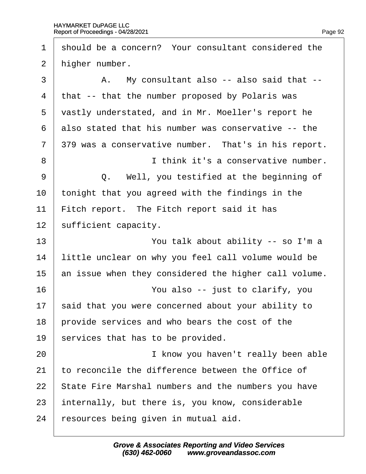| 1              | should be a concern? Your consultant considered the   |
|----------------|-------------------------------------------------------|
| 2              | higher number.                                        |
| 3              | A. My consultant also -- also said that --            |
| 4              | that -- that the number proposed by Polaris was       |
| 5              | vastly understated, and in Mr. Moeller's report he    |
| 6              | also stated that his number was conservative -- the   |
| $\overline{7}$ | 379 was a conservative number. That's in his report.  |
| 8              | I think it's a conservative number.                   |
| 9              | Q. Well, you testified at the beginning of            |
| 10             | tonight that you agreed with the findings in the      |
| 11             | Fitch report. The Fitch report said it has            |
| 12             | sufficient capacity.                                  |
| 13             | You talk about ability -- so I'm a                    |
| 14             | little unclear on why you feel call volume would be   |
| 15             | an issue when they considered the higher call volume. |
| 16             | You also -- just to clarify, you                      |
| 17             | said that you were concerned about your ability to    |
| 18             | provide services and who bears the cost of the        |
| 19             | services that has to be provided.                     |
| 20             | I know you haven't really been able                   |
| 21             | to reconcile the difference between the Office of     |
| 22             | State Fire Marshal numbers and the numbers you have   |
| 23             | internally, but there is, you know, considerable      |
| 24             | esources being given in mutual aid.                   |
|                |                                                       |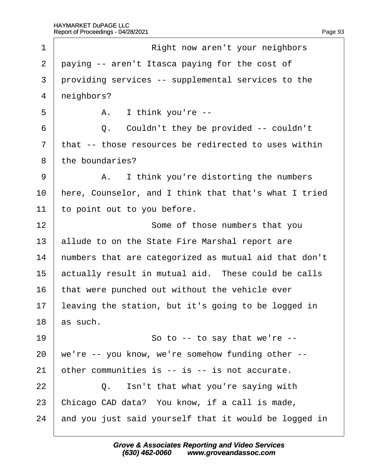$\Gamma$ 

| 1              | Right now aren't your neighbors                       |
|----------------|-------------------------------------------------------|
| $\overline{2}$ | paying -- aren't Itasca paying for the cost of        |
| 3              | providing services -- supplemental services to the    |
| $\overline{4}$ | neighbors?                                            |
| 5              | A. I think you're --                                  |
| 6              | Q. Couldn't they be provided -- couldn't              |
| 7              | that -- those resources be redirected to uses within  |
| 8              | the boundaries?                                       |
| 9              | A. I think you're distorting the numbers              |
| 10             | here, Counselor, and I think that that's what I tried |
| 11             | to point out to you before.                           |
| 12             | Some of those numbers that you                        |
| 13             | allude to on the State Fire Marshal report are        |
| 14             | numbers that are categorized as mutual aid that don't |
| 15             | actually result in mutual aid. These could be calls   |
| 16             | that were punched out without the vehicle ever        |
| 17             | leaving the station, but it's going to be logged in   |
| 18             | as such.                                              |
| 19             | So to -- to say that we're --                         |
| 20             | we're -- you know, we're somehow funding other --     |
| 21             | other communities is -- is -- is not accurate.        |
| 22             | Isn't that what you're saying with<br>Q.              |
| 23             | Chicago CAD data? You know, if a call is made,        |
| 24             | and you just said yourself that it would be logged in |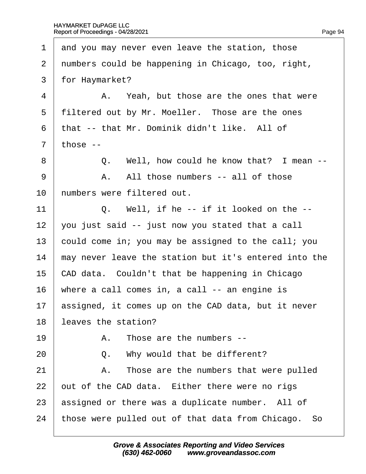1 and you may never even leave the station, those 2 numbers could be happening in Chicago, too, right, 3 for Haymarket?  $4 \mid$  A. Yeah, but those are the ones that were 5 filtered out by Mr. Moeller. Those are the ones 6 that -- that Mr. Dominik didn't like. All of  $7$  those  $-$ 8 | Q. Well, how could he know that? I mean -- $9 \mid$  A. All those numbers  $-$  all of those 10 humbers were filtered out. 11  $\vert$  Q. Well, if he -- if it looked on the --12 you just said  $-$  just now you stated that a call 13 bould come in; you may be assigned to the call; you 14 may never leave the station but it's entered into the 15 CAD data. Couldn't that be happening in Chicago 16 where a call comes in, a call -- an engine is 17 assigned, it comes up on the CAD data, but it never 18 leaves the station?  $19 \mid$  A. Those are the numbers  $20$   $\vert$  Q. Why would that be different?  $21$  | A. Those are the numbers that were pulled 22 but of the CAD data. Either there were no rigs 23 assigned or there was a duplicate number. All of 24 those were pulled out of that data from Chicago. So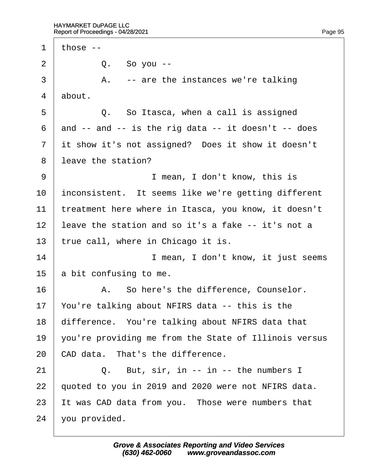1 those  $2 \mid Q$ . So you -- $3 \mid$  A. -- are the instances we're talking 4 about.  $5 \mid$  Q. So Itasca, when a call is assigned  $6$  and  $-$  and  $-$  is the rig data  $-$  it doesn't  $-$  does 7 it show it's not assigned? Does it show it doesn't 8 leave the station? 9 | Imean, I don't know, this is 10 inconsistent. It seems like we're getting different 11 treatment here where in Itasca, you know, it doesn't 12 leave the station and so it's a fake -- it's not a 13 true call, where in Chicago it is. 14 **I** mean, I don't know, it just seems 15 a bit confusing to me. 16 | A. So here's the difference, Counselor. 17 You're talking about NFIRS data -- this is the 18 difference. You're talking about NFIRS data that 19  $\sqrt{v}$  you're providing me from the State of Illinois versus 20 CAD data. That's the difference.  $21$   $\Box$  Q. But, sir, in -- in -- the numbers I 22 guoted to you in 2019 and 2020 were not NFIRS data. 23 It was CAD data from you. Those were numbers that 24 you provided.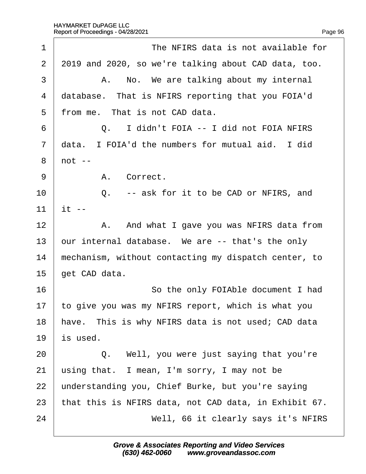| 1              | The NFIRS data is not available for                   |
|----------------|-------------------------------------------------------|
| $\overline{2}$ | 2019 and 2020, so we're talking about CAD data, too.  |
| 3              | A. No. We are talking about my internal               |
| 4              | database. That is NFIRS reporting that you FOIA'd     |
| 5              | from me. That is not CAD data.                        |
| 6              | Q. I didn't FOIA -- I did not FOIA NFIRS              |
| $\overline{7}$ | data. I FOIA'd the numbers for mutual aid. I did      |
| 8              | $not -$                                               |
| 9              | A. Correct.                                           |
| 10             | Q. -- ask for it to be CAD or NFIRS, and              |
| 11             | it --                                                 |
| 12             | A. And what I gave you was NFIRS data from            |
| 13             | bur internal database. We are -- that's the only      |
| 14             | mechanism, without contacting my dispatch center, to  |
| 15             | get CAD data.                                         |
| 16             | So the only FOIAble document I had                    |
| 17             | to give you was my NFIRS report, which is what you    |
| 18             | have. This is why NFIRS data is not used; CAD data    |
| 19             | s used.                                               |
| 20             | Q. Well, you were just saying that you're             |
| 21             | using that. I mean, I'm sorry, I may not be           |
| 22             | understanding you, Chief Burke, but you're saying     |
| 23             | that this is NFIRS data, not CAD data, in Exhibit 67. |
| 24             | Well, 66 it clearly says it's NFIRS                   |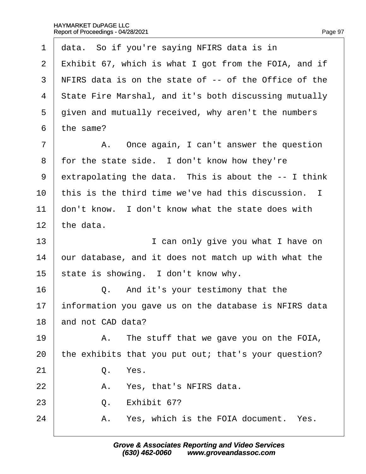| 1              | data. So if you're saying NFIRS data is in            |
|----------------|-------------------------------------------------------|
| $\overline{2}$ | Exhibit 67, which is what I got from the FOIA, and if |
| 3              | NFIRS data is on the state of -- of the Office of the |
| 4              | State Fire Marshal, and it's both discussing mutually |
| 5              | given and mutually received, why aren't the numbers   |
| 6              | the same?                                             |
| $\overline{7}$ | A. Once again, I can't answer the question            |
| 8              | for the state side. I don't know how they're          |
| 9              | extrapolating the data. This is about the -- I think  |
| 10             | this is the third time we've had this discussion. I   |
| 11             | don't know. I don't know what the state does with     |
| 12             | the data.                                             |
| 13             | I can only give you what I have on                    |
| 14             | bur database, and it does not match up with what the  |
| 15             | state is showing. I don't know why.                   |
| 16             | Q. And it's your testimony that the                   |
| 17             | information you gave us on the database is NFIRS data |
| 18             | and not CAD data?                                     |
| 19             | A. The stuff that we gave you on the FOIA,            |
| 20             | the exhibits that you put out; that's your question?  |
| 21             | Q.<br>Yes.                                            |
| 22             | A. Yes, that's NFIRS data.                            |
| 23             | Q. Exhibit 67?                                        |
| 24             | A. Yes, which is the FOIA document. Yes.              |
|                |                                                       |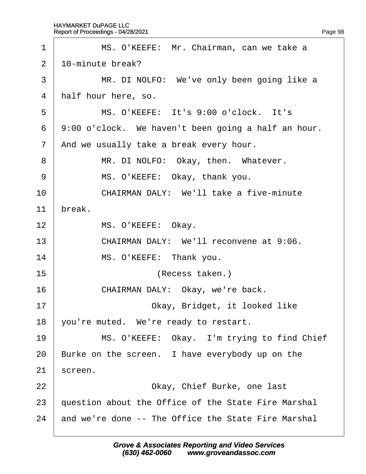| 1              | MS. O'KEEFE: Mr. Chairman, can we take a            |
|----------------|-----------------------------------------------------|
| 2              | 10-minute break?                                    |
| 3              | MR. DI NOLFO: We've only been going like a          |
| 4              | half hour here, so.                                 |
| 5              | MS. O'KEEFE: It's 9:00 o'clock. It's                |
| 6              | 9:00 o'clock. We haven't been going a half an hour. |
| $\overline{7}$ | And we usually take a break every hour.             |
| 8              | MR. DI NOLFO: Okay, then. Whatever.                 |
| 9              | MS. O'KEEFE: Okay, thank you.                       |
| 10             | <b>CHAIRMAN DALY: We'll take a five-minute</b>      |
| 11             | break.                                              |
| 12             | MS. O'KEEFE: Okay.                                  |
| 13             | CHAIRMAN DALY: We'll reconvene at 9:06.             |
| 14             | MS. O'KEEFE: Thank you.                             |
| 15             | (Recess taken.)                                     |
| 16             | CHAIRMAN DALY: Okay, we're back.                    |
| 17             | Okay, Bridget, it looked like                       |
| 18             | you're muted. We're ready to restart.               |
| 19             | MS. O'KEEFE: Okay. I'm trying to find Chief         |
| 20             | Burke on the screen. I have everybody up on the     |
| 21             | screen.                                             |
| 22             | Okay, Chief Burke, one last                         |
| 23             | question about the Office of the State Fire Marshal |
| 24             | and we're done -- The Office the State Fire Marshal |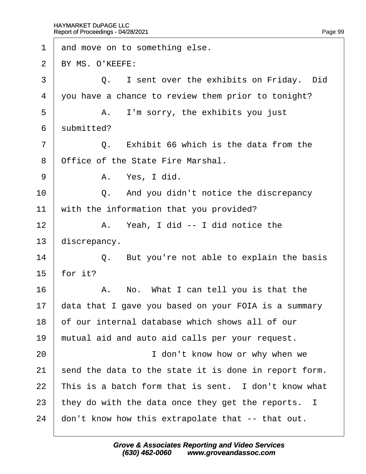| 1              | and move on to something else.                        |
|----------------|-------------------------------------------------------|
| 2              | BY MS. O'KEEFE:                                       |
| 3              | Q. I sent over the exhibits on Friday. Did            |
| 4              | you have a chance to review them prior to tonight?    |
| 5              | A. I'm sorry, the exhibits you just                   |
| 6              | submitted?                                            |
| $\overline{7}$ | Q. Exhibit 66 which is the data from the              |
| 8              | Office of the State Fire Marshal.                     |
| 9              | A. Yes, I did.                                        |
| 10             | Q. And you didn't notice the discrepancy              |
| 11             | with the information that you provided?               |
| 12             | A. Yeah, I did -- I did notice the                    |
| 13             | discrepancy.                                          |
| 14             | Q. But you're not able to explain the basis           |
| 15             | for it?                                               |
| 16             | A. No. What I can tell you is that the                |
| 17             | data that I gave you based on your FOIA is a summary  |
| 18             | of our internal database which shows all of our       |
| 19             | mutual aid and auto aid calls per your request.       |
| 20             | I don't know how or why when we                       |
| 21             | send the data to the state it is done in report form. |
| 22             | This is a batch form that is sent. I don't know what  |
| 23             | they do with the data once they get the reports. I    |
| 24             | don't know how this extrapolate that -- that out.     |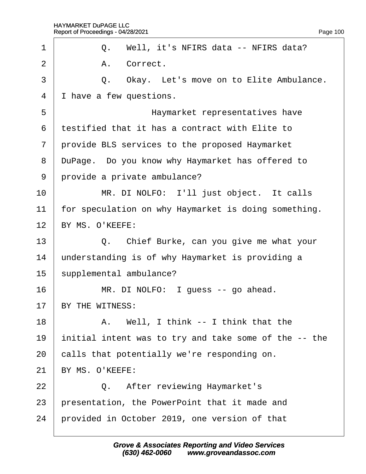| 1                        |                                                       |
|--------------------------|-------------------------------------------------------|
|                          | Q. Well, it's NFIRS data -- NFIRS data?               |
| $\overline{2}$           | A. Correct.                                           |
| 3                        | Q. Okay. Let's move on to Elite Ambulance.            |
| $\overline{\mathcal{A}}$ | I have a few questions.                               |
| 5                        | Haymarket representatives have                        |
| 6                        | testified that it has a contract with Elite to        |
| $\overline{7}$           | provide BLS services to the proposed Haymarket        |
| 8                        | DuPage. Do you know why Haymarket has offered to      |
| 9                        | provide a private ambulance?                          |
| 10                       | MR. DI NOLFO: I'll just object. It calls              |
| 11                       | for speculation on why Haymarket is doing something.  |
| 12 <sup>°</sup>          | BY MS. O'KEEFE:                                       |
| 13                       | Q. Chief Burke, can you give me what your             |
| 14                       | understanding is of why Haymarket is providing a      |
| 15                       | supplemental ambulance?                               |
| 16                       | MR. DI NOLFO: I guess -- go ahead.                    |
| 17                       | BY THE WITNESS:                                       |
| 18                       | A. Well, I think -- I think that the                  |
| 19                       | initial intent was to try and take some of the -- the |
| 20                       | calls that potentially we're responding on.           |
| 21                       | BY MS. O'KEEFE:                                       |
| 22                       | Q. After reviewing Haymarket's                        |
| 23                       | presentation, the PowerPoint that it made and         |
| 24                       | provided in October 2019, one version of that         |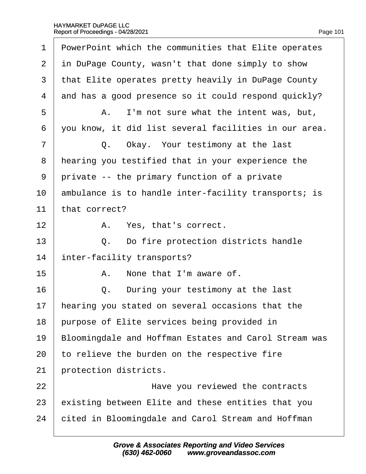| 1              | PowerPoint which the communities that Elite operates  |
|----------------|-------------------------------------------------------|
| 2              | in DuPage County, wasn't that done simply to show     |
| 3              | that Elite operates pretty heavily in DuPage County   |
| 4              | and has a good presence so it could respond quickly?  |
| 5              | A. I'm not sure what the intent was, but,             |
| 6              | you know, it did list several facilities in our area. |
| $\overline{7}$ | Q. Okay. Your testimony at the last                   |
| 8              | hearing you testified that in your experience the     |
| 9              | private -- the primary function of a private          |
| 10             | ambulance is to handle inter-facility transports; is  |
| 11             | that correct?                                         |
| 12             | A. Yes, that's correct.                               |
| 13             | Q. Do fire protection districts handle                |
| 14             | inter-facility transports?                            |
| 15             | None that I'm aware of.<br>A.                         |
| 16             | Q. During your testimony at the last                  |
| 17             | hearing you stated on several occasions that the      |
| 18             | purpose of Elite services being provided in           |
| 19             | Bloomingdale and Hoffman Estates and Carol Stream was |
| 20             | to relieve the burden on the respective fire          |
| 21             | protection districts.                                 |
| 22             | Have you reviewed the contracts                       |
| 23             | existing between Elite and these entities that you    |
| 24             | cited in Bloomingdale and Carol Stream and Hoffman    |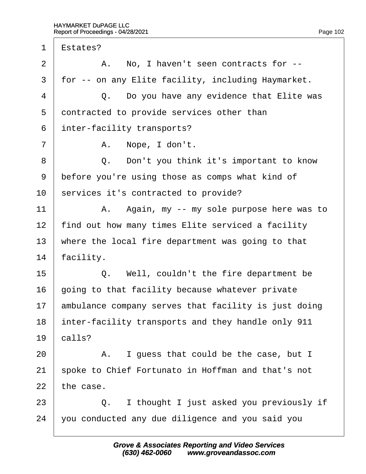$\Gamma$ 

| 1              | Estates?                                             |
|----------------|------------------------------------------------------|
| $\overline{2}$ | A. No, I haven't seen contracts for --               |
| 3              | for -- on any Elite facility, including Haymarket.   |
| $\overline{4}$ | Q. Do you have any evidence that Elite was           |
| 5              | dontracted to provide services other than            |
| 6              | inter-facility transports?                           |
| 7              | A. Nope, I don't.                                    |
| 8              | Q. Don't you think it's important to know            |
| 9              | before you're using those as comps what kind of      |
| 10             | services it's contracted to provide?                 |
| 11             | A. Again, my -- my sole purpose here was to          |
| 12             | find out how many times Elite serviced a facility    |
| 13             | where the local fire department was going to that    |
| 14             | facility.                                            |
| 15             | Q. Well, couldn't the fire department be             |
| 16             | going to that facility because whatever private      |
| 17             | ambulance company serves that facility is just doing |
| 18             | inter-facility transports and they handle only 911   |
| 19             | calls?                                               |
| 20             | A. I guess that could be the case, but I             |
| 21             | spoke to Chief Fortunato in Hoffman and that's not   |
| 22             | the case.                                            |
| 23             | Q. I thought I just asked you previously if          |
| 24             | you conducted any due diligence and you said you     |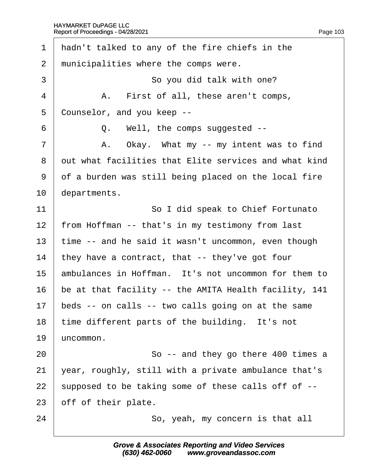| 1              | hadn't talked to any of the fire chiefs in the        |
|----------------|-------------------------------------------------------|
| $\overline{2}$ | municipalities where the comps were.                  |
| 3              | So you did talk with one?                             |
| 4              | A. First of all, these aren't comps,                  |
| 5              | Counselor, and you keep --                            |
| 6              | Q. Well, the comps suggested --                       |
| $\overline{7}$ | A. Okay. What my -- my intent was to find             |
| 8              | dut what facilities that Elite services and what kind |
| 9              | of a burden was still being placed on the local fire  |
| 10             | departments.                                          |
| 11             | So I did speak to Chief Fortunato                     |
| 12             | from Hoffman -- that's in my testimony from last      |
| 13             | time -- and he said it wasn't uncommon, even though   |
| 14             | they have a contract, that -- they've got four        |
| 15             | ambulances in Hoffman. It's not uncommon for them to  |
| 16             | be at that facility -- the AMITA Health facility, 141 |
| 17             | beds -- on calls -- two calls going on at the same    |
| 18             | time different parts of the building. It's not        |
| 19             | uncommon.                                             |
| 20             | So -- and they go there 400 times a                   |
| 21             | year, roughly, still with a private ambulance that's  |
| 22             | supposed to be taking some of these calls off of --   |
| 23             | off of their plate.                                   |
| 24             | So, yeah, my concern is that all                      |
|                |                                                       |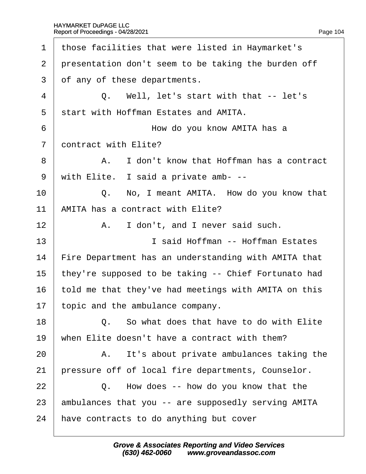| 1              | those facilities that were listed in Haymarket's     |
|----------------|------------------------------------------------------|
| $\overline{2}$ | presentation don't seem to be taking the burden off  |
| 3              | of any of these departments.                         |
| 4              | Q. Well, let's start with that -- let's              |
| 5              | start with Hoffman Estates and AMITA.                |
| 6              | How do you know AMITA has a                          |
| $\overline{7}$ | dontract with Elite?                                 |
| 8              | A. I don't know that Hoffman has a contract          |
| 9              | with Elite. I said a private amb- --                 |
| 10             | Q. No, I meant AMITA. How do you know that           |
| 11             | AMITA has a contract with Elite?                     |
| 12             | A. I don't, and I never said such.                   |
| 13             | I said Hoffman -- Hoffman Estates                    |
| 14             | Fire Department has an understanding with AMITA that |
| 15             | they're supposed to be taking -- Chief Fortunato had |
| 16             | told me that they've had meetings with AMITA on this |
| 17             | topic and the ambulance company.                     |
| 18             | Q. So what does that have to do with Elite           |
| 19             | when Elite doesn't have a contract with them?        |
| 20             | It's about private ambulances taking the<br>А.       |
| 21             | pressure off of local fire departments, Counselor.   |
| 22             | Q. How does -- how do you know that the              |
| 23             | ambulances that you -- are supposedly serving AMITA  |
| 24             | have contracts to do anything but cover              |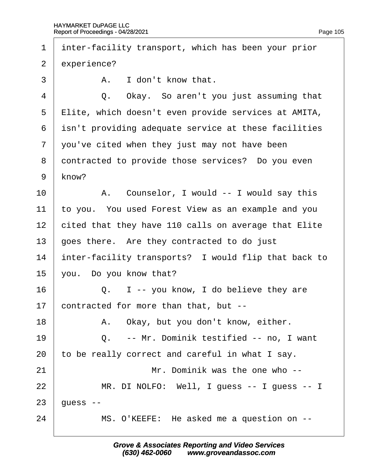| 1              | inter-facility transport, which has been your prior  |
|----------------|------------------------------------------------------|
| 2              | experience?                                          |
| 3              | A. I don't know that.                                |
| 4              | Q. Okay. So aren't you just assuming that            |
| 5              | Elite, which doesn't even provide services at AMITA, |
| 6              | isn't providing adequate service at these facilities |
| $\overline{7}$ | you've cited when they just may not have been        |
| 8              | dontracted to provide those services? Do you even    |
| 9              | know?                                                |
| 10             | A. Counselor, I would -- I would say this            |
| 11             | to you. You used Forest View as an example and you   |
| 12             | cited that they have 110 calls on average that Elite |
| 13             | goes there. Are they contracted to do just           |
| 14             | inter-facility transports? I would flip that back to |
| 15             | you. Do you know that?                               |
| 16             | Q. I -- you know, I do believe they are              |
| 17             | contracted for more than that, but --                |
| 18             | A. Okay, but you don't know, either.                 |
| 19             | Q. -- Mr. Dominik testified -- no, I want            |
| 20             | to be really correct and careful in what I say.      |
| 21             | Mr. Dominik was the one who --                       |
| 22             | MR. DI NOLFO: Well, I guess -- I guess -- I          |
| 23             | guess --                                             |
| 24             | MS. O'KEEFE: He asked me a question on --            |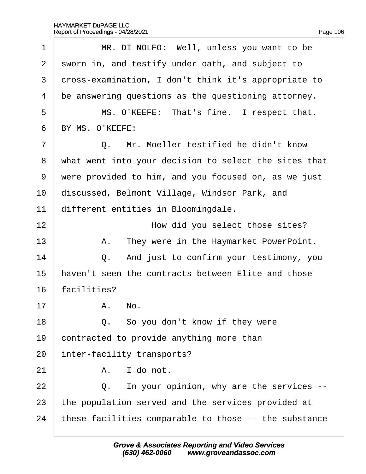$\Gamma$ 

| 1              | MR. DI NOLFO: Well, unless you want to be             |
|----------------|-------------------------------------------------------|
| $\overline{2}$ | sworn in, and testify under oath, and subject to      |
| 3              | dross-examination, I don't think it's appropriate to  |
| 4              | be answering questions as the questioning attorney.   |
| 5              | MS. O'KEEFE: That's fine. I respect that.             |
| 6              | BY MS. O'KEEFE:                                       |
| $\overline{7}$ | Q. Mr. Moeller testified he didn't know               |
| 8              | what went into your decision to select the sites that |
| 9              | were provided to him, and you focused on, as we just  |
| 10             | discussed, Belmont Village, Windsor Park, and         |
| 11             | different entities in Bloomingdale.                   |
| 12             | How did you select those sites?                       |
| 13             | A. They were in the Haymarket PowerPoint.             |
| 14             | Q. And just to confirm your testimony, you            |
| 15             | haven't seen the contracts between Elite and those    |
| 16             | facilities?                                           |
| 17             | A. No.                                                |
| 18             | Q. So you don't know if they were                     |
| 19             | contracted to provide anything more than              |
| 20             | inter-facility transports?                            |
| 21             | I do not.<br>А.                                       |
| 22             | In your opinion, why are the services --<br>Q.        |
| 23             | the population served and the services provided at    |
| 24             | these facilities comparable to those -- the substance |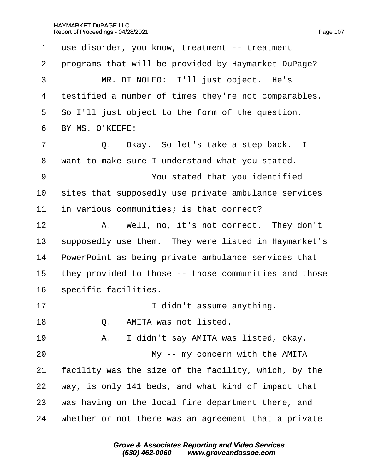| 1              | use disorder, you know, treatment -- treatment        |
|----------------|-------------------------------------------------------|
| 2              | programs that will be provided by Haymarket DuPage?   |
| 3              | MR. DI NOLFO: I'll just object. He's                  |
| 4              | testified a number of times they're not comparables.  |
| 5              | So I'll just object to the form of the question.      |
| 6              | BY MS. O'KEEFE:                                       |
| $\overline{7}$ | Q. Okay. So let's take a step back. I                 |
| 8              | want to make sure I understand what you stated.       |
| 9              | You stated that you identified                        |
| 10             | sites that supposedly use private ambulance services  |
| 11             | in various communities; is that correct?              |
| 12             | A. Well, no, it's not correct. They don't             |
| 13             | supposedly use them. They were listed in Haymarket's  |
| 14             | PowerPoint as being private ambulance services that   |
| 15             | they provided to those -- those communities and those |
| 16             | specific facilities.                                  |
| 17             | I didn't assume anything.                             |
| 18             | AMITA was not listed.<br>$Q_{\perp}$                  |
| 19             | I didn't say AMITA was listed, okay.<br>А.            |
| 20             | My -- my concern with the AMITA                       |
| 21             | acility was the size of the facility, which, by the   |
| 22             | way, is only 141 beds, and what kind of impact that   |
| 23             | was having on the local fire department there, and    |
| 24             | whether or not there was an agreement that a private  |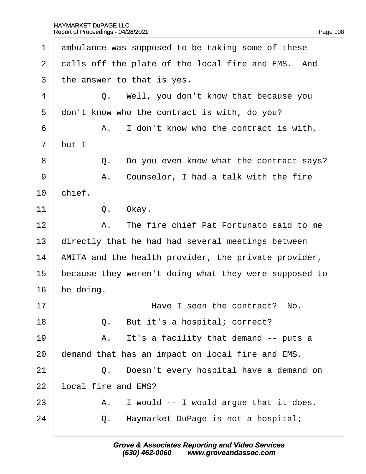<span id="page-108-0"></span>

| 1              | ambulance was supposed to be taking some of these     |
|----------------|-------------------------------------------------------|
| 2              | dalls off the plate of the local fire and EMS. And    |
| 3              | the answer to that is yes.                            |
| 4              | Q. Well, you don't know that because you              |
| 5              | don't know who the contract is with, do you?          |
| 6              | A. I don't know who the contract is with,             |
| $\overline{7}$ | but $I -$                                             |
| 8              | Q. Do you even know what the contract says?           |
| 9              | A. Counselor, I had a talk with the fire              |
| 10             | chief.                                                |
| 11             | Okay.<br>Q.                                           |
| 12             | A. The fire chief Pat Fortunato said to me            |
| 13             | directly that he had had several meetings between     |
| 14             | AMITA and the health provider, the private provider,  |
| 15             | because they weren't doing what they were supposed to |
| 16             | be doing.                                             |
| 17             | Have I seen the contract? No.                         |
| 18             | Q. But it's a hospital; correct?                      |
| 19             | It's a facility that demand -- puts a<br>А.           |
| 20             | demand that has an impact on local fire and EMS.      |
| 21             | Doesn't every hospital have a demand on<br>Q.         |
| 22             | ocal fire and EMS?                                    |
| 23             | I would -- I would argue that it does.<br>А.          |
| 24             | Haymarket DuPage is not a hospital;<br>Q.             |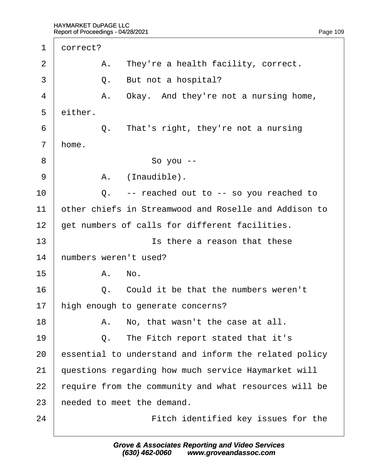<span id="page-109-0"></span>

| 1  | dorrect? |                                                       |
|----|----------|-------------------------------------------------------|
| 2  |          | A. They're a health facility, correct.                |
| 3  | Q.       | But not a hospital?                                   |
| 4  | Α.       | Okay. And they're not a nursing home,                 |
| 5  | either.  |                                                       |
| 6  | Q.       | That's right, they're not a nursing                   |
| 7  | home.    |                                                       |
| 8  |          | So you --                                             |
| 9  | А.       | (Inaudible).                                          |
| 10 |          | Q. -- reached out to -- so you reached to             |
| 11 |          | other chiefs in Streamwood and Roselle and Addison to |
| 12 |          | get numbers of calls for different facilities.        |
| 13 |          | Is there a reason that these                          |
| 14 |          | numbers weren't used?                                 |
| 15 |          | A. No.                                                |
| 16 |          | Q. Could it be that the numbers weren't               |
| 17 |          | high enough to generate concerns?                     |
| 18 | Α.       | No, that wasn't the case at all.                      |
| 19 | Q.       | The Fitch report stated that it's                     |
| 20 |          | essential to understand and inform the related policy |
| 21 |          | questions regarding how much service Haymarket will   |
| 22 |          | equire from the community and what resources will be  |
| 23 |          | heeded to meet the demand.                            |
| 24 |          | Fitch identified key issues for the                   |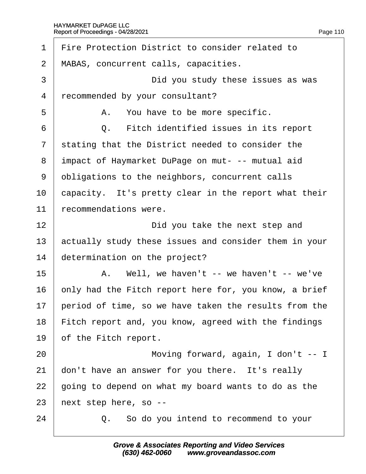<span id="page-110-0"></span>

| $\mathbf 1$    | Fire Protection District to consider related to       |
|----------------|-------------------------------------------------------|
| $\overline{2}$ | MABAS, concurrent calls, capacities.                  |
| 3              | Did you study these issues as was                     |
| $\overline{4}$ | recommended by your consultant?                       |
| 5              | A. You have to be more specific.                      |
| 6              | Q. Fitch identified issues in its report              |
| $\overline{7}$ | stating that the District needed to consider the      |
| 8              | impact of Haymarket DuPage on mut- -- mutual aid      |
| 9              | obligations to the neighbors, concurrent calls        |
| 10             | capacity. It's pretty clear in the report what their  |
| 11             | recommendations were.                                 |
| 12             | Did you take the next step and                        |
| 13             | actually study these issues and consider them in your |
| 14             | determination on the project?                         |
| 15             | A. Well, we haven't -- we haven't -- we've            |
| 16             | only had the Fitch report here for, you know, a brief |
| 17             | period of time, so we have taken the results from the |
| 18             | Fitch report and, you know, agreed with the findings  |
| 19             | of the Fitch report.                                  |
| 20             | Moving forward, again, I don't -- I                   |
| 21             | don't have an answer for you there. It's really       |
| 22             | going to depend on what my board wants to do as the   |
| 23             | hext step here, so --                                 |
| 24             | Q. So do you intend to recommend to your              |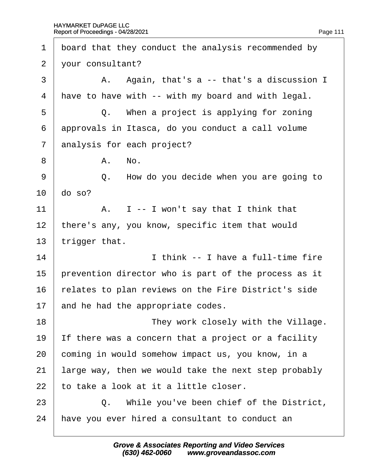<span id="page-111-0"></span>

| 1              | board that they conduct the analysis recommended by  |
|----------------|------------------------------------------------------|
| $\overline{2}$ | your consultant?                                     |
| 3              | A. Again, that's a -- that's a discussion I          |
| 4              | have to have with -- with my board and with legal.   |
| 5              | Q. When a project is applying for zoning             |
| 6              | approvals in Itasca, do you conduct a call volume    |
| $\overline{7}$ | analysis for each project?                           |
| 8              | A. No.                                               |
| 9              | Q. How do you decide when you are going to           |
| 10             | do so?                                               |
| 11             | A. I -- I won't say that I think that                |
| 12             | there's any, you know, specific item that would      |
| 13             | trigger that.                                        |
| 14             | I think -- I have a full-time fire                   |
| 15             | prevention director who is part of the process as it |
| 16             | relates to plan reviews on the Fire District's side  |
| 17             | and he had the appropriate codes.                    |
| 18             | They work closely with the Village.                  |
| 19             | If there was a concern that a project or a facility  |
| 20             | coming in would somehow impact us, you know, in a    |
| 21             | arge way, then we would take the next step probably  |
| 22             | to take a look at it a little closer.                |
| 23             | Q. While you've been chief of the District,          |
| 24             | have you ever hired a consultant to conduct an       |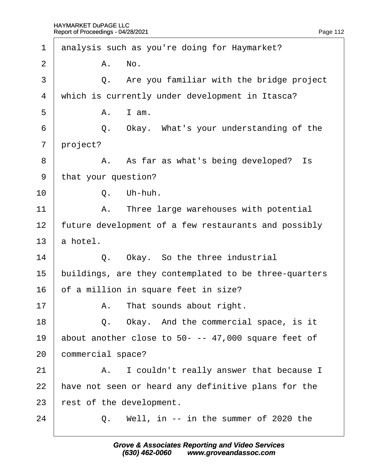<span id="page-112-0"></span>

| 1              |          | analysis such as you're doing for Haymarket?          |
|----------------|----------|-------------------------------------------------------|
| $\overline{2}$ |          | A. No.                                                |
| 3              |          | Q. Are you familiar with the bridge project           |
| 4              |          | which is currently under development in Itasca?       |
| 5              | А.       | I am.                                                 |
| 6              |          | Q. Okay. What's your understanding of the             |
| $\overline{7}$ | project? |                                                       |
| 8              |          | A. As far as what's being developed? Is               |
| 9              |          | that your question?                                   |
| 10             |          | Q. Uh-huh.                                            |
| 11             |          | A. Three large warehouses with potential              |
| 12             |          | future development of a few restaurants and possibly  |
| 13             | a hotel. |                                                       |
| 14             |          | Q. Okay. So the three industrial                      |
| 15             |          | buildings, are they contemplated to be three-quarters |
| 16             |          | of a million in square feet in size?                  |
| 17             |          | A. That sounds about right.                           |
| 18             |          | Q. Okay. And the commercial space, is it              |
| 19             |          | about another close to 50- -- 47,000 square feet of   |
| 20             |          | commercial space?                                     |
| 21             |          | A. I couldn't really answer that because I            |
| 22             |          | have not seen or heard any definitive plans for the   |
| 23             |          | rest of the development.                              |
| 24             | Q.       | Well, in -- in the summer of 2020 the                 |
|                |          |                                                       |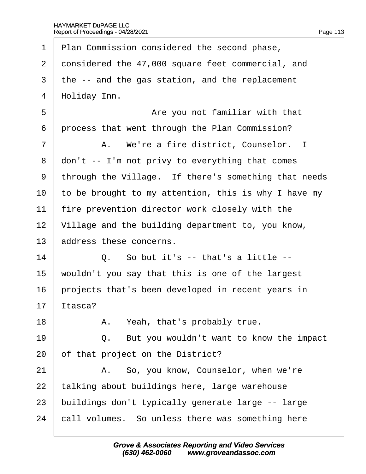<span id="page-113-0"></span>

|                | Nopolt of Floodcalligation Europe                    |
|----------------|------------------------------------------------------|
| 1              | Plan Commission considered the second phase,         |
| $\overline{2}$ | donsidered the 47,000 square feet commercial, and    |
| 3              | the -- and the gas station, and the replacement      |
| 4              | Holiday Inn.                                         |
| 5              | Are you not familiar with that                       |
| 6              | process that went through the Plan Commission?       |
| 7              | A. We're a fire district, Counselor. I               |
| 8              | don't -- I'm not privy to everything that comes      |
| 9              | through the Village. If there's something that needs |
| 10             | to be brought to my attention, this is why I have my |
| 11             | fire prevention director work closely with the       |
| 12             | Village and the building department to, you know,    |
| 13             | address these concerns.                              |
| 14             | Q. So but it's -- that's a little --                 |
| 15             | wouldn't you say that this is one of the largest     |
| 16             | projects that's been developed in recent years in    |
| 17             | tasca?                                               |
| 18             | A. Yeah, that's probably true.                       |
| 19             | But you wouldn't want to know the impact<br>Q.       |
| 20             | of that project on the District?                     |
| 21             | A. So, you know, Counselor, when we're               |
| 22             | talking about buildings here, large warehouse        |
| 23             | buildings don't typically generate large -- large    |
| 24             | call volumes. So unless there was something here     |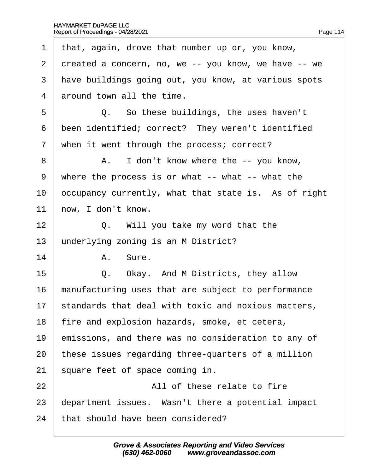<span id="page-114-0"></span>

| 1              | that, again, drove that number up or, you know,      |
|----------------|------------------------------------------------------|
| 2              | dreated a concern, no, we -- you know, we have -- we |
| 3              | have buildings going out, you know, at various spots |
| 4              | around town all the time.                            |
| 5              | Q. So these buildings, the uses haven't              |
| 6              | been identified; correct? They weren't identified    |
| $\overline{7}$ | when it went through the process; correct?           |
| 8              | A. I don't know where the -- you know,               |
| $9\,$          | where the process is or what -- what -- what the     |
| 10             | occupancy currently, what that state is. As of right |
| 11             | how, I don't know.                                   |
| 12             | Q. Will you take my word that the                    |
| 13             | underlying zoning is an M District?                  |
| 14             | A. Sure.                                             |
| 15             | Q. Okay. And M Districts, they allow                 |
| 16             | manufacturing uses that are subject to performance   |
| 17             | standards that deal with toxic and noxious matters,  |
| 18             | fire and explosion hazards, smoke, et cetera,        |
| 19             | emissions, and there was no consideration to any of  |
| 20             | these issues regarding three-quarters of a million   |
| 21             | square feet of space coming in.                      |
| 22             | All of these relate to fire                          |
| 23             | department issues. Wasn't there a potential impact   |
| 24             | that should have been considered?                    |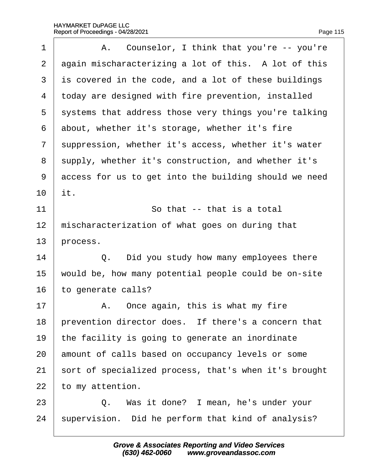<span id="page-115-0"></span>

| 1              | A. Counselor, I think that you're -- you're           |
|----------------|-------------------------------------------------------|
| 2              | again mischaracterizing a lot of this. A lot of this  |
| 3              | is covered in the code, and a lot of these buildings  |
| 4              | today are designed with fire prevention, installed    |
| 5              | systems that address those very things you're talking |
| 6              | about, whether it's storage, whether it's fire        |
| $\overline{7}$ | suppression, whether it's access, whether it's water  |
| 8              | supply, whether it's construction, and whether it's   |
| 9              | access for us to get into the building should we need |
| 10             | it.                                                   |
| 11             | So that -- that is a total                            |
| 12             | mischaracterization of what goes on during that       |
| 13             | process.                                              |
| 14             | Q. Did you study how many employees there             |
| 15             | would be, how many potential people could be on-site  |
| 16             | to generate calls?                                    |
| 17             | A. Once again, this is what my fire                   |
| 18             | prevention director does. If there's a concern that   |
| 19             | the facility is going to generate an inordinate       |
| 20             | amount of calls based on occupancy levels or some     |
| 21             | sort of specialized process, that's when it's brought |
| 22             | to my attention.                                      |
| 23             | Q. Was it done? I mean, he's under your               |
| 24             | supervision. Did he perform that kind of analysis?    |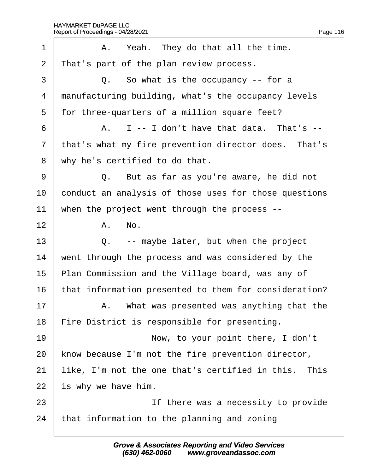<span id="page-116-0"></span>

| 1              | A. Yeah. They do that all the time.                   |
|----------------|-------------------------------------------------------|
| $\overline{2}$ | That's part of the plan review process.               |
| 3              | Q. So what is the occupancy -- for a                  |
| 4              | manufacturing building, what's the occupancy levels   |
| 5              | for three-quarters of a million square feet?          |
| 6              | A. I -- I don't have that data. That's --             |
| $\overline{7}$ | that's what my fire prevention director does. That's  |
| 8              | why he's certified to do that.                        |
| 9              | Q. But as far as you're aware, he did not             |
| 10             | conduct an analysis of those uses for those questions |
| 11             | when the project went through the process --          |
| 12             | A. No.                                                |
| 13             | Q. -- maybe later, but when the project               |
| 14             | went through the process and was considered by the    |
| 15             | Plan Commission and the Village board, was any of     |
| 16             | that information presented to them for consideration? |
| 17             | A. What was presented was anything that the           |
| 18             | Fire District is responsible for presenting.          |
| 19             | Now, to your point there, I don't                     |
| 20             | know because I'm not the fire prevention director,    |
| 21             | like, I'm not the one that's certified in this. This  |
| 22             | is why we have him.                                   |
| 23             | If there was a necessity to provide                   |
| 24             | that information to the planning and zoning           |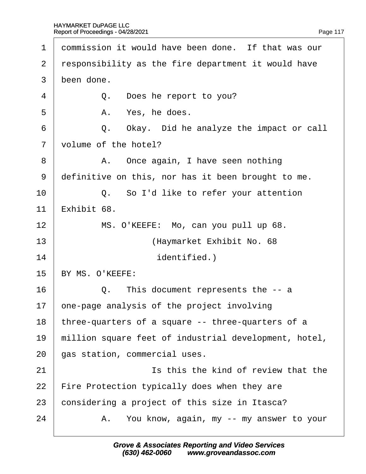<span id="page-117-0"></span>

| $\mathbf 1$    | dommission it would have been done. If that was our   |
|----------------|-------------------------------------------------------|
| 2              | responsibility as the fire department it would have   |
| 3              | been done.                                            |
| 4              | Q. Does he report to you?                             |
| 5              | Yes, he does.<br>А.                                   |
| 6              | Q. Okay. Did he analyze the impact or call            |
| $\overline{7}$ | volume of the hotel?                                  |
| 8              | A. Once again, I have seen nothing                    |
| 9              | definitive on this, nor has it been brought to me.    |
| 10             | Q. So I'd like to refer your attention                |
| 11             | Exhibit 68.                                           |
| 12             | MS. O'KEEFE: Mo, can you pull up 68.                  |
| 13             | (Haymarket Exhibit No. 68                             |
| 14             | identified.)                                          |
| 15             | BY MS. O'KEEFE:                                       |
| 16             | Q. This document represents the -- a                  |
| 17             | one-page analysis of the project involving            |
| 18             | three-quarters of a square -- three-quarters of a     |
| 19             | million square feet of industrial development, hotel, |
| 20             | gas station, commercial uses.                         |
| 21             | Is this the kind of review that the                   |
| 22             | Fire Protection typically does when they are          |
| 23             | considering a project of this size in Itasca?         |
| 24             | A. You know, again, my -- my answer to your           |
|                |                                                       |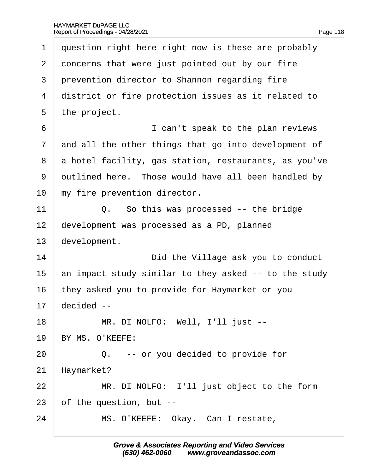<span id="page-118-0"></span>

| 1              | question right here right now is these are probably   |
|----------------|-------------------------------------------------------|
| $\overline{2}$ | doncerns that were just pointed out by our fire       |
| 3              | prevention director to Shannon regarding fire         |
| 4              | district or fire protection issues as it related to   |
| 5              | the project.                                          |
| 6              | I can't speak to the plan reviews                     |
| 7              | and all the other things that go into development of  |
| 8              | a hotel facility, gas station, restaurants, as you've |
| 9              | dutlined here. Those would have all been handled by   |
| 10             | my fire prevention director.                          |
| 11             | Q. So this was processed -- the bridge                |
| 12             | development was processed as a PD, planned            |
| 13             | development.                                          |
| 14             | Did the Village ask you to conduct                    |
| 15             | an impact study similar to they asked -- to the study |
| 16             | they asked you to provide for Haymarket or you        |
| 17             | decided --                                            |
| 18             | MR. DI NOLFO: Well, I'll just --                      |
| 19             | BY MS. O'KEEFE:                                       |
| 20             | Q. -- or you decided to provide for                   |
| 21             | Haymarket?                                            |
| 22             | MR. DI NOLFO: I'll just object to the form            |
| 23             | of the question, but --                               |
| 24             | MS. O'KEEFE: Okay. Can I restate,                     |
|                |                                                       |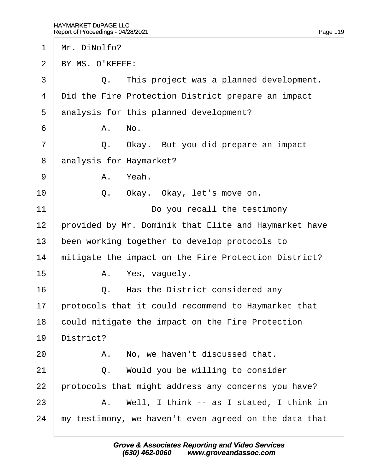<span id="page-119-0"></span>

| 1              | Mr. DiNolfo?                                          |
|----------------|-------------------------------------------------------|
| 2              | BY MS. O'KEEFE:                                       |
| 3              | Q. This project was a planned development.            |
| 4              | Did the Fire Protection District prepare an impact    |
| 5              | analysis for this planned development?                |
| 6              | A. No.                                                |
| $\overline{7}$ | Q. Okay. But you did prepare an impact                |
| 8              | analysis for Haymarket?                               |
| 9              | A. Yeah.                                              |
| 10             | Okay. Okay, let's move on.<br>Q.                      |
| 11             | Do you recall the testimony                           |
| 12             | provided by Mr. Dominik that Elite and Haymarket have |
| 13             | been working together to develop protocols to         |
| 14             | mitigate the impact on the Fire Protection District?  |
| 15             | A. Yes, vaguely.                                      |
| 16             | Q. Has the District considered any                    |
| 17             | protocols that it could recommend to Haymarket that   |
| 18             | could mitigate the impact on the Fire Protection      |
| 19             | District?                                             |
| 20             | No, we haven't discussed that.<br>А.                  |
| 21             | Q. Would you be willing to consider                   |
| 22             | protocols that might address any concerns you have?   |
| 23             | A. Well, I think -- as I stated, I think in           |
| 24             | my testimony, we haven't even agreed on the data that |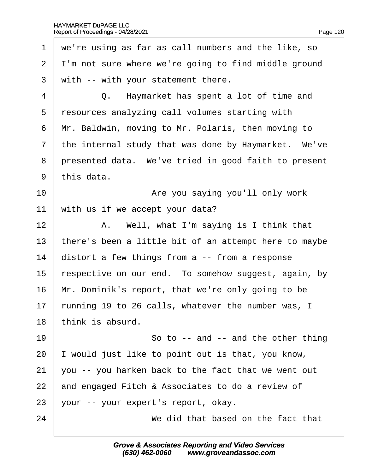<span id="page-120-0"></span>

| we're using as far as call numbers and the like, so      |
|----------------------------------------------------------|
| I'm not sure where we're going to find middle ground     |
| with -- with your statement there.                       |
| Q. Haymarket has spent a lot of time and                 |
| resources analyzing call volumes starting with           |
| Mr. Baldwin, moving to Mr. Polaris, then moving to       |
| the internal study that was done by Haymarket. We've     |
| presented data. We've tried in good faith to present     |
| this data.                                               |
| Are you saying you'll only work                          |
| with us if we accept your data?                          |
| A. Well, what I'm saying is I think that                 |
| there's been a little bit of an attempt here to maybe    |
| distort a few things from a -- from a response           |
| respective on our end. To somehow suggest, again, by     |
| Mr. Dominik's report, that we're only going to be        |
| funning 19 to 26 calls, whatever the number was, I<br>17 |
| think is absurd.                                         |
| So to -- and -- and the other thing                      |
| would just like to point out is that, you know,          |
| you -- you harken back to the fact that we went out      |
| and engaged Fitch & Associates to do a review of         |
| your -- your expert's report, okay.                      |
| We did that based on the fact that                       |
|                                                          |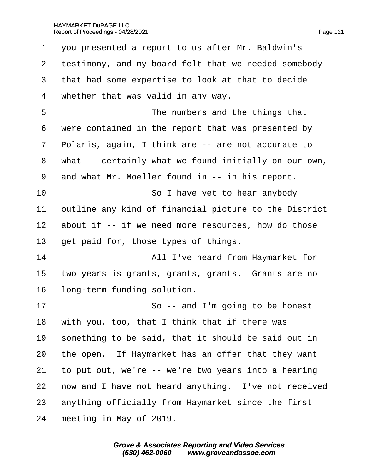<span id="page-121-0"></span>

| 1              | you presented a report to us after Mr. Baldwin's      |
|----------------|-------------------------------------------------------|
| 2              | testimony, and my board felt that we needed somebody  |
| 3              | that had some expertise to look at that to decide     |
| 4              | whether that was valid in any way.                    |
| 5              | The numbers and the things that                       |
| 6              | were contained in the report that was presented by    |
| $\overline{7}$ | Polaris, again, I think are -- are not accurate to    |
| 8              | what -- certainly what we found initially on our own, |
| 9              | and what Mr. Moeller found in -- in his report.       |
| 10             | So I have yet to hear anybody                         |
| 11             | putline any kind of financial picture to the District |
| 12             | about if -- if we need more resources, how do those   |
| 13             | get paid for, those types of things.                  |
| 14             | All I've heard from Haymarket for                     |
| 15             | two years is grants, grants, grants. Grants are no    |
| 16             | long-term funding solution.                           |
| 17             | So -- and I'm going to be honest                      |
| 18             | with you, too, that I think that if there was         |
| 19             | something to be said, that it should be said out in   |
| 20             | the open. If Haymarket has an offer that they want    |
| 21             | to put out, we're -- we're two years into a hearing   |
| 22             | how and I have not heard anything. I've not received  |
| 23             | anything officially from Haymarket since the first    |
| 24             | meeting in May of 2019.                               |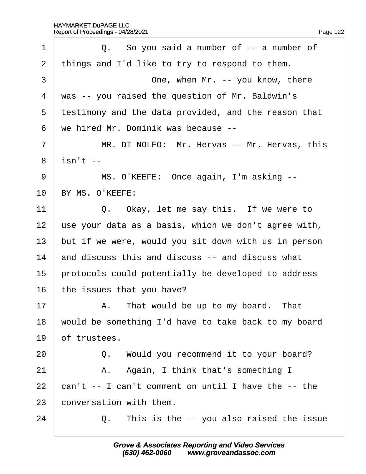<span id="page-122-0"></span>

| Q. So you said a number of -- a number of            |
|------------------------------------------------------|
| things and I'd like to try to respond to them.       |
| One, when Mr. -- you know, there                     |
| was -- you raised the question of Mr. Baldwin's      |
| testimony and the data provided, and the reason that |
| we hired Mr. Dominik was because --                  |
| MR. DI NOLFO: Mr. Hervas -- Mr. Hervas, this         |
| i\$n't --                                            |
| MS. O'KEEFE: Once again, I'm asking --               |
| BY MS. O'KEEFE:                                      |
| Q. Okay, let me say this. If we were to              |
| use your data as a basis, which we don't agree with, |
| but if we were, would you sit down with us in person |
| and discuss this and discuss -- and discuss what     |
| protocols could potentially be developed to address  |
| the issues that you have?                            |
| A. That would be up to my board. That                |
| would be something I'd have to take back to my board |
| of trustees.                                         |
| Q. Would you recommend it to your board?             |
| A. Again, I think that's something I                 |
| can't -- I can't comment on until I have the -- the  |
| conversation with them.                              |
| This is the -- you also raised the issue<br>Q.       |
|                                                      |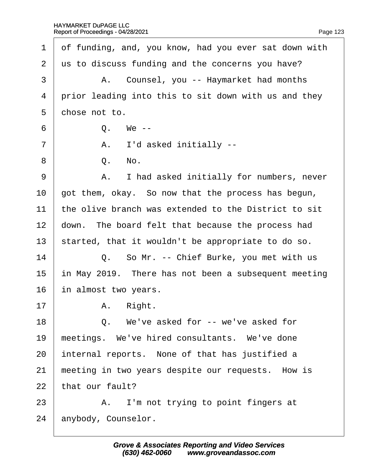$17$ 

 $22$ 

<span id="page-123-0"></span>

| $\mathbf 1$ | of funding, and, you know, had you ever sat down with |
|-------------|-------------------------------------------------------|
| 2           | us to discuss funding and the concerns you have?      |
| 3           | A. Counsel, you -- Haymarket had months               |
| 4           | prior leading into this to sit down with us and they  |
| 5           | chose not to.                                         |
| 6           | Q. We --                                              |
| 7           | A. I'd asked initially --                             |
| 8           | Q. No.                                                |
| 9           | A. I had asked initially for numbers, never           |
| 10          | got them, okay. So now that the process has begun,    |
| 11          | the olive branch was extended to the District to sit  |
| 12          | down. The board felt that because the process had     |
| 13          | started, that it wouldn't be appropriate to do so.    |
| 14          | Q. So Mr. -- Chief Burke, you met with us             |
| 15          | in May 2019. There has not been a subsequent meeting  |
| 16          | in almost two years.                                  |
| 17          | A. Right.                                             |
| 18          | Q. We've asked for -- we've asked for                 |
| 19          | meetings. We've hired consultants. We've done         |
| 20          | internal reports. None of that has justified a        |
| 21          | meeting in two years despite our requests. How is     |
| 22          | that our fault?                                       |
| 23          | A. I'm not trying to point fingers at                 |
| 24          | anybody, Counselor.                                   |
|             |                                                       |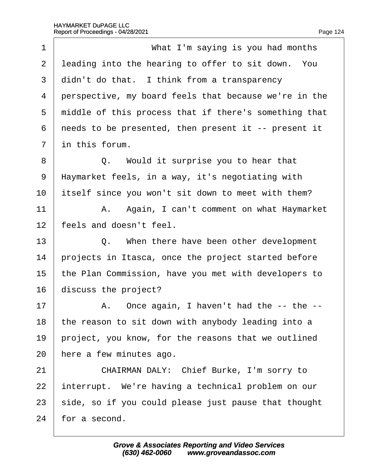<span id="page-124-0"></span>

| 1              | What I'm saying is you had months                     |
|----------------|-------------------------------------------------------|
| $\overline{2}$ | leading into the hearing to offer to sit down. You    |
| 3              | didn't do that. I think from a transparency           |
| 4              | perspective, my board feels that because we're in the |
| 5              | middle of this process that if there's something that |
| 6              | needs to be presented, then present it -- present it  |
| $\overline{7}$ | in this forum.                                        |
| 8              | Q. Would it surprise you to hear that                 |
| 9              | Haymarket feels, in a way, it's negotiating with      |
| 10             | itself since you won't sit down to meet with them?    |
| 11             | A. Again, I can't comment on what Haymarket           |
| 12             | feels and doesn't feel.                               |
| 13             | Q. When there have been other development             |
| 14             | projects in Itasca, once the project started before   |
| 15             | the Plan Commission, have you met with developers to  |
| 16             | discuss the project?                                  |
| 17             | A. Once again, I haven't had the -- the --            |
| 18             | the reason to sit down with anybody leading into a    |
| 19             | project, you know, for the reasons that we outlined   |
| 20             | here a few minutes ago.                               |
| 21             | CHAIRMAN DALY: Chief Burke, I'm sorry to              |
| 22             | interrupt. We're having a technical problem on our    |
| 23             | side, so if you could please just pause that thought  |
| 24             | for a second.                                         |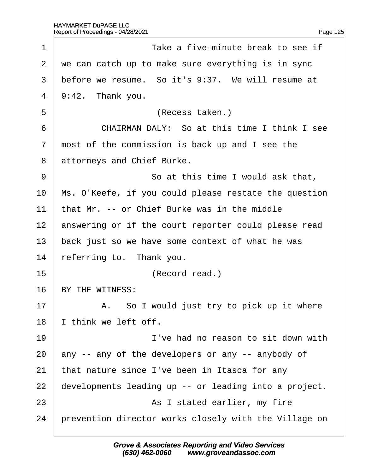<span id="page-125-0"></span>

| 1              | Take a five-minute break to see if                    |
|----------------|-------------------------------------------------------|
| 2              | we can catch up to make sure everything is in sync    |
| 3              | before we resume. So it's 9:37. We will resume at     |
| $\overline{4}$ | $9:42.$ Thank you.                                    |
| 5              | (Recess taken.)                                       |
| 6              | CHAIRMAN DALY: So at this time I think I see          |
| $\overline{7}$ | most of the commission is back up and I see the       |
| 8              | attorneys and Chief Burke.                            |
| 9              | So at this time I would ask that,                     |
| 10             | Ms. O'Keefe, if you could please restate the question |
| 11             | that Mr. -- or Chief Burke was in the middle          |
| 12             | answering or if the court reporter could please read  |
| 13             | back just so we have some context of what he was      |
| 14             | referring to. Thank you.                              |
| 15             | (Record read.)                                        |
| 16             | BY THE WITNESS:                                       |
| 17             | A. So I would just try to pick up it where            |
| 18             | think we left off.                                    |
| 19             | I've had no reason to sit down with                   |
| 20             | any -- any of the developers or any -- anybody of     |
| 21             | that nature since I've been in Itasca for any         |
| 22             | developments leading up -- or leading into a project. |
| 23             | As I stated earlier, my fire                          |
| 24             | prevention director works closely with the Village on |
|                |                                                       |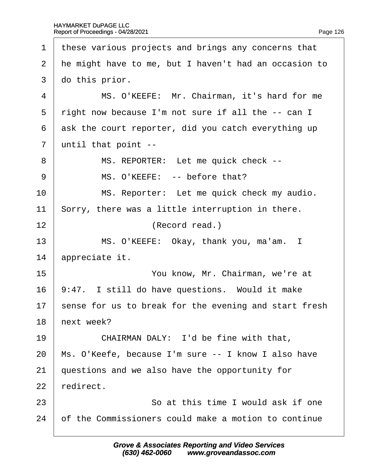<span id="page-126-0"></span>

| 1              | these various projects and brings any concerns that   |
|----------------|-------------------------------------------------------|
| 2              | He might have to me, but I haven't had an occasion to |
| 3              | do this prior.                                        |
| 4              | MS. O'KEEFE: Mr. Chairman, it's hard for me           |
| 5              | right now because I'm not sure if all the -- can I    |
| 6              | ask the court reporter, did you catch everything up   |
| $\overline{7}$ | until that point --                                   |
| 8              | MS. REPORTER: Let me quick check --                   |
| 9              | MS. O'KEEFE: -- before that?                          |
| 10             | MS. Reporter: Let me quick check my audio.            |
| 11             | Sorry, there was a little interruption in there.      |
| 12             | (Record read.)                                        |
| 13             | MS. O'KEEFE: Okay, thank you, ma'am. I                |
| 14             | appreciate it.                                        |
| 15             | You know, Mr. Chairman, we're at                      |
| 16             | 9:47. I still do have questions. Would it make        |
| 17             | sense for us to break for the evening and start fresh |
| 18             | hext week?                                            |
| 19             | CHAIRMAN DALY: I'd be fine with that,                 |
| 20             | Ms. O'Keefe, because I'm sure -- I know I also have   |
| 21             | questions and we also have the opportunity for        |
| 22             | redirect.                                             |
| 23             | So at this time I would ask if one                    |
| 24             | of the Commissioners could make a motion to continue  |
|                |                                                       |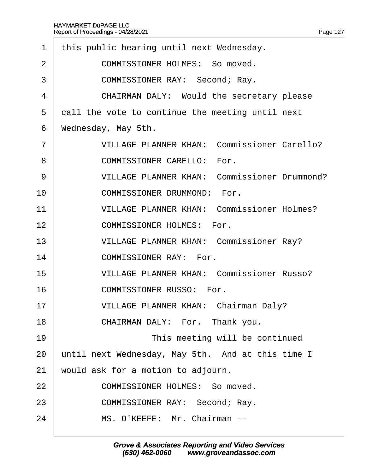<span id="page-127-0"></span>

| 1              | this public hearing until next Wednesday.           |
|----------------|-----------------------------------------------------|
| 2              | <b>COMMISSIONER HOLMES: So moved.</b>               |
| 3              | <b>COMMISSIONER RAY: Second; Ray.</b>               |
| 4              | CHAIRMAN DALY: Would the secretary please           |
| 5              | dall the vote to continue the meeting until next    |
| 6              | Wednesday, May 5th.                                 |
| $\overline{7}$ | <b>VILLAGE PLANNER KHAN: Commissioner Carello?</b>  |
| 8              | <b>COMMISSIONER CARELLO: For.</b>                   |
| 9              | <b>VILLAGE PLANNER KHAN: Commissioner Drummond?</b> |
| 10             | <b>COMMISSIONER DRUMMOND: For.</b>                  |
| 11             | <b>VILLAGE PLANNER KHAN: Commissioner Holmes?</b>   |
| 12             | <b>COMMISSIONER HOLMES: For.</b>                    |
| 13             | <b>VILLAGE PLANNER KHAN: Commissioner Ray?</b>      |
| 14             | <b>COMMISSIONER RAY: For.</b>                       |
| 15             | <b>VILLAGE PLANNER KHAN: Commissioner Russo?</b>    |
| 16             | <b>COMMISSIONER RUSSO: For.</b>                     |
| 17             | VILLAGE PLANNER KHAN: Chairman Daly?                |
| 18             | CHAIRMAN DALY: For. Thank you.                      |
| 19             | This meeting will be continued                      |
| 20             | until next Wednesday, May 5th. And at this time I   |
| 21             | would ask for a motion to adjourn.                  |
| 22             | <b>COMMISSIONER HOLMES: So moved.</b>               |
| 23             | COMMISSIONER RAY: Second; Ray.                      |
| 24             | MS. O'KEEFE: Mr. Chairman --                        |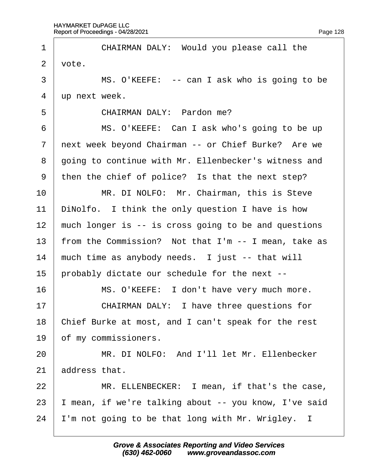<span id="page-128-0"></span>

| 1              | CHAIRMAN DALY: Would you please call the             |
|----------------|------------------------------------------------------|
| 2              | vote.                                                |
| 3              | MS. O'KEEFE: -- can I ask who is going to be         |
| 4              | up next week.                                        |
| 5              | CHAIRMAN DALY: Pardon me?                            |
| 6              | MS. O'KEEFE: Can I ask who's going to be up          |
| $\overline{7}$ | next week beyond Chairman -- or Chief Burke? Are we  |
| 8              | going to continue with Mr. Ellenbecker's witness and |
| 9              | then the chief of police? Is that the next step?     |
| 10             | MR. DI NOLFO: Mr. Chairman, this is Steve            |
| 11             | DiNolfo. I think the only question I have is how     |
| 12             | much longer is -- is cross going to be and questions |
| 13             | from the Commission? Not that I'm -- I mean, take as |
| 14             | much time as anybody needs. I just -- that will      |
| 15             | probably dictate our schedule for the next --        |
| 16             | MS. O'KEEFE: I don't have very much more.            |
| 17             | CHAIRMAN DALY: I have three questions for            |
| 18             | Chief Burke at most, and I can't speak for the rest  |
| 19             | of my commissioners.                                 |
| 20             | MR. DI NOLFO: And I'll let Mr. Ellenbecker           |
| 21             | address that.                                        |
| 22             | MR. ELLENBECKER: I mean, if that's the case,         |
| 23             | mean, if we're talking about -- you know, I've said  |
| 24             | 'm not going to be that long with Mr. Wrigley. I     |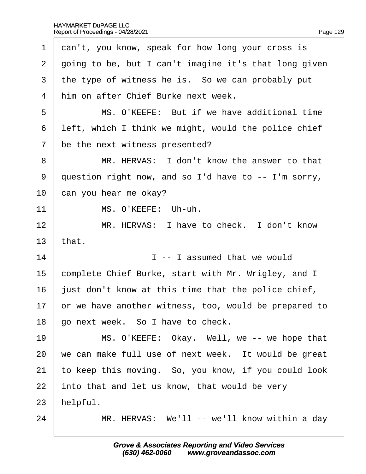<span id="page-129-0"></span>

| 1              | dan't, you know, speak for how long your cross is     |
|----------------|-------------------------------------------------------|
| $\overline{2}$ | going to be, but I can't imagine it's that long given |
| 3              | the type of witness he is. So we can probably put     |
| 4              | him on after Chief Burke next week.                   |
| 5              | MS. O'KEEFE: But if we have additional time           |
| 6              | left, which I think we might, would the police chief  |
| 7              | be the next witness presented?                        |
| 8              | MR. HERVAS: I don't know the answer to that           |
| 9              | question right now, and so I'd have to -- I'm sorry,  |
| 10             | can you hear me okay?                                 |
| 11             | MS. O'KEEFE: Uh-uh.                                   |
| 12             | MR. HERVAS: I have to check. I don't know             |
| 13             | that.                                                 |
| 14             | I--I assumed that we would                            |
| 15             | complete Chief Burke, start with Mr. Wrigley, and I   |
| 16             | just don't know at this time that the police chief,   |
| 17             | or we have another witness, too, would be prepared to |
| 18             | go next week. So I have to check.                     |
| 19             | MS. O'KEEFE: Okay. Well, we -- we hope that           |
| 20             | we can make full use of next week. It would be great  |
| 21             | to keep this moving. So, you know, if you could look  |
|                |                                                       |
| 22             | into that and let us know, that would be very         |
| 23             | helpful.                                              |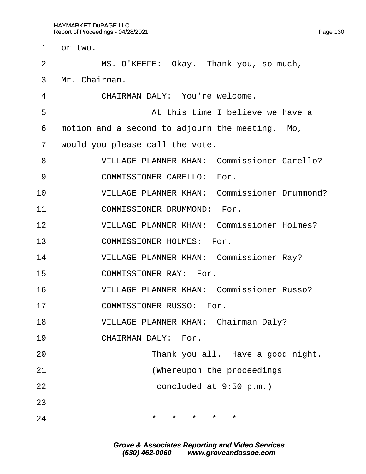<span id="page-130-0"></span>

| dr two.                                            |
|----------------------------------------------------|
| MS. O'KEEFE: Okay. Thank you, so much,             |
| Mr. Chairman.                                      |
| CHAIRMAN DALY: You're welcome.                     |
| At this time I believe we have a                   |
| motion and a second to adjourn the meeting. Mo,    |
| would you please call the vote.                    |
| <b>VILLAGE PLANNER KHAN: Commissioner Carello?</b> |
| <b>COMMISSIONER CARELLO: For.</b>                  |
| VILLAGE PLANNER KHAN: Commissioner Drummond?       |
| <b>COMMISSIONER DRUMMOND: For.</b>                 |
| <b>VILLAGE PLANNER KHAN: Commissioner Holmes?</b>  |
| <b>COMMISSIONER HOLMES: For.</b>                   |
| <b>VILLAGE PLANNER KHAN: Commissioner Ray?</b>     |
| <b>COMMISSIONER RAY: For.</b>                      |
| <b>VILLAGE PLANNER KHAN: Commissioner Russo?</b>   |
| <b>COMMISSIONER RUSSO: For.</b>                    |
| <b>VILLAGE PLANNER KHAN: Chairman Daly?</b>        |
| <b>CHAIRMAN DALY: For.</b>                         |
| Thank you all. Have a good night.                  |
| (Whereupon the proceedings                         |
| concluded at 9:50 p.m.)                            |
|                                                    |
|                                                    |
|                                                    |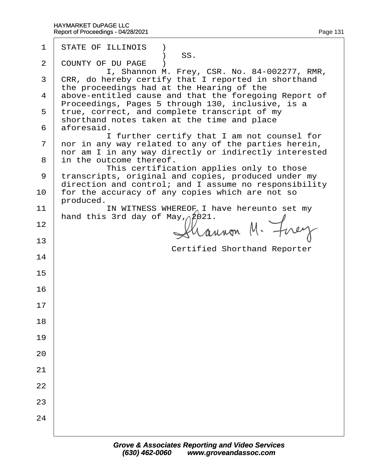| $\mathbf 1$    | <b>STATE OF ILLINOIS</b> )                                                                                                                       |
|----------------|--------------------------------------------------------------------------------------------------------------------------------------------------|
| $\overline{2}$ | SS.<br><b>COUNTY OF DU PAGE</b> )                                                                                                                |
| 3              | I, Shannon M. Frey, CSR. No. 84-002277, RMR,<br>¢RR, do hereby certify that I reported in shorthand<br>the proceedings had at the Hearing of the |
|                | 4 above-entitled cause and that the foregoing Report of<br>Proceedings, Pages 5 through 130, inclusive, is a                                     |
|                | 5 true, correct, and complete transcript of my<br>shorthand notes taken at the time and place                                                    |
|                | 6 aforesaid.                                                                                                                                     |
| $\mathbf{7}$   | I further certify that I am not counsel for<br>nor in any way related to any of the parties herein,                                              |
|                | nor am I in any way directly or indirectly interested<br>8 in the outcome thereof.                                                               |
|                | This certification applies only to those<br>9 transcripts, original and copies, produced under my                                                |
| 10             | direction and control; and I assume no responsibility<br>for the accuracy of any copies which are not so<br>produced.                            |
| 11             | IN WITNESS WHEREOF I have hereunto set my                                                                                                        |
| 12             | hand this 3rd day of May, 2021.                                                                                                                  |
| 13             | <b>Certified Shorthand Reporter</b>                                                                                                              |
| 14             |                                                                                                                                                  |
| 15             |                                                                                                                                                  |
| 16             |                                                                                                                                                  |
| 17             |                                                                                                                                                  |
| 18             |                                                                                                                                                  |
| 19             |                                                                                                                                                  |
| 20             |                                                                                                                                                  |
| 21             |                                                                                                                                                  |
| 22             |                                                                                                                                                  |
| 23             |                                                                                                                                                  |
| 24             |                                                                                                                                                  |
|                |                                                                                                                                                  |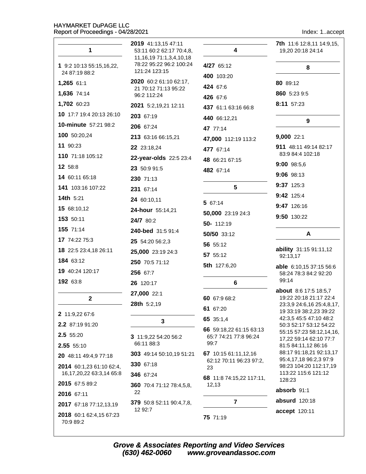Index: 1..accept

| 1                                         | 2019 41:13,15 47:11<br>53:11 60:2 62:17 70:4,8,                            | 4                                               | <b>7th</b> 11:6 12:8,11 14:9,15,<br>19,20 20:18 24:14 |
|-------------------------------------------|----------------------------------------------------------------------------|-------------------------------------------------|-------------------------------------------------------|
| 1 9:2 10:13 55:15,16,22,<br>24 87:19 88:2 | 11, 16, 19 71: 1, 3, 4, 10, 18<br>78:22 95:22 96:2 100:24<br>121:24 123:15 | 4/27 65:12                                      | 8                                                     |
| 1,265 61:1                                | 2020 60:2 61:10 62:17,                                                     | 400 103:20                                      | 80 89:12                                              |
| 1,636 74:14                               | 21 70:12 71:13 95:22                                                       | 424 67:6                                        | 860 5:23 9:5                                          |
| 1,702 60:23                               | 96:2 112:24                                                                | 426 67:6                                        | 8:11 57:23                                            |
| 10 17:7 19:4 20:13 26:10                  | 2021 5:2,19,21 12:11                                                       | 437 61:1 63:16 66:8                             |                                                       |
| 10-minute 57:21 98:2                      | 203 67:19                                                                  | 440 66:12,21                                    | 9                                                     |
| 100 50:20,24                              | 206 67:24                                                                  | 47 77:14                                        |                                                       |
| 11 90:23                                  | 213 63:16 66:15,21                                                         | 47,000 112:19 113:2                             | 9,000 22:1                                            |
| 110 71:18 105:12                          | 22 23:18,24                                                                | 477 67:14                                       | 911 48:11 49:14 82:17<br>83:9 84:4 102:18             |
|                                           | 22-year-olds 22:5 23:4                                                     | 48 66:21 67:15                                  | 9:00 98:5,6                                           |
| 12 58:8                                   | 23 50:9 91:5                                                               | 482 67:14                                       | 9:06 98:13                                            |
| 14 60:11 65:18                            | 230 71:13                                                                  |                                                 | 9:37 125:3                                            |
| 141 103:16 107:22                         | 231 67:14                                                                  | 5                                               | 9:42 125:4                                            |
| 14th 5:21                                 | 24 60:10,11                                                                | 5 67:14                                         | 9:47 126:16                                           |
| 15 68:10,12                               | 24-hour 55:14,21                                                           | 50,000 23:19 24:3                               | 9:50 130:22                                           |
| 153 50:11                                 | 24/7 80:2                                                                  | 50-112:19                                       |                                                       |
| 155 71:14                                 | 240-bed 31:5 91:4                                                          | 50/50 33:12                                     | A                                                     |
| 17 74:22 75:3                             | 25 54:20 56:2,3                                                            | 56 55:12                                        |                                                       |
| 18 22:5 23:4,18 26:11                     | 25,000 23:19 24:3                                                          | 57 55:12                                        | ability 31:15 91:11,12<br>92:13,17                    |
| 184 63:12                                 | 250 70:5 71:12                                                             | 5th 127:6,20                                    | able 6:10,15 37:15 56:6                               |
| 19 40:24 120:17                           | 256 67:7                                                                   |                                                 | 58:24 78:3 84:2 92:20                                 |
| 192 63:8                                  | 26 120:17                                                                  | 6                                               | 99:14                                                 |
| $\mathbf{2}$                              | 27,000 22:1                                                                | 60 67:9 68:2                                    | about 8:6 17:5 18:5,7<br>19:22 20:18 21:17 22:4       |
|                                           | 28th 5:2,19                                                                | 61 67:20                                        | 23:3,9 24:6,16 25:4,8,17,                             |
| 2 11:9,22 67:6                            | 3                                                                          | 65 35:1,4                                       | 19 33:19 38:2,23 39:22<br>42:3,5 45:5 47:10 48:2      |
| 2.2 87:19 91:20                           |                                                                            | 66 59:18,22 61:15 63:13                         | 50:3 52:17 53:12 54:22                                |
| 2.5 55:20                                 | 3 11:9,22 54:20 56:2                                                       | 65:7 74:21 77:8 96:24                           | 55:15 57:23 58:12,14,16,<br>17,22 59:14 62:10 77:7    |
| 2.55 55:10                                | 66:11 88:3                                                                 | 99:7                                            | 81:5 84:11,12 86:16                                   |
| 20 48:11 49:4,9 77:18                     | 303 49:14 50:10,19 51:21                                                   | 67 10:15 61:11,12,16<br>62:12 70:11 96:23 97:2, | 88:17 91:18,21 92:13,17<br>95:4,17,18 96:2,3 97:9     |
| 2014 60:1,23 61:10 62:4,                  | 330 67:18                                                                  | 23                                              | 98:23 104:20 112:17,19                                |
| 16,17,20,22 63:3,14 65:8                  | 346 67:24                                                                  | 68 11:8 74:15,22 117:11,                        | 113:22 115:6 121:12<br>128:23                         |
| 2015 67:5 89:2                            | <b>360</b> 70:4 71:12 78:4,5,8,                                            | 12, 13                                          | absorb 91:1                                           |
| 2016 67:11                                | 22                                                                         |                                                 | absurd 120:18                                         |
| 2017 67:18 77:12,13,19                    | 379 50:8 52:11 90:4,7,8,<br>12 92:7                                        | 7                                               |                                                       |
| 2018 60:1 62:4,15 67:23<br>70:9 89:2      |                                                                            | 75 71:19                                        | accept 120:11                                         |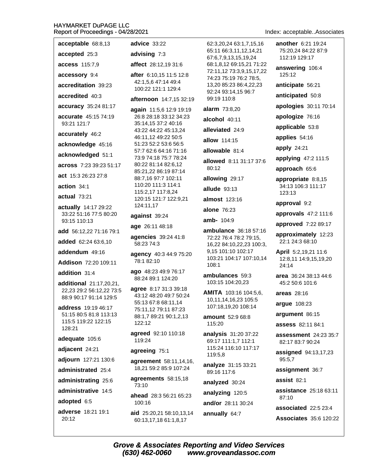another 6:21 19:24 acceptable 68:8,13 advice 33:22 62:3.20.24 63:1.7.15.16 65:11 66:3.11.12.14.21 75:20.24 84:22 87:9 accepted 25:3 advising 7:3 67:6.7.9.13.15.19.24 112:19 129:17 access 115:7,9 affect 28:12,19 31:6 68:1,8,12 69:15,21 71:22 answering 106:4 72:11,12 73:3,9,15,17,22 accessory 9:4 125:12 after 6:10,15 11:5 12:8 74:23 75:19 76:2 78:5, 42:1,5,6 47:14 49:4 accreditation 39:23 13,20 85:23 86:4,22,23 anticipate 56:21 100:22 121:1 129:4 92:24 93:14.15 96:7 anticipated 50:8 accredited 40:3 99:19 110:8 afternoon 14:7,15 32:19 apologies 30:11 70:14 accuracy 35:24 81:17 alarm 73:8.20 again 11:5,6 12:9 19:19 apologize 76:16 accurate 45:15 74:19 26:8 28:18 33:12 34:23 alcohol 40:11 93:21 121:7 35:14.15 37:2 40:16 applicable 53:8 alleviated 24:9 43:22 44:22 45:13,24 accurately 46:2 46:11,12 49:22 50:5 applies 54:16 allow 114:15 51:23 52:2 53:6 56:5 acknowledge 45:16 apply 24:21 allowable 81.4 57:7 62:6 64:16 71:16 acknowledged 51:1 73:9 74:18 75:7 78:24 applying 47:2 111:5 allowed 8:11 31:17 37:6 80:22 81:14 82:6,12 across 7:23 39:23 51:17 80:12 approach 65:6 85:21,22 86:19 87:14 act 15:3 26:23 27:8 88:7,16 97:7 102:11 allowing 29:17 appropriate 8:8,15 110:20 111:3 114:1 action 34:1 34:13 106:3 111:17 allude 93:13 115:2.17 117:8.24 123:13 actual 73:21 120:15 121:7 122:9,21 **almost** 123:16 approval 9:2 124:11.17 actually 14:17 29:22 **alone 76:23** 33:22 51:16 77:5 80:20 approvals 47:2 111:6 against 39:24 amb- 104:9 93:15 110:13 approved 7:22 89:17 age 26:11 48:18 add 56:12.22 71:16 79:1 ambulance 36:18 57:16 approximately 12:23 agencies 39:24 41:8 72:22 76:4 78:2 79:15, added 62:24 63:6.10 22:1 24:3 68:10 58:23 74:3 16,22 84:10,22,23 100:3, 9.15 101:10 102:17 addendum 49:16 **April** 5:2,19,21 11:6 agency 40:3 44:9 75:20 103:21 104:17 107:10,14 12:8,11 14:9,15,19,20 78:1 82:10 Addison 72:20 109:11 108:1  $24:14$ ago 48:23 49:9 76:17 addition 31:4 ambulances 59:3 area 36:24 38:13 44:6 88:24 89:1 124:20 additional 21:17,20,21, 103:15 104:20,23 45:2 50:6 101:6 agree 8:17 31:3 39:18 22,23 29:2 56:12,22 73:5 **AMITA** 103:16 104:5,6, areas 28:16 43:12 48:20 49:7 50:24 88:9 90:17 91:14 129:5 10,11,14,16,23 105:5 55:13 67:8 68:11,14 arque 108:23 107:18,19,20 108:14 address 19:19 46:17 75:11,12 79:11 87:23 51:15 80:5 81:8 113:13 argument 86:15 88:1,7 89:21 90:1,2,13 amount 52:9 68:8 115:5 119:22 122:15 122:12 115:20 assess 82:11 84:1 128:21 agreed 92:10 110:18 **analysis** 31:20 37:22 assessment 24:23 35:7 adequate 105:6 119:24 69:17 111:1.7 112:1 82:17 83:7 90:24 115:24 116:10 117:17 adjacent 24:21 agreeing 75:1 assigned 94:13,17,23 119:5,8 adjourn 127:21 130:6 95:5,7 agreement 58:11,14,16, analyze 31:15 33:21 18,21 59:2 85:9 107:24 administrated 25:4 assignment 36:7 89:16 117:6 agreements 58:15,18 assist  $82.1$ administrating 25:6 analyzed 30:24 73:10 administrative 14.5 assistance 25:18 63:11 analyzing 120:5 ahead 28:3 56:21 65:23 87:10 adopted 6:5 100:16 and/or 28:11 30:24 associated 22:5 23:4 adverse 18:21 19:1 aid 25:20,21 58:10,13,14 annually 64:7 **Associates** 35:6 120:22 20:12 60:13,17,18 61:1,8,17

Index: acceptable..Associates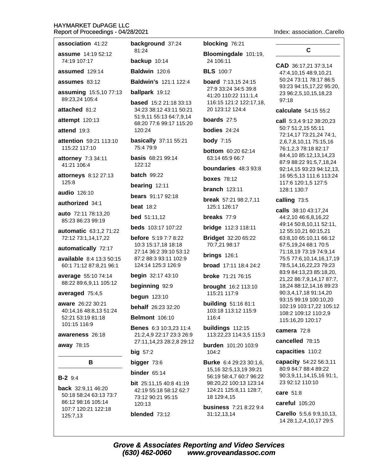| association 41:22                                                                                             | background 37:24                                                                 |
|---------------------------------------------------------------------------------------------------------------|----------------------------------------------------------------------------------|
| <b>assume</b> 14:19 52:12<br>74:19 107:17                                                                     | 81:24                                                                            |
|                                                                                                               | backup 10:14                                                                     |
| assumed 129:14                                                                                                | <b>Baldwin</b> 120:6                                                             |
| assumes $83:12$                                                                                               | <b>Baldwin's 121:1 122:4</b>                                                     |
| assuming 15:5,10 77:13<br>89:23,24 105:4                                                                      | ballpark 19:12                                                                   |
| attached 81:2                                                                                                 | <b>based</b> 15:2 21:18 33:13<br>34:23 38:12 43:11 50:21                         |
| attempt 120:13                                                                                                | 51:9,11 55:13 64:7,9,14<br>68:20 77:6 99:17 115:20                               |
| attend 19:3                                                                                                   | 120:24                                                                           |
| <b>attention</b> 59:21 113:10<br>115:22 117:10                                                                | basically 37:11 55:21<br>75:4 79:9                                               |
| attorney 7:3 34:11<br>41:21 106:4                                                                             | <b>basis</b> 68:21 99:14<br>122:12                                               |
| attorneys 8:12 27:13                                                                                          | <b>batch</b> 99:22                                                               |
| 125:8                                                                                                         | bearing 12:11                                                                    |
| audio 126:10                                                                                                  | bears 91:17 92:18                                                                |
| authorized 34:1                                                                                               | beat $18:2$                                                                      |
| <b>auto</b> 72:11 78:13,20<br>85:23 86:23 99:19                                                               | <b>bed</b> 51:11,12                                                              |
| <b>automatic</b> 63:1,2 71:22                                                                                 | <b>beds</b> 103:17 107:22                                                        |
| 72:12 73:1,14,17,22                                                                                           | <b>before</b> $5:197:78:22$                                                      |
| automatically 72:17                                                                                           | 10:3 15:17,18 18:18<br>27:14 36:2 39:10 53:12                                    |
| available 8:4 13:3 50:15<br>60:1 71:12 87:8,21 96:1                                                           | 87:2 88:3 93:11 102:9<br>124:14 125:3 126:9                                      |
| average 55:10 74:14                                                                                           | begin 32:17 43:10                                                                |
| 88:22 89:6,9,11 105:12                                                                                        | beginning 92:9                                                                   |
| averaged 75:4,5                                                                                               | begun 123:10                                                                     |
| aware 26:22 30:21<br>40:14,16 48:8,13 51:24                                                                   | behalf 26:23 32:20                                                               |
| 52:21 53:19 81:18                                                                                             | <b>Belmont</b> 106:10                                                            |
| 101:15 116:9<br><b>awareness</b> 26:18                                                                        | <b>Benes</b> 6:3 10:3,23 11:4<br>21:2,4,9 22:17 23:3 26:9                        |
| away 78:15                                                                                                    | 27:11,14,23 28:2,8 29:12                                                         |
|                                                                                                               | big 57:2                                                                         |
| в                                                                                                             | bigger 73:6                                                                      |
|                                                                                                               | binder $65:14$                                                                   |
| $B-2$ 9:4<br><b>back</b> 32:9,11 46:20<br>50:18 58:24 63:13 73:7<br>86:12 98:16 105:14<br>107:7 120:21 122:18 | bit 25:11,15 40:8 41:19<br>42:19 55:18 58:12 62:7<br>73:12 90:21 95:15<br>120:13 |
| 125:7,13                                                                                                      | blended $73:12$                                                                  |

blocking 76:21

Bloomingdale 101:19, 24 106:11

#### **BLS** 100:7

**board** 7:13,15 24:15 27:9 33:24 34:5 39:8 41:20 110:22 111:1,4 116:15 121:2 122:17,18, 20 123:12 124:4

boards  $27:5$ 

bodies  $24:24$ 

**body 7:15** 

bottom 60:20 62:14 63:14 65:9 66:7

boundaries 48:3 93:8

**boxes** 78:12

branch  $123:11$ 

break 57:21 98:2,7,11 125:1 126:17

breaks 77:9

bridge 112:3 118:11

**Bridget** 32:20 65:22 70:7,21 98:17

brings  $126:1$ 

**broad** 17:11 18:4 24:2

broke 71:21 76:15

brought 16:2 113:10 115:21 117:9

**building** 51:16 81:1 103:18 113:12 115:9 116:4

buildings 112:15 113:22,23 114:3,5 115:3

burden 101:20 103:9 104:2

Burke 6:4 29:23 30:1,6, 15,16 32:5,13,19 39:21 56:19 58:4.7 60:7 96:22 98:20,22 100:13 123:14 124:21 125:8,11 128:7, 18 129:4,15

**business** 7:21 8:22 9:4 31:12,13,14

## C

Index: association..Carello

CAD 36:17,21 37:3,14 47:4,10,15 48:9,10,21 50:24 73:11 78:17 86:5 93:23 94:15,17,22 95:20, 23 96:2,5,10,15,18,23  $97:18$ 

calculate 54:15 55:2

call 5:3,4 9:12 38:20,23 50:7 51:2,15 55:11 72:14,17 73:21,24 74:1, 2,6,7,8,10,11 75:15,16 76:1,2,3 78:18 82:17 84:4,10 85:12,13,14,23 87:9 88:22 91:5,7,18,24 92:14.15 93:23 94:12.13. 16 95:5,13 111:6 113:24 117:6 120:1.5 127:5 128:1 130:7

#### calling 73:5

calls 38:10 43:17,24 44:2,10 46:6,8,16,22 49:14 50:8,10,11 52:11, 12 55:10,21 60:15,21 63:8,10 65:10,11 66:12 67:5,19,24 68:1 70:5 71:18,19 73:19 74:9,14 75:5 77:6,10,14,16,17,19 78:5,14,16,22,23 79:23 83:9 84:13,23 85:18,20, 21,22 86:7,9,14,17 87:7, 18,24 88:12,14,16 89:23 90:3,4,17,18 91:14,20 93:15 99:19 100:10,20 102:19 103:17,22 105:12 108:2 109:12 110:2,9 115:16,20 120:17

### camera 72:8

cancelled 78:15

capacities 110:2

capacity 54:22 56:3,11 80:9 84:7 88:4 89:22 90:3,9,11,14,15,16 91:1, 23 92:12 110:10

care 51:8

careful 105:20

Carello 5:5,6 9:9,10,13, 14 28:1,2,4,10,17 29:5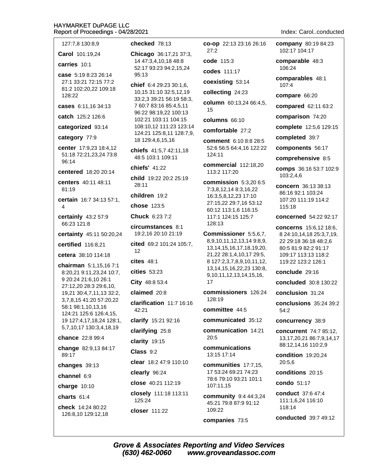#### $H/$ Re

| IAYMARKET DuPAGE LLC<br>eport of Proceedings - 04/28/2021                            |
|--------------------------------------------------------------------------------------|
| checked 78:13                                                                        |
| Chicago 36:17,21 37:3                                                                |
| 14 47:3,4,10,18 48:8<br>52:17 93:23 94:2,15,24                                       |
| 95:13<br>chief 6:4 29:23 30:1,6,<br>10,15 31:10 32:5,12,19<br>33:2,3 39:21 56:19 58: |
| 7 60:7 83:16 85:4,5,11<br>96:22 98:19,22 100:13                                      |
| 102:21 103:11 104:15                                                                 |
| 108:10,12 111:23 123:<br>124:21 125:8,11 128:7                                       |
| 18 129:4,6,15,16                                                                     |
| chiefs 41:5,7 42:11,18<br>48:5 103:1 109:11                                          |
| chiefs' 41:22                                                                        |
| child 19:22 20:2 25:19<br>28:11                                                      |
| children 19:2                                                                        |
| chose 123:5                                                                          |
| <b>Chuck</b> 6:23 7:2                                                                |
| <b>circumstances 8:1</b><br>19:2,16 20:10 21:19                                      |
| cited 69:2 101:24 105:                                                               |
| 12                                                                                   |
| $cites$ 48:1                                                                         |
| cities 53:23                                                                         |
| City 48:8 53:4                                                                       |
| claimed 20:8                                                                         |
| clarification 11:7 16:1<br>42:21                                                     |
| clarify 15:21 92:16                                                                  |
| clarifying 25:8                                                                      |
| clarity 19:15                                                                        |
| Class 9:2                                                                            |
| clear 18:2 47:9 110:10                                                               |
| clearly 96:24                                                                        |
| close 40:21 112:19                                                                   |
| closely 111:18 113:11<br>125:24                                                      |
| closer 111:22                                                                        |
|                                                                                      |

# $8:13$

6:17,21 37:3,  $0.1848:8$ 3 94:2,15,24

9:23 30:1,6, 0 32:5,12,19 1 56:19 58:3, 6 85:4,5,11 9,22 100:13 :11 104:15 111:23 123:14  $:8,11$  128:7,9, .15.16

**nces** 8:1 10 21:19 101:24 105:7, 3  $3:4$  $.8($ n 11:7 16:16 21 92:16 25:8

column 60:13,24 66:4,5, 15 columns 66:10 comfortable 27:2 comment 6:10 8:8 28:5 52:6 56:5 64:4,16 122:22 124:11 commercial 112:18,20 113:2 117:20 commission 5:3,20 6:5 7:3,8,12,14 8:3,16,22 16:3,5,8,12,23 17:10 27:15,22 29:7,16 53:12 60:12 113:1,6 116:15 117:1 124:15 125:7 128:13 Commissioner 5:5,6,7, 8,9,10,11,12,13,14 9:8,9, 13, 14, 15, 16, 17, 18, 19, 20, 21,22 28:1,4,10,17 29:5, 8 127:2,3,7,8,9,10,11,12, 13, 14, 15, 16, 22, 23 130: 8, 9,10,11,12,13,14,15,16, 17 commissioners 126:24 128:19 committee 44:5 communicated 35:12 communication 14:21  $20:5$ communications 13:15 17:14 communities 17:7.15. 17 53:24 69:21 74:23 78:6 79:10 93:21 101:1 107:11,15

co-op 22:13 23:16 26:16

 $27:2$ 

code 115:3

codes 111:17

coexisting 53:14

collecting 24:23

community 9:4 44:3,24 45:21 79:8 87:9 91:12 109:22

companies 73:5

company 80:19 84:23 102:17 104:17

comparable 48:3 106:24

comparables 48:1  $107:4$ 

compare 66:20

compared 62:11 63:2

comparison 74:20

complete 12:5,6 129:15

completed 39:7

components 56:17

comprehensive 8:5

comps 36:16 53:7 102:9 103:2,4,6

concern 36:13 38:13 86:16 92:1 103:24 107:20 111:19 114:2 115:18

concerned 54:22 92:17

concerns 15:6,12 18:6, 8 24:10,14,18 25:3,7,19, 22 29:18 36:18 48:2,6 80:5 81:9 82:2 91:17 109:17 113:13 118:2 119:22 123:2 126:1

conclude 29:16

concluded 30:8 130:22

conclusion 31:24

conclusions 35:24 39:2  $54:2$ 

concurrency 38:9

concurrent 74:7 85:12, 13, 17, 20, 21 86: 7, 9, 14, 17 88:12,14,16 110:2,9

condition 19:20,24  $20:5.6$ 

conditions 20:15

condo 51:17

conduct 37:6 47:4 111:1,6,24 116:10 118:14

conducted 39:7 49:12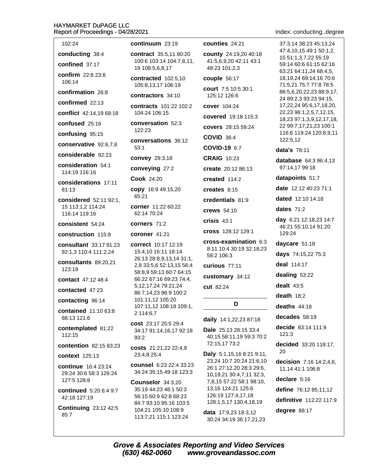#### **HAYN** Repor

Index: conducting..degree

| IAYMARKET DuPAGE LLC<br>eport of Proceedings - 04/28/2021    |                                         |
|--------------------------------------------------------------|-----------------------------------------|
| 102:24                                                       | continuum                               |
| conducting 38:4                                              | contract 3                              |
| confined 37:17                                               | 100:6 103:<br>19 108:5,6                |
| confirm 22:8 23:8<br>106:14                                  | contracted<br>105:8,13,1                |
| confirmation 26:8                                            | contractor                              |
| confirmed 22:13                                              | contracts                               |
| conflict 42:14,19 68:18                                      | 104:24 106                              |
| confused 25:16                                               | conversati<br>122:23                    |
| confusing 95:15                                              |                                         |
| conservative 92:6,7,8                                        | conversat<br>53:1                       |
| considerable 92:23                                           | convey 29                               |
| consideration 54:1<br>114:19 116:16                          | conveying                               |
| considerations 17:11                                         | <b>Cook 24:2</b>                        |
| 81:13                                                        | <b>copy</b> 16:9<br>65:21               |
| considered 52:11 92:1,<br>15 113:1,2 114:24<br>116:14 119:16 | corner 11:<br>62:14 70:2                |
| consistent 54:24                                             | corners 7                               |
|                                                              |                                         |
| construction 115:8                                           | coroner 4                               |
| consultant 33:17 91:23<br>92:1,3 110:4 111:2,24              | correct 10<br>15:4,10 16                |
| consultants 89:20,21<br>123:19                               | 26:13 28:8<br>2,8 33:5,6                |
| contact 47:12 48:4                                           | 58:8,9 59:<br>66:22 67:1                |
| contacted 47:23                                              | 5, 12, 17, 24                           |
| contacting 96:14                                             | 86:7,14,23<br>101:11,12                 |
| <b>contained</b> 11:10 63:8<br>88:13 121:6                   | 107:11,12<br>2 114:6,7                  |
| contemplated 81:22<br>112:15                                 | <b>cost</b> 23:17<br>34:17 91:1<br>93:2 |
| <b>contention</b> 82:15 83:23                                | <b>costs</b> 21:2                       |
| <b>context</b> 125:13                                        | 23:4,8 25:4                             |
| <b>continue</b> 16:4 23:24<br>29:24 30:6 58:3 126:24         | counsel 6<br>34:24 35:1                 |
| 127:5 128:8                                                  | Counselor                               |
| <b>continued</b> 5:20 6:4 9:7<br>42:18 127:19                | 35:19 44:2<br>56:15 60:9<br>84:7 93:10  |

#### **n** 23:19

35:5.11 80:20 14 104:7,8,11, ,8,17

 $d$  102:5,10 7 106:19

 $rs 34:10$ 

101:22 102:2 6:15

ion  $52:3$ 

 $\sin 36:12$ 

 $9:3,18$ 

 $327:2$ 

0

49:15,20

22 60:22  $\mathbf{A}$ 

 $1:2$ 

 $1:21$ 

0:17 12:19  $3:11$  18:14 .9.13.14 31:1. 52:13,15 56:4 13 60:7 64:15 6 69:23 74:4, 79:21,24 96:9 100:2 105:20 108:18 109:1,

25:5 29:4 4, 16, 17 92: 18

21.22 22:4.9 4

:23 22:4 33:23 5 49:18 123:3

 $r$  34:3,20 3 46:1 50:3 62:8 68:23 95:16 103:5 5:10 108:9 113:7,21 115:1 123:24

counties 24:21

county 24:19,20 40:18 41:5.6.9.20 42:11 43:1 48:23 101:2,3

couple 56:17

court 7:5 10:5 30:1 125:12 126:6

cover 104:24

covered 19:18 115:3

covers 28:15 59:24

**COVID 36:4** 

COVID-19 6:7

**CRAIG 10:23** 

create 20:12 86:13

created 114:2

creates 8:15

credentials 81:9

crews 54:10

 $crisis$  43:1

cross 128:12 129:1

cross-examination 6:3 8:11 10:4 30:19 32:18,23 58:2 106:3

curious 77:11

customary 34:12

cut 82:24

D

daily 14:1,22,23 87:18

Dale 25:13 28:15 33:4 40:15 58:11,19 59:3 70:2 72:15,17 73:2

Daly 5:1,15,16 8:21 9:11, 23,24 10:7 20:24 21:6,10 26:1 27:12,20 28:3 29:6, 10,19,21 30:4,7,11 32:3, 7,8,15 57:22 58:1 98:10, 13,16 124:21 125:6 126:19 127:4,17,18 128:1,5,17 130:4,18,19

data 17:9,23 18:3,12 30:24 34:19 36:17,21,23 37:3.14 38:23 45:13.24 47:4.10.15 49:1 50:1.2. 15 51:1,3,7,22 55:19 59:14 60:6 61:15 62:16 63:21 64:11.24 68:4.5. 18,19,24 69:14,16 70:6 71:5,21 75:7 77:8 78:5 86:5,6,20,22,23 88:9,17, 24 89:2,3 93:23 94:15, 17,22,24 95:6,17,18,20, 22,23 96:1,2,5,7,12,15, 18,23 97:1,3,9,12,17,18, 22 99:7,17,21,23 100:1 116:6 119:24 120:8.9.11 122:5,12

data's 78:11

database 64:3 96:4,13 97:14,17 99:18

datapoints 51:7

date 12:12 40:23 71:1

dated 12:10 14:18

dates  $71:2$ 

day 6:21 12:18,23 14:7 46:21 55:10,14 91:20 129:24

daycare 51:18

days 74:15,22 75:3

deal 114:17

dealing 53:22

dealt  $43:5$ 

death  $18:2$ 

deaths  $44:18$ 

decades 58:19

decide 83:14 111:9  $121:3$ 

decided 33:20 118:17. 20

decision 7:16 14:2,4,6, 11,14 41:1 106:8

declare 5:16

define  $76:1285:11,12$ 

definitive 112:22 117:9

degree 88:17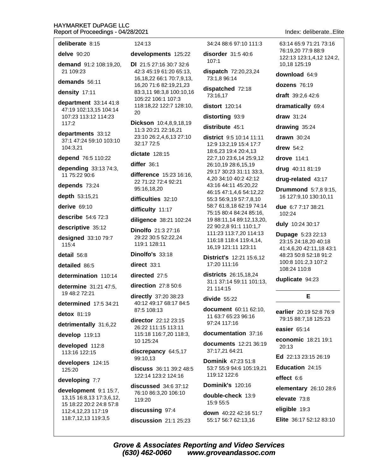| deliberate 8:15                                                              | 124:13                                                                                 |  |
|------------------------------------------------------------------------------|----------------------------------------------------------------------------------------|--|
| delve 90:20                                                                  | developments 125:22                                                                    |  |
| demand 91:2 108:19,20,<br>21 109:23                                          | <b>DI</b> 21:5 27:16 30:7 32:6<br>42:3 45:19 61:20 65:13,                              |  |
| demands 56:11                                                                | 16, 18, 22 66: 1 70: 7, 9, 13,<br>16,20 71:6 82:19,21,23                               |  |
| density 17:11                                                                | 83:3,11 98:3,8 100:10,16                                                               |  |
| department 33:14 41:8<br>47:19 102:13,15 104:14<br>107:23 113:12 114:23      | 105:22 106:1 107:3<br>118:18,22 122:7 128:10,<br>20                                    |  |
| 117:2<br>departments 33:12<br>37:1 47:24 59:10 103:10<br>104:3,21            | Dickson 10:4,8,9,18,19<br>11:3 20:21 22:16,21<br>23:10 26:2,4,6,13 27:10<br>32:17 72:5 |  |
| depend 76:5 110:22                                                           | <b>dictate</b> 128:15                                                                  |  |
| depending 33:13 74:3,                                                        | differ 36:1                                                                            |  |
| 11 75:22 90:6<br>depends 73:24                                               | difference 15:23 16:16,<br>22 71:22 72:4 92:21                                         |  |
| depth 53:15,21                                                               | 95:16,18,20                                                                            |  |
| derive 69:10                                                                 | difficulties 32:10                                                                     |  |
| describe 54:6 72:3                                                           | difficulty 11:17                                                                       |  |
| descriptive 35:12                                                            | diligence 38:21 102:24                                                                 |  |
| designed 33:10 79:7<br>115:4                                                 | Dinolfo 21:3 27:16<br>29:22 30:5 52:22,24<br>119:1 128:11                              |  |
| detail 56:8                                                                  | Dinolfo's 33:18                                                                        |  |
| detailed 86:5                                                                | direct 33:1                                                                            |  |
| determination 110:14                                                         | directed 27:5                                                                          |  |
| determine 31:21 47:5,<br>19 48:2 72:21                                       | direction $27:850:6$<br>directly 37:20 38:23                                           |  |
| <b>determined</b> 17:5 34:21                                                 | 40:12 49:17 68:17 84:5                                                                 |  |
| detox 81:19                                                                  | 87:5 108:13                                                                            |  |
| detrimentally 31:6,22                                                        | director 22:12 23:15<br>26:22 111:15 113:11                                            |  |
| develop 119:13                                                               | 115:18 116:7,20 118:3,                                                                 |  |
| developed 112:8<br>113:16 122:15                                             | 10 125:24<br>discrepancy 64:5,17                                                       |  |
| developers 124:15                                                            | 99:10,13                                                                               |  |
| 125:20                                                                       | discuss 36:11 39:2 48:5<br>122:14 123:2 124:16                                         |  |
| developing 7:7                                                               | discussed 34:6 37:12                                                                   |  |
| development 9:1 15:7,<br>13,15 16:8,13 17:3,6,12,<br>15 18:22 20:2 24:8 57:8 | 76:10 86:3,20 106:10<br>119:20                                                         |  |
| 112:4,12,23 117:19<br>118:7,12,13 119:3,5                                    | discussing 97:4                                                                        |  |
|                                                                              | discussion 21:1 25:23                                                                  |  |
|                                                                              |                                                                                        |  |

34:24 88:6 97:10 111:3

disorder 31:5 40:6  $107:1$ 

dispatch 72:20,23,24 73:1,8 96:14

dispatched 72:18 73:16,17

distort 120:14

distorting 93:9

distribute 45:1

district 9:5 10:14 11:11 12:9 13:2,19 15:4 17:7 18:6,23 19:4 20:4,13 22:7,10 23:6,14 25:9,12 26:10,19 28:6,15,19 29:17 30:23 31:11 33:3, 4,20 34:10 40:2 42:12 43:16 44:11 45:20,22 46:15 47:1,4,6 54:12,22 55:3 56:9.19 57:7.8.10 58:7 61:8,18 62:19 74:14 75:15 80:4 84:24 85:16, 19 88:11,14 89:12,13,20, 22 90:2,8 91:1 110:1,7 111:23 113:7,20 114:13 116:18 118:4 119:4,14, 16,19 121:11 123:11

**District's 12:21 15:6,12** 17:20 111:16

**districts** 26:15,18,24 31:1 37:14 59:11 101:13, 21 114:15

divide  $55:22$ 

document 60:11 62:10, 11 63:7 65:23 96:16 97:24 117:16

documentation 37:16

**documents** 12:21 36:19 37:17,21 64:21

**Dominik 47:23 51:8** 53:7 55:9 94:6 105:19,21 119:12 122:6

**Dominik's 120:16** 

double-check 13:9 15:9 55:5

down 40:22 42:16 51:7 55:17 56:7 62:13,16

Index: deliberate..Elite

63:14 65:9 71:21 73:16 76:19.20 77:9 88:9 122:13 123:1,4,12 124:2, 10,18 125:19

download 64:9

dozens 76:19

draft 39:2,6 42:6

dramatically 69:4

 $draw$  31:24

drawing 35:24

drawn 30:24

drew  $54:2$ 

drove 114:1

drug 40:11 81:19

drug-related 43:17

**Drummond** 5:7.8 9:15. 16 127:9,10 130:10,11

due 6:7 7:17 38:21 102:24

duly 10:24 30:17

**Dupage 5:23 22:13** 23:15 24:18,20 40:18 41:4,6,20 42:11,18 43:1 48:23 50:8 52:18 91:2 100:8 101:2,3 107:2 108:24 110:8

#### duplicate 94:23

earlier 20:19 52:8 76:9 79:15 88:7,18 125:23

E

easier 65:14

economic 18:21 19:1 20:13

Ed 22:13 23:15 26:19

Education 24:15

effect 6:6

elementary 26:10 28:6

elevate 73:8

eligible 19:3

Elite 36:17 52:12 83:10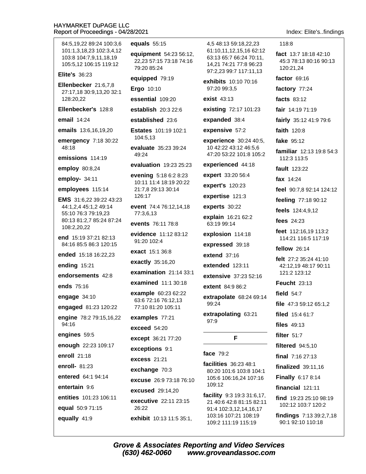equals  $55:15$ 84:5,19,22 89:24 100:3,6 101:1.3.18.23 102:3.4.12 103:8 104:7,9,11,18,19 105:5,12 106:15 119:12 79:20 85:24 **Elite's 36:23** Ellenbecker 21:6.7.8 Ergo 10:10 27:17,18 30:9,13,20 32:1 128:20,22 Ellenbecker's 128:8 email  $14:24$ emails 13:6,16,19,20 104:5,13 emergency 7:18 30:22 48:18  $49.24$ emissions 114:19 employ 80:8,24 employ- $34:11$ employees 115:14 126:17 EMS 31:6,22 39:22 43:23 44:1,2,4 45:1,2 49:14 55:10 76:3 79:19.23 77:3,6,13 80:13 81:2,7 85:24 87:24 108:2,20,22 end 15:19 37:21 82:13 91:20 102:4 84:16 85:5 86:3 120:15 ended 15:18 16:22.23 ending 15:21 endorsements 42:8 ends 75:16 engage 34:10 engaged 81:23 120:22 engine 78:2 79:15,16,22 94:16 exceed 54:20 engines 59:5 enough 22:23 109:17 enroll 21:18 **excess** 21:21 enroll- 81:23 entered 64:1 94:14 entertain 9:6 entities 101:23 106:11 equal 50:9 71:15 26:22 equally 41:9 exhibit 10:13 11:5 35:1,

equipment 54:23 56:12, 22,23 57:15 73:18 74:16 equipped 79:19 essential 109:20 establish 20:3 22:6 established 23:6 Estates 101:19 102:1 evaluate 35:23 39:24 evaluation 19:23 25:23 evening 5:18 6:2 8:23 10:11 11:4 18:19 20:22 21:7.8 29:13 30:14 event 74:4 76:12,14,18 events 76:11 78:8 evidence 11:12 83:12 exact 15:1 36:8 exactly 35:16,20 examination  $21:1433:1$ examined 11:1 30:18 example 60:23 62:22 63:6 72:16 76:12,13 77:10 81:20 105:11 examples 77:21 except 36:21 77:20 exceptions 9:1 exchange 70:3 excuse 26:9 73:18 76:10 **excused** 29:14,20 executive 22:11 23:15

4.5 48:13 59:18.22.23 61:10.11.12.15.16 62:12 63:13 65:7 66:24 70:11, 14,21 74:21 77:8 96:23 97:2.23 99:7 117:11.13 exhibits 10:10 70:16 97:20 99:3,5 exist 43:13 existing 72:17 101:23 expanded 38:4 expensive 57:2 experience 30:24 40:5, 10 42:22 43:12 46:5,6 47:20 53:22 101:8 105:2

experienced 44:18

expert 33:20 56:4 expert's 120:23

expertise 121:3

experts 30:22

explain 16:21 62:2 63:19 99:14

explosion 114:18

expressed 39:18

extend  $37:16$ 

extended 123:11

extensive 37:23 52:16

extent 84:9 86:2

extrapolate 68:24 69:14 99:24

extrapolating 63:21  $97:9$ 

F

# face 79:2

facilities 36:23 48:1 80:20 101:6 103:8 104:1 105:6 106:16.24 107:16 109:12

facility 9:3 19:3 31:6,17, 21 40:6 42:8 81:15 82:11 91:4 102:3,12,14,16,17 103:16 107:21 108:19 109:2 111:19 115:19

Index: Elite's..findings

118:8 fact 13:7 18:18 42:10 45:3 78:13 80:16 90:13 120:21,24 factor 69:16 factory 77:24 facts 83:12 fair 14:19 71:19 fairly 35:12 41:9 79:6 faith 120:8 fake 95:12 familiar 12:13 19:8 54:3 112:3 113:5 fault 123:22 fax 14:24 feel 90:7.8 92:14 124:12 feeling 77:18 90:12 feels 124:4,9,12 fees 24:23 feet 112:16.19 113:2 114:21 116:5 117:19 fellow 26:14 felt 27:2 35:24 41:10 42:12.19 48:17 90:11 121:2 123:12 **Feucht 23:13** field  $54:7$ file 47:3 59:12 65:1.2 filed 15:4 61:7 files 49:13 filter  $51:7$ **filtered** 94:5.10 final  $7:1627:13$ finalized  $39:11.16$ **Finally 6:17 8:14** financial  $121:11$ find 19:23 25:10 98:19 102:12 103:7 120:2 findings 7:13 39:2,7,18 90:1 92:10 110:18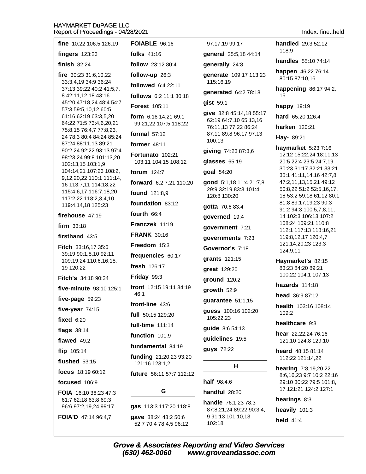| fine 10:22 106:5 126:19                            | <b>FOIABLE 96:16</b>                           | 97:17,19 99:17                                     | handled 29:3 52:12                                            |
|----------------------------------------------------|------------------------------------------------|----------------------------------------------------|---------------------------------------------------------------|
| fingers $123:23$                                   | folks $41:16$                                  | general 25:5,18 44:14                              | 118:9                                                         |
| finish $82:24$                                     | follow 23:12 80:4                              | generally 24:8                                     | handles 55:10 74:14                                           |
| fire $30:233:6,10,22$                              | follow-up 26:3                                 | generate 109:17 113:23<br>115:16,19                | happen 46:22 76:14<br>80:15 87:10,16<br>happening 86:17 94:2, |
| 33:3,4,19 34:9 36:24<br>37:13 39:22 40:2 41:5,7,   | followed 6:4 22:11                             |                                                    |                                                               |
| 8 42:11,12,18 43:16                                | follows 6:2 11:1 30:18                         | generated 64:2 78:18                               | 15                                                            |
| 45:20 47:18,24 48:4 54:7<br>57:3 59:5,10,12 60:5   | <b>Forest 105:11</b>                           | gist 59:1                                          | happy 19:19                                                   |
| 61:16 62:19 63:3,5,20                              | form 6:16 14:21 69:1                           | give 32:8 45:14,18 55:17<br>62:19 64:7,10 65:13,16 | hard 65:20 126:4                                              |
| 64:22 71:5 73:4,6,20,21<br>75:8,15 76:4,7 77:8,23, | 99:21,22 107:5 118:22                          | 76:11,13 77:22 86:24                               | harken 120:21                                                 |
| 24 78:3 80:4 84:24 85:24                           | formal $57:12$                                 | 87:11 89:8 96:17 97:13<br>100:13                   | Hay- 89:21                                                    |
| 87:24 88:11,13 89:21<br>90:2,24 92:22 93:13 97:4   | former $48:11$                                 | giving 74:23 87:3,6                                | haymarket 5:23 7:16                                           |
| 98:23,24 99:8 101:13,20                            | Fortunato 102:21<br>103:11 104:15 108:12       | glasses 65:19                                      | 12:12 15:22,24 18:11,13<br>20:5 22:4 23:5 24:7,19             |
| 102:13,15 103:1,9<br>104:14,21 107:23 108:2,       | forum $124:7$                                  | goal 54:20                                         | 30:23 31:17 32:21 33:21                                       |
| 9,12,20,22 110:1 111:14,<br>16 113:7,11 114:18,22  | forward 6:2 7:21 110:20                        | good 5:1,18 11:4 21:7,8                            | 35:1 41:11,14,16 42:7,8<br>47:2,11,13,15,21 49:12             |
| 115:4,6,17 116:7,18,20                             | found 121:8,9                                  | 29:9 32:19 83:3 101:4<br>120:8 130:20              | 50:8,22 51:2 52:5,16,17,<br>18 53:2 59:18 61:12 80:1          |
| 117:2,22 118:2,3,4,10<br>119:4,14,18 125:23        | foundation 83:12                               | gotta 70:6 83:4                                    | 81:8 89:17,19,23 90:3                                         |
| firehouse 47:19                                    | fourth $66:4$                                  | governed 19:4                                      | 91:2 94:3 100:5,7,8,11,<br>14 102:3 106:13 107:2              |
| firm $33:18$                                       | Franczek 11:19                                 | government 7:21                                    | 108:24 109:21 110:8<br>112:1 117:13 118:16,21                 |
| firsthand 43:5                                     | <b>FRANK 30:16</b>                             | governments 7:23                                   | 119:8,12,17 120:4,7                                           |
| Fitch 33:16,17 35:6                                | Freedom 15:3                                   | Governor's 7:18                                    | 121:14,20,23 123:3<br>124:9,11                                |
| 39:19 90:1,8,10 92:11<br>109:19,24 110:6,16,18,    | frequencies 60:17                              | grants 121:15                                      | Haymarket's 82:15                                             |
| 19 120:22                                          | fresh 126:17                                   | great 129:20                                       | 83:23 84:20 89:21                                             |
| Fitch's 34:18 90:24                                | Friday 99:3                                    | ground 120:2                                       | 100:22 104:1 107:13                                           |
| five-minute 98:10 125:1                            | front 12:15 19:11 34:19                        | growth 52:9                                        | hazards 114:18                                                |
| five-page 59:23                                    | 46:1                                           | guarantee 51:1,15                                  | head 36:9 87:12                                               |
| five-year $74:15$                                  | front-line 43:6<br>full 50:15 129:20           | guess 100:16 102:20                                | health 103:16 108:14<br>109:2                                 |
| fixed $6:20$                                       | full-time 111:14                               | 105:22,23                                          | healthcare 9:3                                                |
| <b>flags</b> 38:14                                 | function 101:9                                 | guide 8:6 54:13                                    | hear 22:22,24 76:16                                           |
| flawed 49:2                                        | fundamental 84:19                              | guidelines 19:5                                    | 121:10 124:8 129:10                                           |
| flip 105:14                                        | funding 21:20,23 93:20                         | guys 72:22                                         | heard 48:15 81:14                                             |
| flushed $53:15$                                    | 121:16 123:1,2                                 | н                                                  | 112:22 121:14,22                                              |
| focus 18:19 60:12                                  | future 56:11 57:7 112:12                       |                                                    | <b>hearing</b> 7:8,19,20,22<br>8:6, 16, 23 9:7 10:2 22:16     |
| focused 106:9                                      |                                                | half 98:4,6                                        | 29:10 30:22 79:5 101:8,                                       |
| FOIA 16:10 36:23 47:3                              | G                                              | handful 28:20                                      | 17 121:21 124:2 127:1                                         |
| 61:7 62:18 63:8 69:3<br>96:6 97:2,19,24 99:17      | gas 113:3 117:20 118:8                         | handle 76:1,23 78:3<br>87:8,21,24 89:22 90:3,4,    | hearings 8:3<br>heavily 101:3                                 |
| FOIA'D 47:14 96:4,7                                | gave 38:24 43:2 50:6<br>52:7 70:4 78:4,5 96:12 | 991:13 101:10,13<br>102:18                         | held 41:4                                                     |

Index: fine..held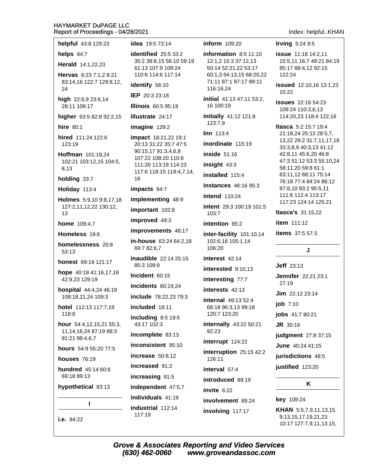#### **HAYMARKET DuPAGE LLC CCC** Re

| helps $84:7$<br>Herald 14:1,22,23<br>Hervas 6:23 7:1,2 8:21<br>83:14,16 122:7 129:8,12,<br>24<br>high 22:6,9 23:6,14<br>28:11 109:17<br>higher 63:5 82:8 92:2,15<br>hire 80:1<br>hired 111:24 122:6<br>123:19<br>Hoffman 101:19,24<br>102:21 103:12,15 104:5,<br>8,13<br>holding 33:7<br>Holiday 113:4<br>Holmes 5:9,10 9:8,17,18<br>127:2,11,12,22 130:12,<br>13<br><b>home</b> $109:4.7$<br>Homeless 19:6<br>homelessness 20:8<br>53:13<br><b>honest</b> 69:19 121:17<br>hope 40:18 41:16,17,18<br>42:9,23 129:19<br>hospital 44:4,24 46:19<br>108:18,21,24 109:3<br>hotel 112:13 117:7,19<br>inc<br>118:8<br><b>hour</b> 54:4,12,15,21 55:3,<br>11,14,16,24 87:19 88:3<br>91:21 98:4,6,7<br><b>hours</b> 54:9 55:20 77:5<br><b>houses</b> 76:19<br>hundred 45:14 60:8<br>69:18 89:13<br>ind<br>hypothetical 83:13 | ı | ind                  |
|----------------------------------------------------------------------------------------------------------------------------------------------------------------------------------------------------------------------------------------------------------------------------------------------------------------------------------------------------------------------------------------------------------------------------------------------------------------------------------------------------------------------------------------------------------------------------------------------------------------------------------------------------------------------------------------------------------------------------------------------------------------------------------------------------------------------|---|----------------------|
|                                                                                                                                                                                                                                                                                                                                                                                                                                                                                                                                                                                                                                                                                                                                                                                                                      |   | ind                  |
|                                                                                                                                                                                                                                                                                                                                                                                                                                                                                                                                                                                                                                                                                                                                                                                                                      |   | inc                  |
|                                                                                                                                                                                                                                                                                                                                                                                                                                                                                                                                                                                                                                                                                                                                                                                                                      |   | inc                  |
|                                                                                                                                                                                                                                                                                                                                                                                                                                                                                                                                                                                                                                                                                                                                                                                                                      |   | inc                  |
|                                                                                                                                                                                                                                                                                                                                                                                                                                                                                                                                                                                                                                                                                                                                                                                                                      |   | inc<br>inc           |
|                                                                                                                                                                                                                                                                                                                                                                                                                                                                                                                                                                                                                                                                                                                                                                                                                      |   | inc<br>43            |
|                                                                                                                                                                                                                                                                                                                                                                                                                                                                                                                                                                                                                                                                                                                                                                                                                      |   | inc                  |
|                                                                                                                                                                                                                                                                                                                                                                                                                                                                                                                                                                                                                                                                                                                                                                                                                      |   | <b>Inc</b><br>inc    |
|                                                                                                                                                                                                                                                                                                                                                                                                                                                                                                                                                                                                                                                                                                                                                                                                                      |   | ina<br>85            |
|                                                                                                                                                                                                                                                                                                                                                                                                                                                                                                                                                                                                                                                                                                                                                                                                                      |   | in-ł<br>69           |
|                                                                                                                                                                                                                                                                                                                                                                                                                                                                                                                                                                                                                                                                                                                                                                                                                      |   | imp                  |
|                                                                                                                                                                                                                                                                                                                                                                                                                                                                                                                                                                                                                                                                                                                                                                                                                      |   | imp                  |
|                                                                                                                                                                                                                                                                                                                                                                                                                                                                                                                                                                                                                                                                                                                                                                                                                      |   | imp<br>imp           |
|                                                                                                                                                                                                                                                                                                                                                                                                                                                                                                                                                                                                                                                                                                                                                                                                                      |   | imp                  |
|                                                                                                                                                                                                                                                                                                                                                                                                                                                                                                                                                                                                                                                                                                                                                                                                                      |   | 18                   |
|                                                                                                                                                                                                                                                                                                                                                                                                                                                                                                                                                                                                                                                                                                                                                                                                                      |   | 90<br>10<br>11<br>11 |
|                                                                                                                                                                                                                                                                                                                                                                                                                                                                                                                                                                                                                                                                                                                                                                                                                      |   | imp<br>20            |
|                                                                                                                                                                                                                                                                                                                                                                                                                                                                                                                                                                                                                                                                                                                                                                                                                      |   | ima                  |
|                                                                                                                                                                                                                                                                                                                                                                                                                                                                                                                                                                                                                                                                                                                                                                                                                      |   | illu                 |
|                                                                                                                                                                                                                                                                                                                                                                                                                                                                                                                                                                                                                                                                                                                                                                                                                      |   | <b>IEP</b><br>Illir  |
|                                                                                                                                                                                                                                                                                                                                                                                                                                                                                                                                                                                                                                                                                                                                                                                                                      |   | 11<br>ide            |
|                                                                                                                                                                                                                                                                                                                                                                                                                                                                                                                                                                                                                                                                                                                                                                                                                      |   | 35<br>61             |
|                                                                                                                                                                                                                                                                                                                                                                                                                                                                                                                                                                                                                                                                                                                                                                                                                      |   | ide                  |
| eport of Proceedings - 04/28/20<br>helpful 43:8 129:23                                                                                                                                                                                                                                                                                                                                                                                                                                                                                                                                                                                                                                                                                                                                                               |   | ide                  |

i.e. 84:22

a 19:5 73:14

**ntified** 25:5 33:2 :2 38:8,15 56:10 59:19 :13 107:9 109:24 0:6 114:6 117:14

ntify 56:10

20:3 23:18

**ois** 60:5 95:19

**strate** 24:17

**gine** 129:2

act 18:21,22 19:1 :13 31:22 35:7 47:5  $: 15, 17, 91:3, 4, 6, 8$ 7:22 108:20 110:8 1:20 113:19 114:23 7:6 118:15 119:4,7,14,

 $\textsf{acts} 84:7$ 

**olementing 48:9** 

ortant 102:8

proved  $49:3$ 

```
provements 48:17
```
**nouse** 63:24 64:2,18  $:782:6.7$ 

udible 22:14 25:15  $:3109:9$ 

**ident** 60:15

**dents** 60:19.24

lude 78:22,23 79:3

luded 18:11

luding 8:5 19:5  $:17102:3$ 

omplete 83:13

onsistent 95:10

rease 50:9,12

reased 91:2

reasing 91:5

ependent 47:5,7

ividuals 41:19 **ustrial** 112:14 117:19

# **inform** 109:20

information  $8:511:10$ 12:1,2 15:3 37:12,13 50:14 52:21,22 53:17 60:1,3 64:13,15 68:20,22 71:11 87:1 97:17 99:11 116:16,24

initial 41:13 47:11 53:2, 16 100:19

initially 41:12 121:8 123:7,9

**Inn** 113:4

inordinate 115:19

inside  $51:16$ 

insight 43:3

installed 115:4

**instances** 46:16 95:3

**intend** 110:24

intent 29:3 100:19 101:5 103:7

intention 85:2

inter-facility 101:10,14 102:6,18 105:1,14 106:20

interest 42:14

interested 8:10,13

interesting 77:7

interests 42:13

internal 49:13 52:4 68:18 96:3,13 99:18 120:7 123:20

internally 43:22 50:21  $92:23$ 

interrupt 124:22

interruption 25:15 42:2 126:11

interval 57:4

introduced 89:19

invite  $6:22$ 

involvement 89:24

involving 117:17

# Index: helpful..KHAN

Irving  $5:249:5$ 

**issue** 11:18 14:2.11 15:5,11 16:7 49:21 84:19 85:17 88:4,12 92:15 122:24

**issued** 12:10,16 13:1,23 15:22

**issues** 22:16 54:23 109:24 110:3,6,13 114:20,23 118:4 122:16

**Itasca** 5:2 15:7 19:4 21:18,24 25:13 28:5,7, 13,22 29:2 31:7,11,17,18 33:3,8,9 40:3,13 41:12 42:8,11 45:6,20 46:8 47:3 51:12 53:3 55:10,24 58:11,20 59:8 61:1 63:11,12 68:11 75:14 76:18 77:4 84:24 86:12 87:8,10 93:2 95:5,11 111:6 112:4 113:17 117:23 124:14 125:21

**Itasca's 31:15.22** 

**item** 111:12

items 37:5 57:3

#### J

**Jeff** 23:13

**Jennifer** 22:21 23:1  $27:19$ 

 $Jim$  22:12 23:14

job  $7:10$ 

jobs 41:7 80:21

**JR** 30:16

judgment 27:8 37:15

June 40:24 41:15

jurisdictions 48:5

justified 123:20

#### Κ

key 109:24

KHAN 5:5,7,9,11,13,15 9:13,15,17,19,21,23 10:17 127:7,9,11,13,15,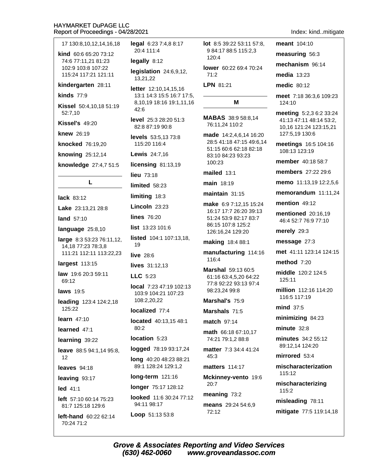| 17 130:8,10,12,14,16,18                                | legal 6:23 7:4,8 8:17<br>20:4 111:4           |  |
|--------------------------------------------------------|-----------------------------------------------|--|
| kind 60:6 65:20 73:12<br>74:6 77:11,21 81:23           |                                               |  |
| 102:9 103:8 107:22                                     | legally 8:12                                  |  |
| 115:24 117:21 121:11                                   | legislation 24:6,9,12<br>13,21,22             |  |
| kindergarten 28:11                                     | letter 12:10,14,15,16                         |  |
| kinds $77:9$                                           | 13:1 14:3 15:5 16:7 1<br>8,10,19 18:16 19:1,1 |  |
| Kissel 50:4,10,18 51:19<br>52:7,10                     | 42:6                                          |  |
| <b>Kissel's 49:20</b>                                  | level 25:3 28:20 51:3<br>82:8 87:19 90:8      |  |
| <b>knew</b> 26:19                                      | <b>levels</b> $53:5,1373:8$                   |  |
| knocked 76:19,20                                       | 115:20 116:4                                  |  |
| knowing 25:12,14                                       | <b>Lewis</b> 24:7,16                          |  |
| knowledge 27:4,7 51:5                                  | licensing 81:13,19                            |  |
|                                                        | lieu $73:18$                                  |  |
| L                                                      | limited 58:23                                 |  |
| lack 83:12                                             | limiting 18:3                                 |  |
| Lake 23:13,21 28:8                                     | Lincoln $23:23$                               |  |
| land 57:10                                             | <b>lines</b> 76:20                            |  |
| language 25:8,10                                       | <b>list</b> $13:23101:6$                      |  |
| <b>large</b> 8:3 53:23 76:11,12,<br>14,18 77:23 78:3,8 | listed 104:1 107:13,1<br>19                   |  |
| 111:21 112:11 113:22,23                                | <b>live</b> 28:6                              |  |
| largest 113:15                                         | lives 31:12,13                                |  |
| law 19:6 20:3 59:11<br>69:12                           | LLC 5:23                                      |  |
| <b>laws</b> 19:5                                       | local 7:23 47:19 102:<br>103:9 104:21 107:23  |  |
| leading 123:4 124:2,18                                 | 108:2,20,22                                   |  |
| 125:22                                                 | localized 77:4                                |  |
| learn $47:10$                                          | <b>located</b> 40:13,15 48:                   |  |
| learned 47:1                                           | 80:2                                          |  |
| learning 39:22                                         | location 5:23                                 |  |
| <b>leave</b> $88:594:1,1495:8$<br>12                   | <b>logged</b> 78:19 93:17,2                   |  |
| leaves 94:18                                           | long 40:20 48:23 88:<br>89:1 128:24 129:1,2   |  |
| leaving 93:17                                          | $long-term$ 121:16                            |  |
| $led$ 41:1                                             | longer 75:17 128:12                           |  |
| <b>left</b> $57:1060:1475:23$<br>81:7 125:18 129:6     | <b>looked</b> 11:6 30:24 77<br>94:11 98:17    |  |
| left-hand 60:22 62:14<br>70:24 71:2                    | Loop 51:13 53:8                               |  |
|                                                        |                                               |  |

9 84:17 88:5 115:2.3 24:6,9,12, 14,15,16 5:5 16:7 17:5, 16 19:1,11,16  $8:2051:3$  $90:8$ 13 73:8  $\cdot$ 16 11:13,19 23 3 23  $1:6$ 107:13,18, 13 7:19 102:13 1 107:23  $7:4$ 13,15 48:1 23 19 93:17,24 48:23 88:21 129:1,2 121:16 7 128:12 30:24 77:12

 $120.4$ lower 60:22 69:4 70:24  $71.2$ LPN 81:21 M MABAS 38:9 58:8,14 76:11,24 110:2 made 14:2,4,6,14 16:20 28:5 41:18 47:15 49:6,14 51:15 60:6 62:18 82:18 83:10 84:23 93:23 100:23 mailed 13:1 main 18:19 maintain  $31:15$ make 6:9 7:12,15 15:24 16:17 17:7 26:20 39:13 51:24 53:9 82:17 83:7 86:15 107:8 125:2 126:16,24 129:20 making 18:4 88:1 manufacturing 114:16 116:4 Marshal 59:13 60:5 61:16 63:4,5,20 64:22 77:8 92:22 93:13 97:4 98:23,24 99:8 Marshal's 75:9 Marshals 71:5 match 97:14 math 66:18 67:10,17 74:21 79:1,2 88:8 matter 7:3 34:4 41:24  $45:3$ **matters** 114:17 Mckinney-vento 19:6  $20:7$ 

**lot** 8:5 39:22 53:11 57:8,

meaning 73:2

means 29:24 54:6,9 72:12

#### Index: kind..mitigate

meant 104:10 measuring 56:3 mechanism 96:14 media 13:23 medic 80:12 meet 7:18 36:3,6 109:23 124:10 meeting 5:2,3 6:2 33:24 41:13 47:11 48:14 53:2, 10,16 121:24 123:15,21 127:5,19 130:6 meetings 16:5 104:16 108:13 123:19 member 40:18 58:7 **members** 27:22 29:6 memo 11:13,19 12:2,5,6 memorandum 11:11,24 mention  $49:12$ **mentioned** 20:16,19 46:4 52:7 76:9 77:10 merely 29:3 message 27:3 met 41:11 123:14 124:15 method  $7:20$ middle 120:2 124:5 125:11 million 112:16 114:20 116:5 117:19  $mid$  37:5 minimizing 84:23 minute  $32:8$ minutes 34:2 55:12 89:12,14 124:20 mirrored 53:4 mischaracterization 115:12 mischaracterizing 115:2 misleading 78:11

mitigate 77:5 119:14,18

**Grove & Associates Reporting and Video Services** (630) 462-0060 www.groveandassoc.com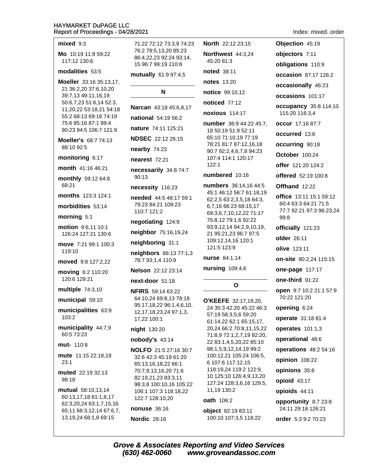#### $mixed$  9:3

Mo 10:19 11:8 59:22 117:12 130:6

## modalities 53:5

Moeller 33:16 35:13,17, 21 36:2,20 37:6,10,20 39:7,13 49:11,16,19 50:6,7,23 51:6,14 52:3, 11,20,22 53:18,21 54:18 55:2 68:13 69:16 74:19 75:6 85:16 87:1 89:4 90:23 94:5 106:7 121:9

**Moeller's 68:7 74:13** 88:10 92:5

#### monitoring 6:17

month 41:16 46:21

monthly 59:12 64:8 68:21

months 123:3 124:1

morbidities 53:14

morning 5:1

motion 9:6,11 10:1 126:24 127:21 130:6

move 7:21 99:1 100:3 119:10

moved 9:8 127:2.22

moving 6:2 110:20 120:6 129:21

multiple 74:3,10

municipal 59:10

municipalities 63:9 103:2

municipality 44:7,9 60:5 73:23

mut- 110:8

mute 11:15 22:18,19  $23:1$ 

muted 22:19 32:13 98:18

**mutual** 58:10,13,14 60:13,17,18 61:1,8,17 62:3,20,24 63:1,7,15,16 65:11 66:3,12,14 67:6,7, 13, 19, 24 68: 1, 8 69: 15

71:22 72:12 73:3.9 74:23 76:2 78:5.13.20 85:23 86:4,22,23 92:24 93:14, 15 96:7 99:19 110:8

mutually 61:9 97:4,5

# N

Narcan 43:18 45:6,8,17 national 54:19 56:2

nature 74:11 125:21

**NDSEC** 22:12 26:15

nearby  $74:23$ 

nearest 72:21

necessarily 34:8 74:7 90:13

necessity 116:23

needed 44:5 48:17 59:1 79:23 84:21 109:23 110:7 121:2

negotiating 124:9

neighbor 75:16,19,24

neighboring 31:1

neighbors 66:13 77:1,3 78:7 93:1,4 110:9

Nelson 22:12 23:14

next-door 51:18

**NFIRS** 59:14 63:22 64:10,24 69:8,13 78:18 95:17,18,22 96:1,4,6,10, 12, 17, 18, 23, 24 97: 1, 3, 17,22 100:1

#### night 130:20

#### nobody's 43:14

**NOLFO** 21:5 27:16 30:7 32:6 42:3 45:19 61:20 65:13,16,18,22 66:1 70:7.9.13.16.20 71:6 82:19,21,23 83:3,11 98:3,8 100:10,16 105:22 106:1 107:3 118:18,22 122:7 128:10,20

nonuse 36:16

**Nordic 28:16** 

45:20 81:3 noted 38:11 **notes** 13:20 notice 99:10,12 noticed 77:12 noxious 114:17 number 36:9 44:22 45:7. 18 50:19 51:9 52:11 65:10 71:10,19 77:19 78:21 81:7 87:12,16,18 90:7 92:2,4,6,7,8 94:23 107:4 114:1 120:17  $122:1$ numbered 10:16

North 22:12 23:15

Northwest 44:3,24

numbers 36:14,16 44:5 45:1 46:12 56:7 61:18,19 62:2,5 63:2,3,5,18 64:3, 6,7,16 66:23 68:15,17 69:3,6,7,10,12,22 71:17 75:8,12 79:1,6 92:22 93:9,12,14 94:2,9,10,19, 21 95:21,23 96:7 97:5 109:12,14,16 120:1 121:5 123:9

nurse 84:1.14

nursing  $109:4.6$ 

# $\Omega$

**O'KEEFE** 32:17,19,20, 24 35:3 42:20 45:22 46:3 57:19 58:3,5,6 59:20 61:14,22 62:1 65:15,17, 20,24 66:2 70:8,11,15,22 71:8,9 72:1,2,7,19 82:20, 22 83:1,4,5,20,22 85:10 98:1,5,9,12,14,19 99:2 100:12,21 105:24 106:5, 6 107:6 117:12,15 118:19,24 119:2 122:9, 10 125:10 126:4,9,13,20 127:24 128:3,6,16 129:5, 11.19 130:2

# oath 106:2

object 82:19 83:11 100:10 107:3,5 118:22 objectors 7:11 obligations 110:9 occasion 87:17 126:2 occasionally 46:23 occasions 101:17 occupancy 35:8 114:10 115:20 116:3.4 occur 17:16 87:7 occurred 13:8 occurring 90:18 October 100:24 offer 121:20 124:2 offered 52:19 100:8 Offhand 12:22 office 13:11 15:1 59:12 60:4 63:3 64:21 71:5 77:7 92:21 97:3 98:23.24 99:8 officially 121:23 older 26:11 olive  $123:11$ on-site 80:2,24 115:15 one-page 117:17 one-third 91:22 open 9:7 10:2 21:1 57:9 70:22 121:20 opening 6:24 operate 31:18 81:4 operates 101:1,3

operational 48:6

operations 48:2 54:16

opinion 106:22

opinions 35:8

opioid 43:17

opioids 44:11

opportunity 8:7 23:8 24:11 29:18 126:21

order 5:3 9:2 70:23

**Grove & Associates Reporting and Video Services** (630) 462-0060 www.groveandassoc.com

### Index: mixed..order

Objection 45:19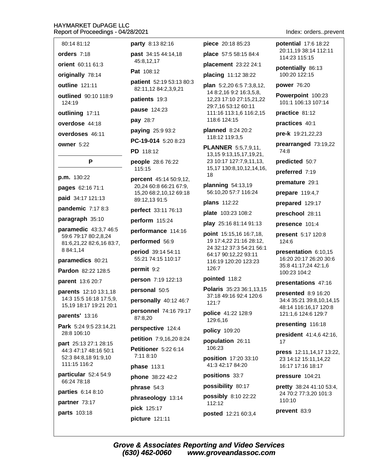- 80:14 81:12
- orders 7:18
- orient 60:11 61:3

originally 78:14

outline 121:11

outlined 90:10 118:9 124:19

outlining 17:11

overdose 44:18

overdoses 46:11

owner 5:22

# P

p.m. 130:22

pages 62:16 71:1

paid 34:17 121:13

pandemic  $7:178:3$ 

paragraph 35:10

paramedic 43:3,7 46:5 59:6 79:17 80:2,8,24 81:6,21,22 82:6,16 83:7, 8 84:1,14

paramedics 80:21

Pardon 82:22 128:5

parent 13:6 20:7

parents 12:10 13:1,18 14:3 15:5 16:18 17:5,9, 15,19 18:17 19:21 20:1

# parents' 13:16

Park 5:24 9:5 23:14,21 28:8 106:10

part 25:13 27:1 28:15 44:3 47:17 48:16 50:1 52:3 84:8,18 91:9,10 111:15 116:2

particular 52:4 54:9 66:24 78:18

parties 6:14 8:10

partner 73:17 **parts** 103:18

party 8:13 82:16

past 34:15 44:14,18 45:8,12,17

Pat 108:12

patient 52:19 53:13 80:3 82:11,12 84:2,3,9,21

patients 19:3

pause 124:23

pay 28:7

paying 25:9 93:2

PC-19-014 5:20 8:23

PD 118:12

people 28:6 76:22 115:15

**percent** 45:14 50:9,12, 20,24 60:8 66:21 67:9, 15.20 68:2.10.12 69:18 89:12,13 91:5

perfect 33:11 76:13

perform 115:24

performance 114:16

performed 56:9

period 39:14 54:11 55:21 74:15 110:17

permit 9:2

person 7:19 122:13

personal 50:5

personally 40:12 46:7

personnel 74:16 79:17 87:8,20

perspective 124:4

petition 7:9,16,20 8:24

**Petitioner** 5:22 6:14

7:11 8:10

**phase 113:1** 

phone 38:22 42:2

phrase 54:3

phraseology 13:14

pick 125:17 picture 121:11

(630) 462-0060

piece 20:18 85:23 place 57:5 58:15 84:4 placement 23:22 24:1

placing 11:12 38:22

**plan**  $5:2,206:57:3,8,12$ 14 8:2,16 9:2 16:3,5,8, 12,23 17:10 27:15,21,22 29:7,16 53:12 60:11 111:16 113:1,6 116:2,15 118:6 124:15

planned  $8:2420:2$ 118:12 119:3,5

**PLANNER** 5:5,7,9,11, 13,15 9:13,15,17,19,21, 23 10:17 127:7,9,11,13, 15,17 130:8,10,12,14,16, 18

planning  $54:13.19$ 56:10,20 57:7 116:24

plans 112:22

plate 103:23 108:2

play 25:16 81:14 91:13

point 15:15,16 16:7,18, 19 17:4,22 21:16 28:12, 24 32:12 37:3 54:21 56:1 64:17 90:12,22 93:11 116:19 120:20 123:23 126:7

pointed 118:2

Polaris 35:23 36:1,13,15 37:18 49:16 92:4 120:6 121:7

police 41:22 128:9 129:6,16

policy 109:20

population 26:11 106:23

position 17:20 33:10 41:3 42:17 84:20

positions 33:7

possibility 80:17

possibly 8:10 22:22 112:12

posted 12:21 60:3,4

www.groveandassoc.com

**Grove & Associates Reporting and Video Services** 

Index: orders..prevent

potential 17:6 18:22 20:11.19 38:14 112:11 114:23 115:15

potentially 86:13 100:20 122:15

power 76:20

Powerpoint 100:23 101:1 106:13 107:14

practice 81:12

practices 40:1

pre-k 19:21,22,23

prearranged 73:19,22 74:8

predicted 50:7

preferred 7:19

premature 29:1

prepare 119:4,7

prepared 129:17

preschool 28:11

presence 101:4

present 5:17 120:8 124:6

presentation 6:10,15 16:20 20:17 26:20 30:6 35:8 41:17,24 42:1,6 100:23 104:2

presentations 47:16

presented 8:9 16:20 34:4 35:21 39:8,10,14,15 48:14 116:16,17 120:8 121:1,6 124:6 129:7

president 41:4,6 42:16,

press 12:11,14,17 13:22,

23 14:12 15:11.14.22

**pretty** 38:24 41:10 53:4,

24 70:2 77:3.20 101:3

16:17 17:16 18:17

pressure 104:21

110:10

prevent 83:9

presenting 116:18

17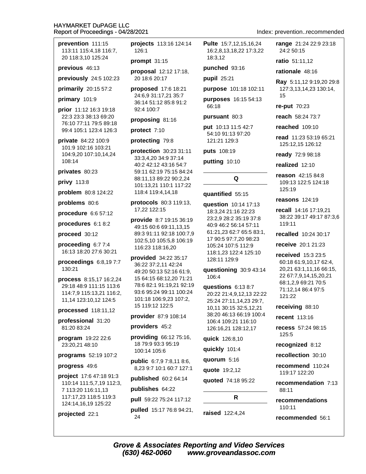### **HAYMARKET DuPAGE LLC** Report of Proceedings - 04/28/2021

prevention 111:15 113:11 115:4.18 116:7. 20 118:3.10 125:24

previous 46:13

previously 24:5 102:23

primarily 20:15 57:2

primary 101:9

prior 11:12 16:3 19:18 22:3 23:3 38:13 69:20 76:10 77:11 79:5 89:18 99:4 105:1 123:4 126:3

private 84:22 100:9 101:9 102:16 103:21 104:9,20 107:10,14,24 108:14

privates 80:23

privy 113:8

problem 80:8 124:22

problems 80:6

procedure 6:6 57:12

procedures 6:1 8:2

proceed 30:12

proceeding  $6:77:4$ 16:13 18:20 27:6 30:21

proceedings  $6:8,197:7$ 130:21

process 8:15,17 16:2,24 29:18 48:9 111:15 113:6 114:7,9 115:13,21 116:2, 11,14 123:10,12 124:5

processed 118:11,12

professional 31:20 81:20 83:24

program 19:22 22:6 23:20,21 48:10

programs 52:19 107:2

progress 49:6

project 17:6 47:18 91:3 110:14 111:5,7,19 112:3, 7 113:20 116:11,13 117:17,23 118:5 119:3 124:14,16,19 125:22

projected 22:1

projects 113:16 124:14 126:1

prompt  $31:15$ 

proposal 12:12 17:18, 20 18:6 20:17

**proposed** 17:6 18:21 24:6,9 31:17,21 35:7 36:14 51:12 85:8 91:2 92:4 100:7

proposing 81:16

protect 7:10

protecting 79:8

protection 30:23 31:11 33:3,4,20 34:9 37:14 40:2 42:12 43:16 54:7 59:11 62:19 75:15 84:24 88:11,13 89:22 90:2,24 101:13,21 110:1 117:22 118:4 119:4,14,18

protocols 80:3 119:13, 17,22 122:15

provide 8:7 19:15 36:19 49:15 60:6 69:11,13,15 89:3 91:11 92:18 100:7,9 102:5,10 105:5,8 106:19 116:23 118:16,20

provided 34:22 35:17 36:22 37:2,11 42:24 49:20 50:13 52:16 61:9, 15 64:15 68:12,20 71:21 78:6 82:1 91:19,21 92:19 93:6 95:24 99:11 100:24 101:18 106:9,23 107:2, 15 119:12 122:5

### provider 87:9 108:14

providers 45:2

providing 66:12 75:16, 18 79:9 93:3 95:19 100:14 105:6

public 6:7,9 7:8,11 8:6, 8,23 9:7 10:1 60:7 127:1

published 60:2 64:14

publishes 64:22

pull 59:22 75:24 117:12

**pulled** 15:17 76:8 94:21, 24

**Pulte** 15:7.12.15.16.24 16:2.8.13.18.22 17:3.22 18:3.12

punched 93:16

pupil 25:21

purpose 101:18 102:11

purposes 16:15 54:13 66:18

pursuant 80:3

put 10:13 11:5 42:7 54:10 91:13 97:20 121:21 129:3

puts 108:19

putting 10:10

# quantified 55:15

question 10:14 17:13 18:3,24 21:16 22:23 23:2.9 28:2 35:19 37:8 40:9 46:2 56:14 57:11 61:21,23 62:7 65:5 83:1, 17 90:5 97:7,20 98:23 105:24 107:5 112:9 118:1,23 122:4 125:10 128:11 129:9

Q

questioning 30:9 43:14 106:4

questions 6:13 8:7 20:22 21:4,9,12,13 22:22 25:24 27:11,14,23 29:7, 10,11 30:15 32:5,12,21 38:20 46:13 66:19 100:4 106:4 109:21 116:10 126:16,21 128:12,17

quick 126:8,10

quickly 101:4

quorum 5:16

quote 19:2,12

quoted 74:18 95:22

R

raised 122:4,24

Index: prevention..recommended

range 21:24 22:9 23:18 24:2 50:15

ratio 51:11.12

rationale 48:16

Ray 5:11,12 9:19,20 29:8 127:3,13,14,23 130:14, 15

re-put 70:23

reach 58:24 73:7

reached 109:10

read 11:23 53:19 65:21 125:12,15 126:12

ready 72:9 98:18

realized 12:10

reason 42:15 84:8 109:13 122:5 124:18 125:19

reasons 124:19

recall 14:16 17:19,21 38:22 39:17 49:17 87:3,6 119:11

recalled 10:24 30:17

receive 20:1 21:23

received 15:3 23:5 60:18 61:9,10,17 62:4, 20,21 63:1,11,16 66:15, 22 67:7,9,14,15,20,21 68:1,2,9 69:21 70:5 71:12.14 86:4 97:5 121:22

receiving 88:10

**recent** 113:16

recess 57:24.98:15 125:5

recognized 8:12

recollection 30:10

recommend 110:24 119:17 122:20

recommendation 7:13 88:11

recommendations  $110:11$ 

recommended 56:1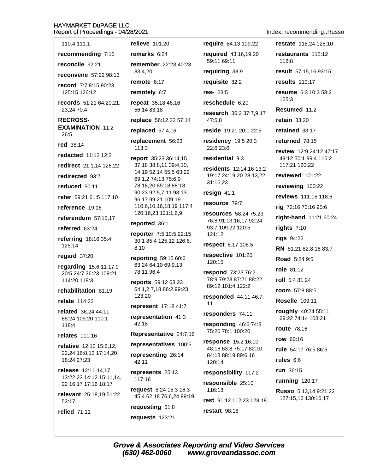## HAYMARKET DUPAGE IIC  $Re$

| 110:4 111:1                                       | relieve 101:20                                             | require 84:13 109:22                                                                                 |  |
|---------------------------------------------------|------------------------------------------------------------|------------------------------------------------------------------------------------------------------|--|
| recommending 7:15                                 | remarks $6:24$                                             | required 43:16,19,20                                                                                 |  |
| reconcile 92:21                                   | remember 22:23 40:23                                       | 59:11 69:11                                                                                          |  |
| <b>reconvene</b> 57:22 98:13                      | 83:4,20                                                    | requiring 38:9                                                                                       |  |
| record 7:7 8:15 90:23                             | remote $6:17$                                              | requisite 82:2                                                                                       |  |
| 125:15 126:12                                     | remotely 6:7                                               | $res - 23:5$                                                                                         |  |
| <b>records</b> 51:21 64:20,21,<br>23.24 70:4      | repeat 35:18 46:16<br>56:14 83:18                          | reschedule 6:20<br>research 36:2 37:7,9,1                                                            |  |
| <b>RECROSS-</b>                                   | replace 56:12,22 57:14                                     | 47:5.8                                                                                               |  |
| <b>EXAMINATION 11:2</b><br>26:5                   | replaced $57:4,16$                                         | reside 19:21 20:1 22:5                                                                               |  |
| red 38:14                                         | replacement 56:23<br>113:3                                 | residency 19:5 20:3<br>22:6 23:6                                                                     |  |
| redacted 11:12 12:2                               | report 35:23 36:14,15                                      | residential 9:3                                                                                      |  |
| redirect 21:1,14 126:22                           | 37:18 38:8,11 39:4,10,                                     | residents 12:14,16 13:                                                                               |  |
| redirected 93:7                                   | 14,19 52:14 55:5 63:22<br>69:1,2 74:13 75:6,9              | 19:17 24:19,20 28:13,22<br>31:16,23<br>resign 41:1                                                   |  |
| reduced 50:11                                     | 78:18,20 85:18 88:13<br>90:23 92:5,7,11 93:13              |                                                                                                      |  |
| refer 59:21 61:5 117:10                           | 96:17 99:21 109:19                                         |                                                                                                      |  |
| reference 19:16                                   | 110:6,10,16,18,19 117:4<br>120:16,23 121:1,6,9             | resource 79:7                                                                                        |  |
| referendum 57:15,17                               |                                                            | resources 58:24 75:23<br>76:8 91:13,16,17 92:24<br>93:7 109:22 120:5<br>121:12<br>respect 8:17 106:5 |  |
| referred 63:24                                    | reported 36:1                                              |                                                                                                      |  |
| referring 18:16 35:4<br>125:14                    | reporter 7:5 10:5 22:15<br>30:1 85:4 125:12 126:6,<br>8,10 |                                                                                                      |  |
| regard 37:20                                      | reporting 59:15 60:6                                       | respective 101:20                                                                                    |  |
| regarding 15:6,11 17:9                            | 63:24 64:10 69:9,13                                        | 120:15                                                                                               |  |
| 20:5 24:7 36:23 109:21<br>114:20 118:3            | 78:11 96:4                                                 | respond 73:23 76:2<br>78:9 79:23 87:21 88:22                                                         |  |
| rehabilitation 81:19                              | reports 59:12 63:23<br>64:1,2,7,18 86:2 99:23              | 89:12 101:4 122:2                                                                                    |  |
| relate 114:22                                     | 123:20                                                     | responded 44:11 46:7,                                                                                |  |
| related 36:24 44:11                               | represent 17:18 41:7                                       | 11                                                                                                   |  |
| 85:24 109:20 110:1                                | representation 41:3<br>42:18                               | responders 74:11                                                                                     |  |
| 118:4                                             | Representative 24:7,16                                     | responding 46:6 74:3<br>75:20 78:1 100:20                                                            |  |
| relates 111:16                                    | representatives 100:5                                      | response 15:2 16:10<br>48:18 63:8 75:17 82:10<br>84:13 88:19 89:6,16<br>120:14                       |  |
| relative 12:12 15:6,12,<br>22,24 16:8,13 17:14,20 | representing 26:14                                         |                                                                                                      |  |
| 18:24 27:23                                       | 42:11                                                      |                                                                                                      |  |
| release 12:11,14,17                               | represents 25:13                                           | responsibility 117:2                                                                                 |  |
| 13:22,23 14:12 15:11,14,<br>22 16:17 17:16 18:17  | 117:16                                                     | responsible 25:10                                                                                    |  |
| relevant 25:18,19 51:22                           | request 8:24 15:3 16:3<br>45:4 62:18 76:6,24 99:19         | 116:18<br>rest 91:12 112:23 128:1                                                                    |  |
| 53:17<br>relied 71:11                             | requesting 61:8                                            | restart 98:18                                                                                        |  |
|                                                   | requests 123:21                                            |                                                                                                      |  |
|                                                   |                                                            |                                                                                                      |  |

restate 118:24 125:10 restaurants 112:12 118:8 result 57:15,16 93:15 results 110:17 resume 6:3 10:3 58:2 125:3 Resumed 11:2 ch 36:2 37:7,9,17 retain  $33:20$ retained 33:17 returned 78:15 review 12:9 24:12 47:17 49:12 50:1 99:4 116:2 117:21 120:22 nts 12:14,16 13:2 reviewed 101:22 24:19,20 28:13,22 reviewing 100:22 reviews 111:16 118:6 rig 72:16 73:16 95:6 Ces 58:24 75:23 right-hand 11:21 60:24 rights  $7:10$ rigs 94:22 RN 81:21 82:8,16 83:7 Road 5:24 9:5 role 81:12 roll 5:4 81:24 room 57:8 88:5 nded 44:11 46:7. **Roselle** 109:11 roughly 40:24 55:11 69:22 74:14 103:21 route 78:16 row 60:16 rule 54:17 76:5 86:6 rules  $6:6$ 

run 36:15

:12 112:23 128:18

running 120:17

Russo 5:13,14 9:21,22 127:15,16 130:16,17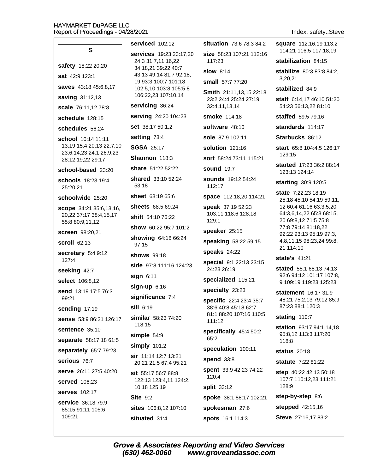### **HAYMARKET DuPAGE LLC** Report of Proceedings - 04/28/2021

situation 73:6 78:3 84:2 serviced 102:12 S. services 19:23 23:17.20 size 58:23 107:21 112:16  $117.23$ 24:3 31:7,11,16,22 safety 18:22 20:20 34:18,21 39:22 40:7 **slow** 8:14 43:13 49:14 81:7 92:18, sat 42:9 123:1 19 93:3 100:7 101:18 small 57:7 77:20 saves 43:18 45:6.8.17 102:5,10 103:8 105:5,8 Smith 21:11,13,15 22:18 106:22,23 107:10,14 **saving 31:12,13** 23:2 24:4 25:24 27:19 servicing 36:24 32:4,11,13,14 scale 76:11.12 78:8 serving 24:20 104:23 smoke 114:18 schedule 128:15 software 48:10 set 38:17 50:1,2 schedules 56:24 setting 73:4 sole 87:9 102:11 school 10:14 11:11 13:19 15:4 20:13 22:7,10 **SGSA 25:17** solution 121:16 23:6,14,23 24:1 26:9,23 Shannon 118:3 sort 58:24 73:11 115:21 28:12.19.22 29:17 share 51:22 52:22 sound 19:7 school-based 23:20 shared 33:10 52:24 sounds 19:12 54:24 schools 18:23 19:4 53:18 112:17 25:20,21 sheet 63:19 65:6 space 112:18,20 114:21 schoolwide 25:20 sheets 68:5 69:24 speak 37:19 52:23 scope 34:21 35:6,13,16, 103:11 118:6 128:18 20,22 37:17 38:4,15,17 shift 54:10 76:22 129:1 55:8 80:9.11.12 show 60:22 95:7 101:2 speaker 25:15 screen 98:20.21 showing 64:18 66:24 speaking 58:22 59:15 scroll 62:13 97:15 speaks 24:22 secretary 5:4 9:12 shows  $99.18$ 127:4 special 9:1 22:13 23:15 side 97:8 111:16 124:23 24:23 26:19 seeking 42:7  $sign 6:11$ specialized 115:21 select 106:8.12 sign-up 6:16 specialty 23:23 send 13:19 17:5 76:3 significance 7:4 99:21 specific 22:4 23:4 35:7  $sill$  6:19 38:6 40:8 45:18 62:7 sending 17:19 81:1 88:20 107:16 110:5 similar 58:23 74:20 sense 53:9 86:21 126:17  $111:12$ 118:15 sentence 35:10 specifically 45:4 50:2 simple 54:9 65:2 separate 58:17,18 61:5  $simply$  101:2 speculation 100:11 separately 65:7 79:23 sir 11:14 12:7 13:21 spend  $33:8$ serious 76:7 20:21 21:5 67:4 95:21 spent 33:9 42:23 74:22 serve 26:11 27:5 40:20 sit 55:17 56:7 88:8 120:4 122:13 123:4,11 124:2, served 106:23 10.18 125:19 split 33:12 **serves** 102:17 **Site 9:2** spoke 38:1 88:17 102:21 service 36:18 79:9 sites 106:8.12 107:10 spokesman 27:6 85:15 91:11 105:6 109:21

situated 31:4

Index: safety..Steve

square 112:16.19 113:2 114:21 116:5 117:18.19 stabilization 84:15 **stabilize** 80:3 83:8 84:2. 3.20.21 stabilized 84:9 staff 6:14,17 46:10 51:20 54:23 56:13,22 81:10 staffed 59:5 79:16 standards  $114.17$ Starbucks 86:12 start 65:8 104:4,5 126:17 129:15

started 17:23 36:2 88:14 123:13 124:14

starting 30:9 120:5

**state** 7:22.23 18:19 25:18 45:10 54:19 59:11, 12 60:4 61:16 63:3,5,20 64:3,6,14,22 65:3 68:15, 20 69:8,12 71:5 75:8 77:8 79:14 81:18,22 92:22 93:13 95:19 97:3, 4,8,11,15 98:23,24 99:8, 21 114:10

state's 41:21

stated 55:1 68:13 74:13 92:6 94:12 101:17 107:8. 9 109:19 119:23 125:23

statement 16:17 31:9 48:21 75:2,13 79:12 85:9 87:23 88:1 120:3

stating 110:7

station 93:17 94:1,14,18 95:8,12 113:3 117:20 118:8

status  $20.18$ 

statute 7:22 81:22

step 40:22 42:13 50:18 107:7 110:12,23 111:21 128:9

step-by-step 8:6

stepped 42:15,16

Steve 27:16,17 83:2

spots 16:1 114:3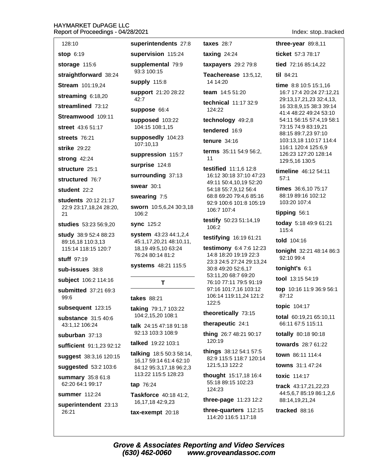### **HAYMARKET DuPAGE LLC** Report of Proceedings - 04/28/2021

128:10 **stop 6:19** storage 115:6 straightforward 38:24 Stream 101:19,24 streaming 6:18,20 streamlined 73:12 Streamwood 109:11 street 43:6 51:17 streets 76:21 strike 29:22 strong 42:24 structure 25:1 structured 76.7 student 22:2 students 20:12 21:17 22:9 23:17,18,24 28:20,  $21$ studies 53:23 56:9,20 **study** 38:9 52:4 88:23 89:16.18 110:3.13 115:14 118:15 120:7 stuff  $97:19$ sub-issues 38:8 subject 106:2 114:16 submitted 37:21 69:3 99:6 subsequent 123:15 substance 31:5.40:6 43:1,12 106:24 suburban 37:13 sufficient 91:1,23 92:12 suggest 38:3,16 120:15 suggested 53:2 103:6 **summary** 35:8 61:8 62:20 64:1 99:17 summer 112:24

superintendent 23:13 26:21

superintendents 27:8

supervision 115:24 supplemental 79:9 93:3 100:15

supply 115:8

support 21:20 28:22  $42.7$ 

suppose 66:4

supposed 103:22 104:15 108:1.15

supposedly 104:23 107:10,13

suppression 115:7

surprise 124:8

### surrounding 37:13

swear 30:1

swearing 7:5

sworn 10:5,6,24 30:3,18 106:2

**sync** 125:2

**system** 43:23 44:1,2,4 45:1,17,20,21 48:10,11, 18,19 49:5,10 63:24 76:24 80:14 81:2

systems 48:21 115:5

T

### **takes** 88:21

taking 79:1,7 103:22 104:2,15,20 108:1

talk 24:15 47:18 91:18 92:13 103:3 108:9

talked 19:22 103:1

talking 18:5 50:3 58:14, 16,17 59:14 61:4 62:10 84:12 95:3,17,18 96:2,3 113:22 115:5 128:23

### tap 76:24

Taskforce 40:18 41:2, 16, 17, 18 42: 9, 23

tax-exempt 20:18

taxing  $24:24$ **taxpayers** 29:2 79:8 Teacherease 13:5,12, 14 14:20 team 14:5 51:20 technical 11:17 32:9 124:22 technology 49:2,8 tendered 16:9

**taxes** 28:7

tenure 34:16

terms 35:11 54:9 56:2,  $11$ 

testified 11:1,6 12:8 16:12 30:18 37:10 47:23 49:11 50:4,10,19 52:20 54:18 55:7,9,12 56:4 68:8 69:20 79:4.6 85:16 92:9 100:6 101:8 105:19 106:7 107:4

testify 50:23 51:14,19 106:2

testifying 16:19 61:21

testimony 6:4 7:6 12:23 14:8 18:20 19:19 22:3 23:3 24:5 27:24 29:13,24 30:8 49:20 52:6.17 53:11.20 68:7 69:20 76:10 77:11 79:5 91:19 97:16 101:7,16 103:12 106:14 119:11,24 121:2 122:5

### theoretically 73:15

therapeutic 24:1

thing 26:7 48:21 90:17 120:19

things 38:12 54:1 57:5 82:9 115:5 118:7 120:14 121:5,13 122:2

thought 15:17,18 16:4 55:18 89:15 102:23 124:23

three-page  $11:2312:2$ 

three-quarters 112:15 114:20 116:5 117:18

Index: stop..tracked

three-year  $89:8,11$ ticket 57:3 78:17 tied 72:16 85:14.22 til 84:21 time 8:8 10:5 15:1.16

16:7 17:4 20:24 27:12,21 29:13,17,21,23 32:4,13, 16 33:8,9,15 38:3 39:14 41:4 48:22 49:24 53:10 54:11 56:15 57:4.19 58:1 73:15 74:9 83:19,21 88:15 89:7,23 97:10 103:13,18 110:17 114:4 116:1 120:4 125:6.9 126:23 127:20 128:14 129:5,16 130:5

timeline 46:12 54:11  $57:1$ 

times 36:6,10 75:17 88:19 89:16 102:12 103:20 107:4

tipping 56:1

today 5:18 49:9 61:21  $115:4$ 

told 104:16

tonight 32:21 48:14 86:3 92:10 99:4

tonight's  $6:1$ 

tool  $13:15.54:19$ 

top 10:16 11:9 36:9 56:1 87:12

topic 104:17

total 60:19,21 65:10,11 66:11 67:5 115:11

totally 80:18 90:18

towards 28:7 61:22

town 86:11 114:4

towns 31:1 47:24

toxic 114:17

track 43:17,21,22,23 44:5.6.7 85:19 86:1.2.6 88:14,19,21,24

tracked 88:16

**Grove & Associates Reporting and Video Services** (630) 462-0060 www.groveandassoc.com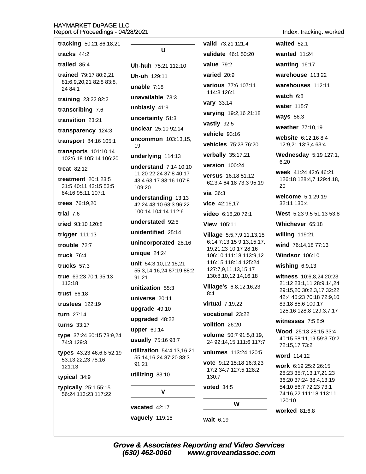# HAYMARKET DuPAGE LLC<br>Report of Proceedings - 04/28/2021

Index: tracking..worked

| NEPOIL OF FIOCEEUIHUS - 04/20/2021                      |                                                              |                                                                                                                                                       | <b>INGA.</b> HOUNINGWUING                                                 |
|---------------------------------------------------------|--------------------------------------------------------------|-------------------------------------------------------------------------------------------------------------------------------------------------------|---------------------------------------------------------------------------|
| tracking 50:21 86:18,21                                 |                                                              | valid 73:21 121:4                                                                                                                                     | waited $52:1$                                                             |
| tracks $44:2$                                           | U                                                            | validate 46:1 50:20                                                                                                                                   | wanted $11:24$                                                            |
| trailed $85:4$                                          | Uh-huh 75:21 112:10                                          | value $79:2$                                                                                                                                          | wanting 16:17                                                             |
| trained 79:17 80:2,21                                   | Uh-uh 129:11                                                 | varied 20:9                                                                                                                                           | warehouse 113:22                                                          |
| 81:6,9,20,21 82:8 83:8,<br>24 84:1                      | unable $7:18$                                                | various 77:6 107:11                                                                                                                                   | warehouses 112:11                                                         |
| training 23:22 82:2                                     | unavailable 73:3                                             | 114:3 126:1                                                                                                                                           | watch 6:8                                                                 |
| transcribing 7:6                                        | unbiasly 41:9                                                | <b>vary</b> 33:14                                                                                                                                     | water 115:7                                                               |
| transition 23:21                                        | uncertainty 51:3                                             | varying 19:2,16 21:18                                                                                                                                 | <b>ways</b> 56:3                                                          |
| transparency 124:3                                      | unclear 25:10 92:14                                          | vastly 92:5                                                                                                                                           | weather 77:10,19                                                          |
| transport 84:16 105:1                                   | uncommon 103:13,15,                                          | vehicle 93:16                                                                                                                                         | website 6:12,16 8:4                                                       |
| <b>transports</b> 101:10,14                             | 19                                                           | vehicles 75:23 76:20                                                                                                                                  | 12:9,21 13:3,4 63:4                                                       |
| 102:6,18 105:14 106:20                                  | underlying 114:13                                            | verbally 35:17,21                                                                                                                                     | Wednesday 5:19 127:1,<br>6,20                                             |
| treat $82:12$                                           | <b>understand</b> 7:14 10:10                                 | version 100:24                                                                                                                                        |                                                                           |
| <b>treatment</b> 20:1 23:5<br>31:5 40:11 43:15 53:5     | 11:20 22:24 37:8 40:17<br>43:4 63:17 83:16 107:8<br>109:20   | versus 16:18 51:12<br>62:3,4 64:18 73:3 95:19                                                                                                         | week 41:24 42:6 46:21<br>126:18 128:4,7 129:4,18,<br>20                   |
| 84:16 95:11 107:1                                       | understanding 13:13                                          | via $36:3$                                                                                                                                            | welcome 5:1 29:19                                                         |
| trees 76:19,20                                          | 42:24 43:10 68:3 96:22                                       | vice 42:16,17                                                                                                                                         | 32:11 130:4                                                               |
| trial $7:6$                                             | 100:14 104:14 112:6                                          | video 6:18,20 72:1                                                                                                                                    | West 5:23 9:5 51:13 53:8                                                  |
| tried 93:10 120:8                                       | understated 92:5                                             | View 105:11                                                                                                                                           | Whichever 65:18                                                           |
| trigger 111:13                                          | unidentified 25:14                                           | Village 5:5,7,9,11,13,15<br>6:14 7:13,15 9:13,15,17,<br>19,21,23 10:17 28:16<br>106:10 111:18 113:9,12<br>116:15 118:14 125:24<br>127:7,9,11,13,15,17 | willing 119:21                                                            |
| trouble 72:7                                            | unincorporated 28:16                                         |                                                                                                                                                       | wind 76:14,18 77:13                                                       |
| truck 76:4                                              | unique $24:24$<br>unit 54:3,10,12,15,21                      |                                                                                                                                                       | <b>Windsor 106:10</b>                                                     |
| trucks $57:3$                                           |                                                              |                                                                                                                                                       | wishing $6:9,13$                                                          |
| true 69:23 70:1 95:13                                   | 55:3,14,16,24 87:19 88:2<br>91:21                            | 130:8,10,12,14,16,18                                                                                                                                  | witness 10:6,8,24 20:23                                                   |
| 113:18                                                  | unitization 55:3                                             | Village's 6:8,12,16,23                                                                                                                                | 21:12 23:1,11 28:9,14,24<br>29:15,20 30:2,3,17 32:22                      |
| <b>trust 66:18</b>                                      | universe 20:11                                               | 8:4                                                                                                                                                   | 42:4 45:23 70:18 72:9,10                                                  |
| trustees $122:19$                                       | upgrade 49:10                                                | virtual 7:19,22                                                                                                                                       | 83:18 85:6 100:17<br>125:16 128:8 129:3,7,17                              |
| turn 27:14                                              | upgraded 48:22                                               | vocational 23:22                                                                                                                                      |                                                                           |
| turns 33:17                                             | upper 60:14                                                  | volition 26:20                                                                                                                                        | witnesses $7:58:9$                                                        |
| type 37:24 60:15 73:9,24<br>74:3 129:3                  | usually 75:16 98:7                                           | volume 50:7 91:5,8,19,<br>24 92:14,15 111:6 117:7                                                                                                     | <b>Wood</b> 25:13 28:15 33:4<br>40:15 58:11,19 59:3 70:2<br>72:15,17 73:2 |
| types 43:23 46:6,8 52:19<br>53:13,22,23 78:16<br>121:13 | utilization 54:4,13,16,21<br>55:14,16,24 87:20 88:3<br>91:21 | <b>volumes</b> 113:24 120:5                                                                                                                           | word 114:12                                                               |
|                                                         |                                                              | <b>vote</b> 9:12 15:18 16:3,23                                                                                                                        | work 6:19 25:2 26:15                                                      |
| typical 34:9                                            | utilizing 83:10                                              | 17:2 34:7 127:5 128:2<br>130:7                                                                                                                        | 28:23 35:7,13,17,21,23                                                    |
| typically 25:1 55:15<br>56:24 113:23 117:22             | V                                                            | <b>voted</b> 34:5                                                                                                                                     | 36:20 37:24 38:4,13,19<br>54:10 56:7 72:23 73:1<br>74:16,22 111:18 113:11 |
|                                                         |                                                              | W                                                                                                                                                     | 120:10                                                                    |
|                                                         | vacated 42:17                                                |                                                                                                                                                       | worked 81:6,8                                                             |
|                                                         | vaguely 119:15                                               | wait 6:19                                                                                                                                             |                                                                           |

Grove & Associates Reporting and Video Services<br>(630) 462-0060 www.groveandassoc.com